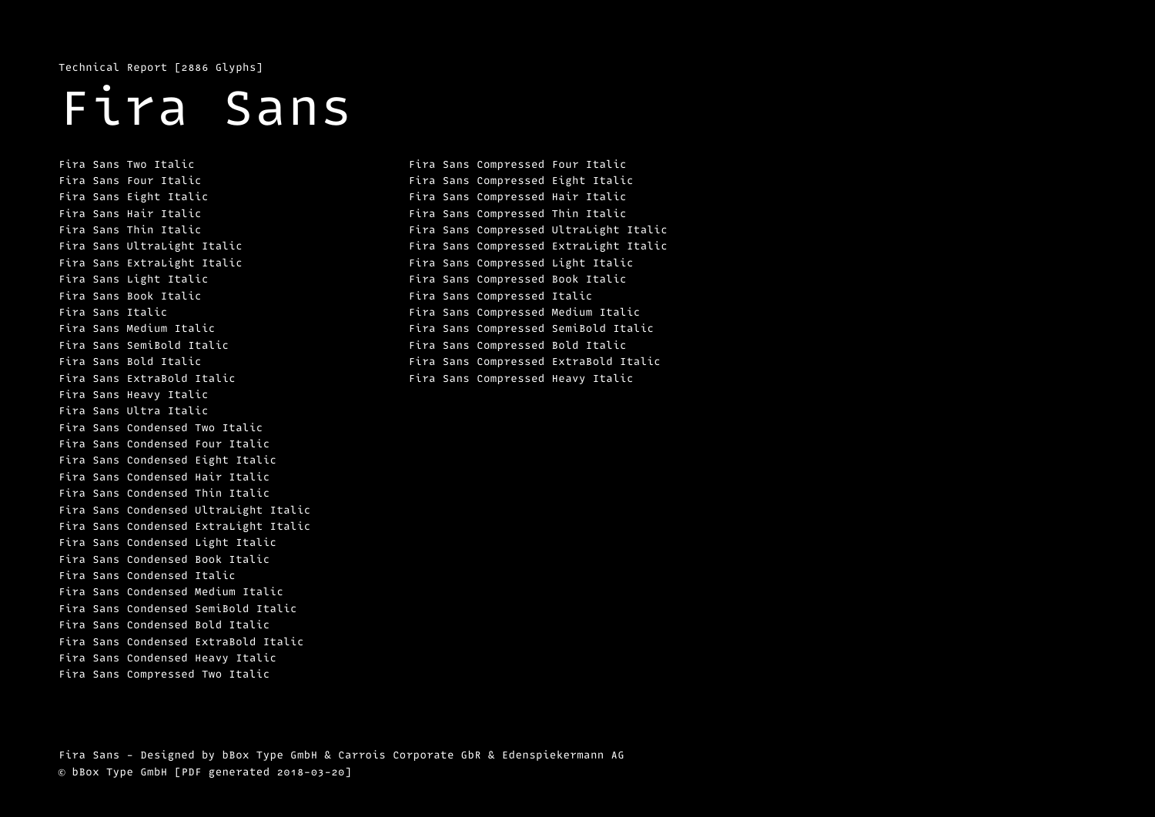Technical Report [2886 Glyphs]

# Fira Sans

Fira Sans Two Italic Fira Sans Four Italic Fira Sans Eight Italic Fira Sans Hair Italic Fira Sans Thin Italic Fira Sans UltraLight Italic Fira Sans ExtraLight Italic Fira Sans Light Italic Fira Sans Book Italic Fira Sans Italic Fira Sans Medium Italic Fira Sans SemiBold Italic Fira Sans Bold Italic Fira Sans ExtraBold Italic Fira Sans Heavy Italic Fira Sans Ultra Italic Fira Sans Condensed Two Italic Fira Sans Condensed Four Italic Fira Sans Condensed Eight Italic Fira Sans Condensed Hair Italic Fira Sans Condensed Thin Italic Fira Sans Condensed UltraLight Italic Fira Sans Condensed ExtraLight Italic Fira Sans Condensed Light Italic Fira Sans Condensed Book Italic Fira Sans Condensed Italic Fira Sans Condensed Medium Italic Fira Sans Condensed SemiBold Italic Fira Sans Condensed Bold Italic Fira Sans Condensed ExtraBold Italic Fira Sans Condensed Heavy Italic Fira Sans Compressed Two Italic

Fira Sans Compressed Four Italic Fira Sans Compressed Eight Italic Fira Sans Compressed Hair Italic Fira Sans Compressed Thin Italic Fira Sans Compressed UltraLight Italic Fira Sans Compressed ExtraLight Italic Fira Sans Compressed Light Italic Fira Sans Compressed Book Italic Fira Sans Compressed Italic Fira Sans Compressed Medium Italic Fira Sans Compressed SemiBold Italic Fira Sans Compressed Bold Italic Fira Sans Compressed ExtraBold Italic Fira Sans Compressed Heavy Italic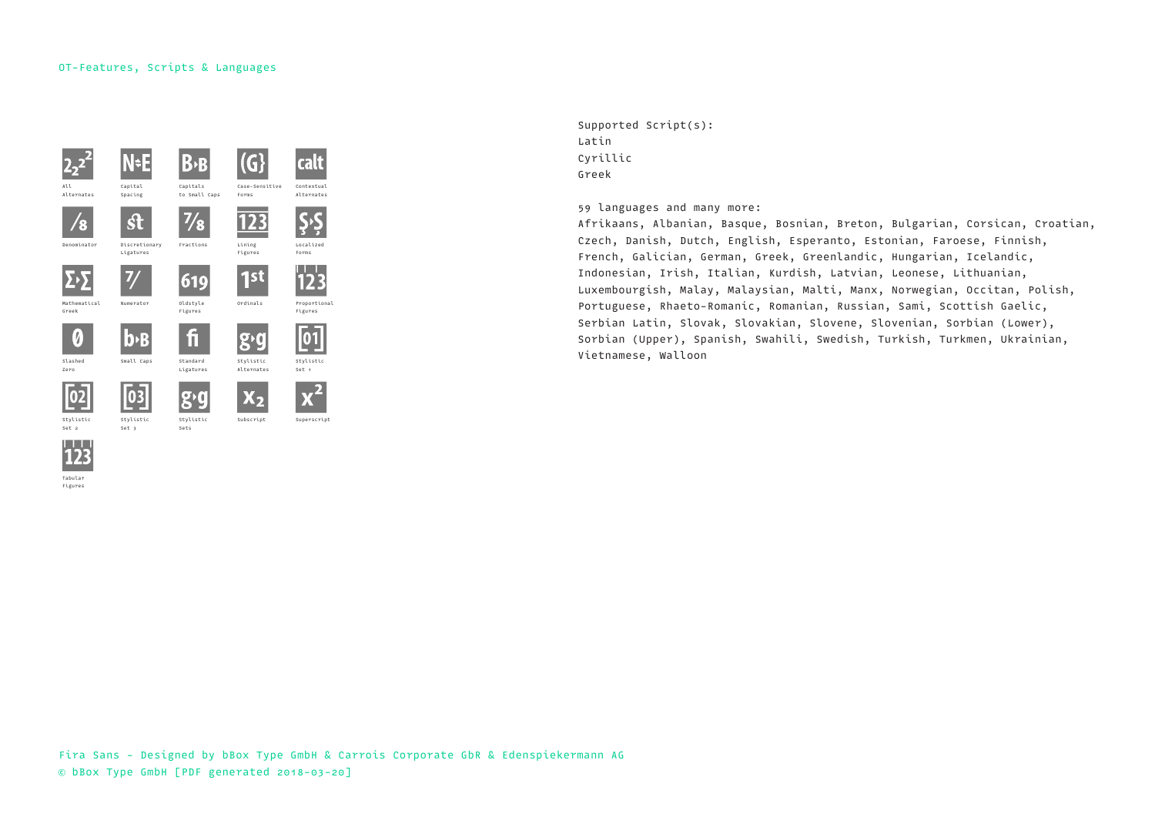



Supported Script(s): Latin Cyrillic Greek

59 languages and many more:

Afrikaans, Albanian, Basque, Bosnian, Breton, Bulgarian, Corsican, Croatian, Czech, Danish, Dutch, English, Esperanto, Estonian, Faroese, Finnish, French, Galician, German, Greek, Greenlandic, Hungarian, Icelandic, Indonesian, Irish, Italian, Kurdish, Latvian, Leonese, Lithuanian, Luxembourgish, Malay, Malaysian, Malti, Manx, Norwegian, Occitan, Polish, Portuguese, Rhaeto-Romanic, Romanian, Russian, Sami, Scottish Gaelic, Serbian Latin, Slovak, Slovakian, Slovene, Slovenian, Sorbian (Lower), Sorbian (Upper), Spanish, Swahili, Swedish, Turkish, Turkmen, Ukrainian, Vietnamese, Walloon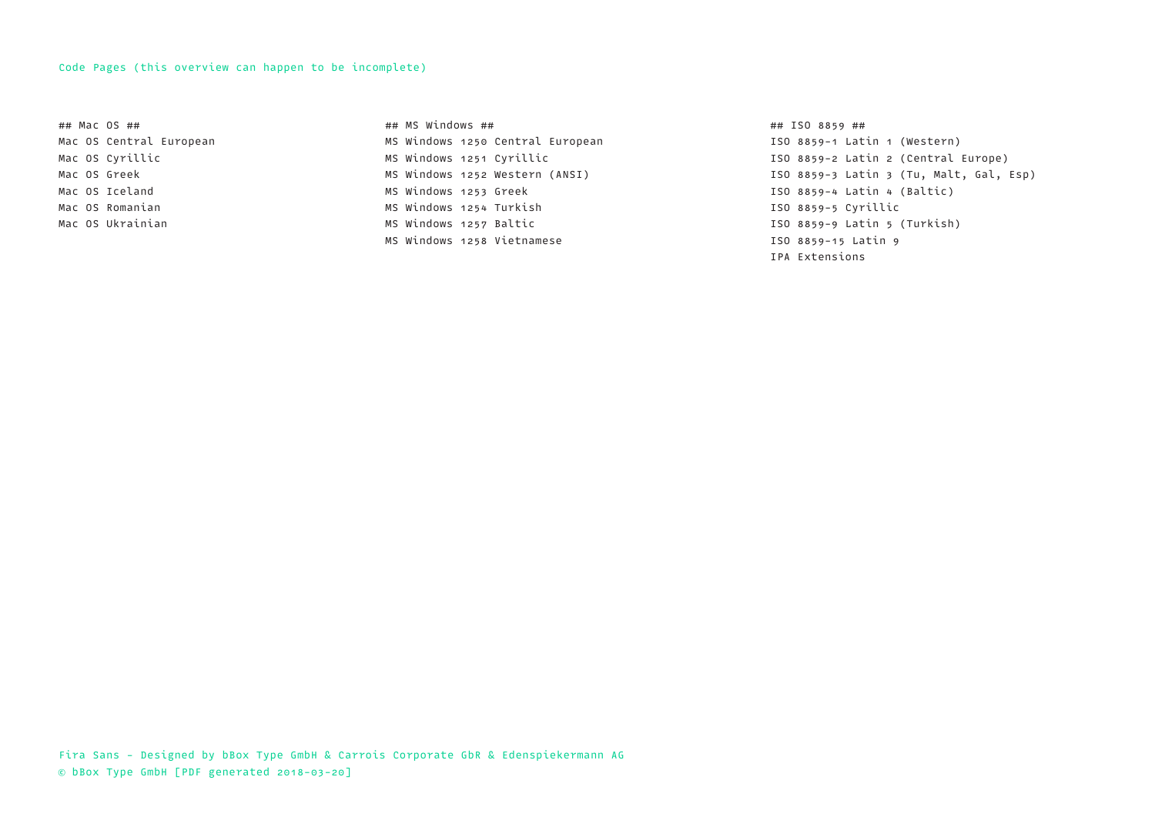#### Code Pages (this overview can happen to be incomplete)

## Mac OS ## Mac OS Central European Mac OS Cyrillic Mac OS Greek Mac OS Iceland Mac OS Romanian Mac OS Ukrainian

## MS Windows ## MS Windows 1250 Central European MS Windows 1251 Cyrillic MS Windows 1252 Western (ANSI) MS Windows 1253 Greek MS Windows 1254 Turkish MS Windows 1257 Baltic MS Windows 1258 Vietnamese

## ISO 8859 ## ISO 8859-1 Latin 1 (Western) ISO 8859-2 Latin 2 (Central Europe) ISO 8859-3 Latin 3 (Tu, Malt, Gal, Esp) ISO 8859-4 Latin 4 (Baltic) ISO 8859-5 Cyrillic ISO 8859-9 Latin 5 (Turkish) ISO 8859-15 Latin 9 IPA Extensions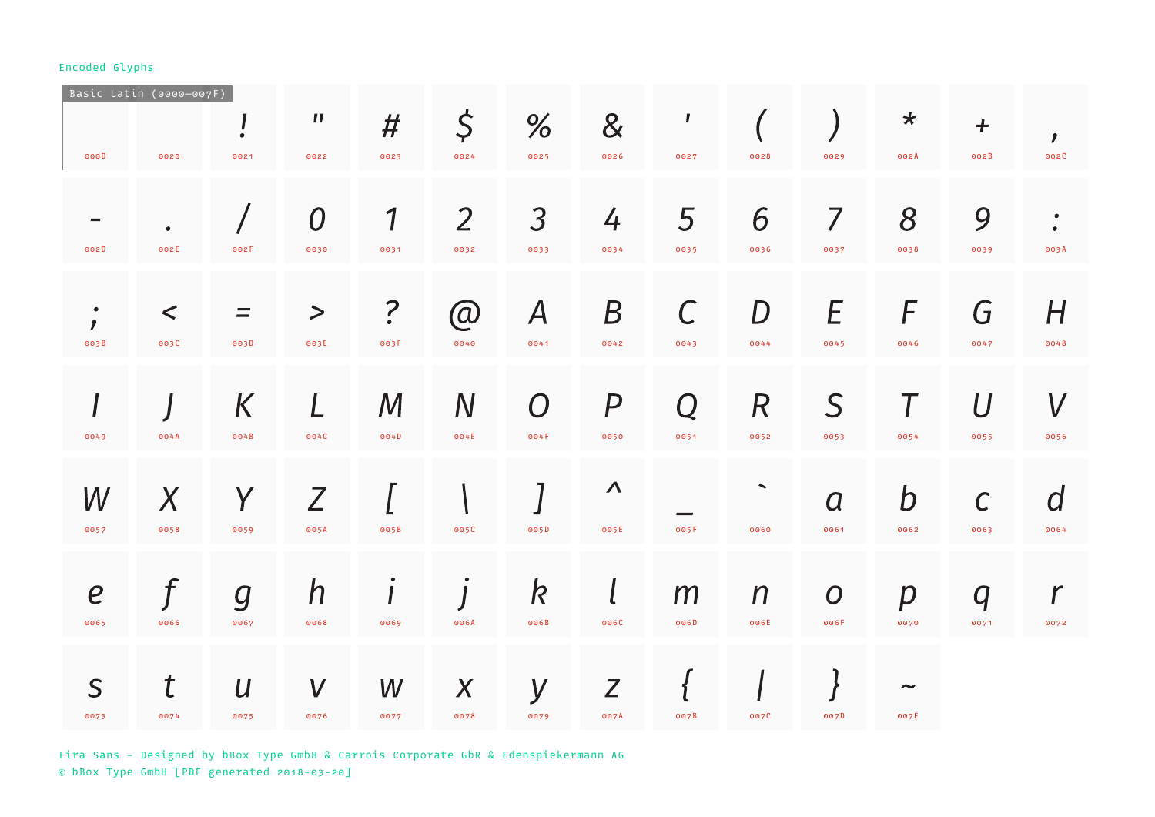| 000D                              | Basic Latin (0000-007F)<br>0020 | 0021                     | $\boldsymbol{\mathsf{II}}$<br>0022 | #<br>0023                          | $\varsigma$<br>0024      | %<br>0025                        | 8<br>0026                      | $\mathbf{I}$<br>0027 | 0028                     | 0029                     | $\star$<br>002A               | $+$<br>002B          | $\mathbf{r}$<br>002C           |
|-----------------------------------|---------------------------------|--------------------------|------------------------------------|------------------------------------|--------------------------|----------------------------------|--------------------------------|----------------------|--------------------------|--------------------------|-------------------------------|----------------------|--------------------------------|
| 002D                              | 002E                            | 002F                     | $\overline{0}$<br>0030             | $\boldsymbol{\mathcal{1}}$<br>0031 | $\overline{2}$<br>0032   | $\overline{\mathcal{S}}$<br>0033 | $\frac{1}{4}$<br>0034          | 5<br>0035            | 6<br>0036                | $\overline{7}$<br>0037   | 8<br>0038                     | 9<br>0039            | $\bullet$<br>$\bullet$<br>003A |
| $\bullet$<br>$\mathbf{r}$<br>003B | $\lt$<br>003C                   | Ξ<br>003D                | $\boldsymbol{>}$<br>003E           | $\ddot{.}$<br>003F                 | $\circledR$<br>0040      | $\boldsymbol{A}$<br>0041         | $\boldsymbol{B}$<br>0042       | $\mathcal C$<br>0043 | D<br>0044                | E<br>0045                | F<br>0046                     | G<br>0047            | H<br>0048                      |
| 0049                              | 004A                            | K<br>004B                | 004C                               | $\bm{M}$<br>004D                   | $\overline{N}$<br>004E   | $\bigcap$<br>004F                | $\boldsymbol{P}$<br>0050       | Q<br>0051            | $\mathcal{R}$<br>0052    | $\mathsf S$<br>0053      | 0054                          | $\mathcal U$<br>0055 | $\bm{V}$<br>0056               |
| W<br>0057                         | $\chi$<br>0058                  | Y<br>0059                | 7<br>005A                          | 005B                               | 005C                     | 005D                             | $\boldsymbol{\Lambda}$<br>005E | 005F                 | $\blacktriangle$<br>0060 | $\overline{a}$<br>0061   | $\bm{b}$<br>0062              | $\mathcal C$<br>0063 | $\overline{d}$<br>0064         |
| $\boldsymbol{e}$<br>0065          | 0066                            | $\overline{g}$<br>0067   | $\boldsymbol{h}$<br>0068           | 0069                               | 006A                     | $\bm{k}$<br>006B                 | 006C                           | m<br>006D            | $\boldsymbol{n}$<br>006E | $\boldsymbol{O}$<br>006F | $\boldsymbol{p}$<br>0070      | $\bm{q}$<br>0071     | $\mathcal{r}$<br>0072          |
| S<br>0073                         | t<br>0074                       | $\boldsymbol{U}$<br>0075 | V<br>0076                          | W<br>0077                          | $\boldsymbol{X}$<br>0078 | y<br>0079                        | Z<br>007A                      | 007B                 | 007C                     | 007D                     | $\tilde{\phantom{a}}$<br>007E |                      |                                |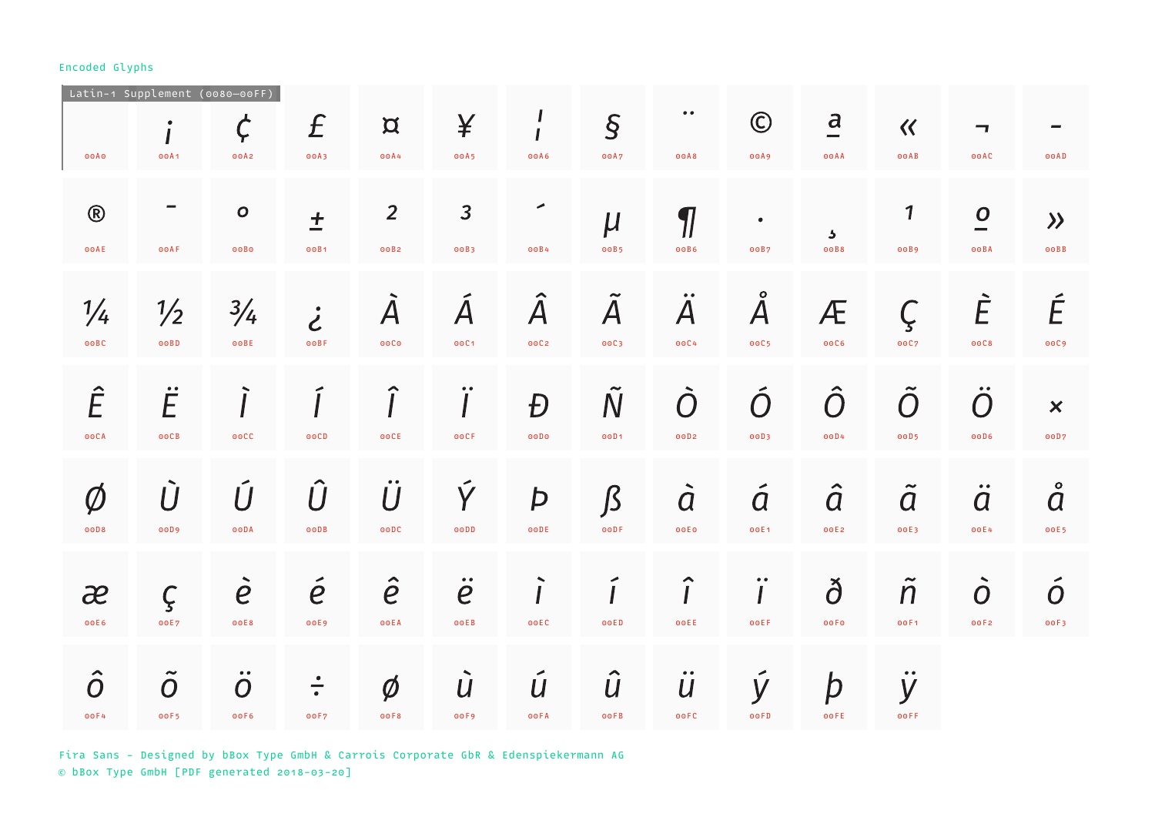|                       | Latin-1 Supplement (0080-00FF)                  |                                               |                                  |                                              |                                    |                               |                        |                             |                             |                                 |                        |                                                    |                                      |
|-----------------------|-------------------------------------------------|-----------------------------------------------|----------------------------------|----------------------------------------------|------------------------------------|-------------------------------|------------------------|-----------------------------|-----------------------------|---------------------------------|------------------------|----------------------------------------------------|--------------------------------------|
| 00A0                  | $\bullet$<br>00A1                               | $\bm{\zeta}$<br>00A2                          | £<br>00A3                        | $\mathbf{Q}$<br>00A4                         | ¥<br>00A5                          | J<br>00A6                     | $\overline{S}$<br>00A7 | $\bullet\; \bullet$<br>00A8 | $\odot$<br>00A9             | $\overline{a}$<br>00AA          | $\ll$<br>O O A B       | $\overline{\phantom{a}}$<br>O O A C                | O O AD                               |
| $\circledR$<br>⊙⊙AE   | 00AF                                            | $\mathbf{o}$<br>00B0                          | $\boldsymbol{+}$<br>00B1         | $\overline{2}$<br>00B2                       | $\overline{3}$<br>00B3             | ◢<br>00B4                     | $\mu$<br>00B5          | $\boldsymbol{\eta}$<br>00B6 | $\bullet$<br>00B7           | $\overline{\mathbf{z}}$<br>00B8 | 1<br>00B9              | $\overline{O}$<br>00BA                             | $\left\langle \right\rangle$<br>OOBB |
| $\frac{1}{4}$<br>00BC | $\frac{1}{2}$<br>OOBD                           | $\frac{3}{4}$<br>OOBE                         | $\dot{\mathcal{E}}$<br>00BF      | $\overline{\mathcal{A}}$<br>00C <sub>0</sub> | Á<br>00C1                          | $\hat{\mathsf{A}}$<br>00C2    | $\tilde{A}$<br>00C3    | $\ddot{A}$<br>00C4          | $\AA{}$<br>00C5             | Æ<br>00C6                       | Ç<br>00C7              | È<br>00C8                                          | É<br>00C9                            |
| Ê<br><b>OOCA</b>      | $\ddot{E}$<br>00CB                              | <b>OOCC</b>                                   | ooCD                             | ⌒<br><b>OOCE</b>                             | $\bullet\; \bullet$<br><b>OOCF</b> | Đ<br>00D0                     | $\tilde{N}$<br>00D1    | $\overline{O}$<br>00D2      | Ó<br>00D3                   | $\hat{O}$<br>00D4               | $\tilde{O}$<br>00D5    | $\ddot{O}$<br>00D6                                 | $\boldsymbol{\mathsf{x}}$<br>00D7    |
| $\emptyset$<br>ooD8   | Ù<br>00D9                                       | Ú<br><b>OODA</b>                              | $\hat{U}$<br>ooDB                | $\overline{U}$<br><b>OODC</b>                | Ý<br>$\odot$ $\odot$ $\ddot{D}$    | Þ<br><b>OODE</b>              | $\int$<br><b>OODF</b>  | $\ddot{a}$<br><b>OOEO</b>   | $\tilde{a}$<br>00E1         | $\hat{a}$<br>00E2               | $\tilde{a}$<br>00E3    | $\bullet\bullet$<br>$\overline{a}$<br>00E4         | å<br>00E5                            |
| æ<br>00E6             | $\varsigma$<br>00E7                             | $\overline{e}$<br>00E8                        | $\acute{\mathrm{e}}$<br>00E9     | $\hat{e}$<br>00EA                            | $\ddot{e}$<br>O O E B              | <b>OOEC</b>                   | <b>OOED</b>            | $\hat{I}$<br>OOEE           | $\ddot{\mathbf{i}}$<br>OOEF | ð<br>00F <sub>0</sub>           | $\tilde{\eta}$<br>00F1 | $\overline{\phantom{a}}$<br>$\overline{O}$<br>00F2 | $\ddot{O}$<br>00F3                   |
| $\hat{o}$<br>00F4     | $\tilde{\phantom{a}}$<br>$\overline{O}$<br>00F5 | $\bullet\; \bullet$<br>$\overline{O}$<br>00F6 | $\overline{\phantom{a}}$<br>00F7 | $\emptyset$<br>00F8                          | U<br>00F9                          | ◄<br>$\boldsymbol{U}$<br>00FA | $\hat{U}$<br>00FB      | $\ddot{u}$<br><b>OOFC</b>   | y<br>O O F D                | þ<br>OOFE                       | y<br>00FF              |                                                    |                                      |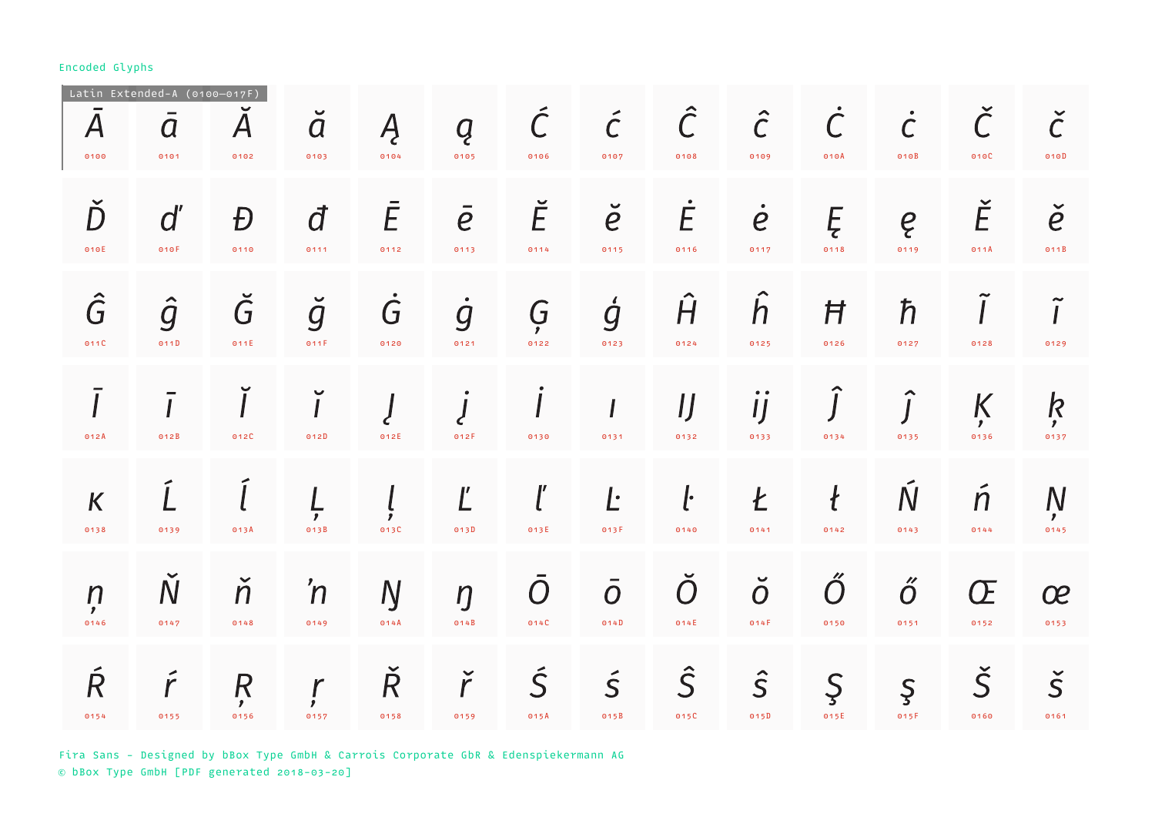| $\bm{A}$<br>0100               | Latin Extended-A (0100-017F)<br>$\overline{a}$<br>0101 | ${\boldsymbol A}$<br>0102              | $\check{a}$<br>0103      | Ą<br>0104          | Q<br>0105              | $\tilde{\mathcal{C}}$<br>0106 | $\tilde{C}$<br>0107    | $\hat{C}$<br>0108      | $\hat{C}$<br>0109      | $\dot{\subset}$<br>010A  | $\dot{\mathcal{C}}$<br>010B | 010C                         | $\check{\mathcal{C}}$<br>010D            |
|--------------------------------|--------------------------------------------------------|----------------------------------------|--------------------------|--------------------|------------------------|-------------------------------|------------------------|------------------------|------------------------|--------------------------|-----------------------------|------------------------------|------------------------------------------|
| Ď<br>010E                      | $d^{\prime}$<br>010F                                   | Đ<br>0110                              | đ<br>0111                | Ē<br>0112          | $\overline{e}$<br>0113 | Ĕ<br>0114                     | $\check{e}$<br>0115    | Ė<br>0116              | $\dot{e}$<br>0117      | Ę<br>0118                | ę<br>0119                   | Ě<br>011A                    | $\check{e}$<br>011B                      |
| Ĝ<br>011C                      | $\hat{g}$<br>011D                                      | $\check G$<br>011E                     | $\check{g}$<br>011F      | $\dot{G}$<br>0120  | $\dot{g}$<br>0121      | Ģ<br>0122                     | ģ<br>0123              | $\hat{H}$<br>0124      | h<br>0125              | Ħ<br>0126                | $\hbar$<br>0127             | 0128                         | $\tilde{I}$<br>0129                      |
| 012A                           | 012B                                                   | 012C                                   | $\checkmark$<br>012D     | 012E               | 012F                   | 0130                          | 0131                   | $\iint$<br>0132        | $\overline{1}$<br>0133 | 0134                     | 0135                        | K<br>$\mathbf{r}$<br>0136    | $\boldsymbol{k}$<br>$\mathbf{z}$<br>0137 |
| $\boldsymbol{K}$<br>0138       | 0139                                                   | 013A                                   | $\mathbf{r}$<br>013B     | 013C               | Ľ<br>013D              | 013E                          | Ŀ<br>013F              | $\mathbf{l}$<br>0140   | Ł<br>0141              | $\boldsymbol{t}$<br>0142 | Ń<br>0143                   | $\boldsymbol{n}$<br>0144     | $\overline{N}$<br>$\mathbf{z}$<br>0145   |
| $\eta$<br>$\mathbf{r}$<br>0146 | $\overline{\mathsf{N}}$<br>0147                        | ň<br>0148                              | 'n<br>0149               | Ŋ<br>014A          | $\eta$<br>014B         | $\bigcap$<br>014C             | $\overline{O}$<br>O14D | $\overline{O}$<br>014E | $\breve{O}$<br>014F    | $\bigcap$<br>0150        | $\H{O}$<br>0151             | Œ<br>0152                    | œ<br>0153                                |
| Ŕ<br>0154                      | 0155                                                   | $\overline{R}$<br>$\mathbf{r}$<br>0156 | $\mathbf r$<br>,<br>0157 | $\check R$<br>0158 | ř<br>0159              | Ś<br>015A                     | $\vec{S}$<br>015B      | $\hat{S}$<br>015C      | $\hat{S}$<br>015D      | $\mathcal{S}$<br>015E    | $\mathsf{S}$<br>015F        | $\check{\mathsf{S}}$<br>0160 | $\check{\mathsf{S}}$<br>0161             |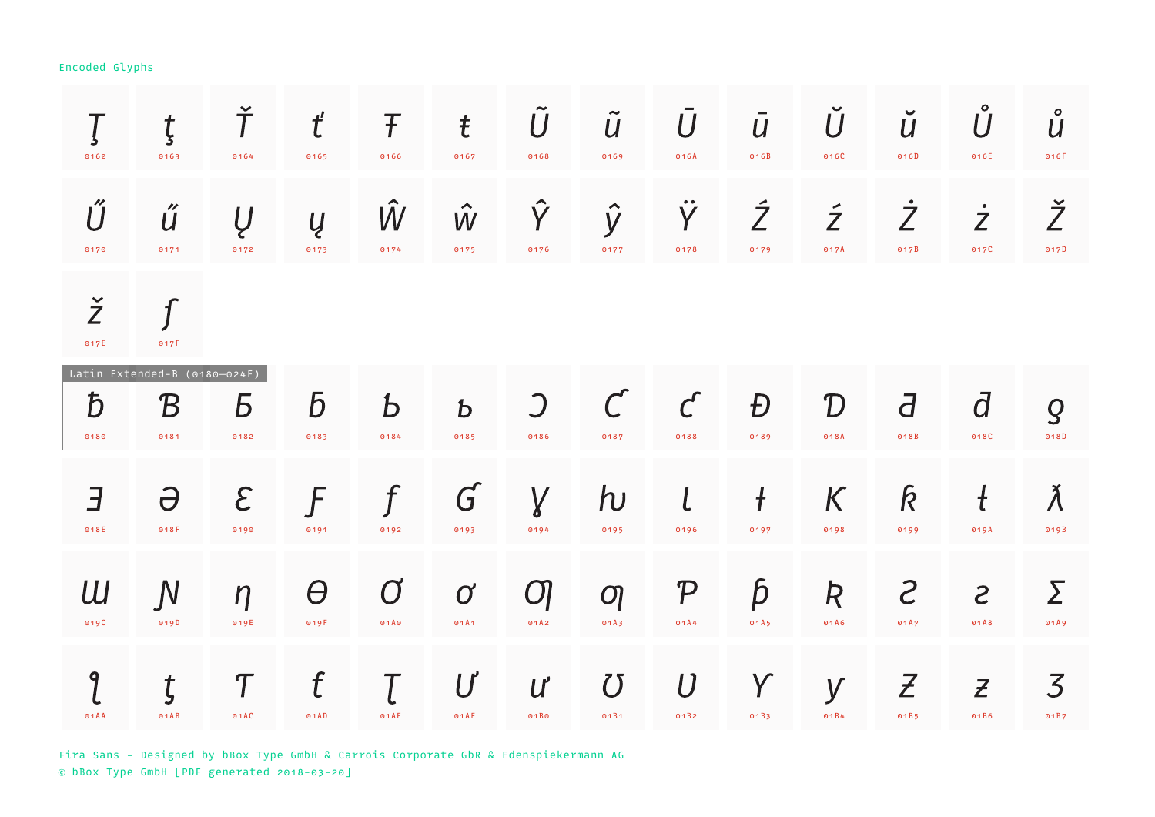| 0162                   | ţ<br>0163                                          | Ť<br>0164             | $t^{\prime}$<br>0165   | Ŧ<br>0166 | $\mathbf t$<br>0167      | $\overline{U}$<br>0168   | $\tilde{U}$<br>0169   | $\overline{U}$<br>016A        | $\overline{U}$<br>016B | Ŭ<br>016C                                                         | $\checkmark$<br>$\overline{u}$<br>016D | Ů<br>016E                           | $\mathbf{o}$<br>$\boldsymbol{U}$<br>016F |
|------------------------|----------------------------------------------------|-----------------------|------------------------|-----------|--------------------------|--------------------------|-----------------------|-------------------------------|------------------------|-------------------------------------------------------------------|----------------------------------------|-------------------------------------|------------------------------------------|
| Ű<br>0170              | ű<br>0171                                          | Ų<br>0172             | Ų<br>0173              | W<br>0174 | $\hat{W}$<br>0175        | $\hat{Y}$<br>0176        | $\hat{y}$<br>0177     | $\bullet\bullet$<br>Y<br>0178 | $\tilde{Z}$<br>0179    | $\tilde{Z}$<br>017A                                               | $\dot{Z}$<br>017B                      | $\dot{Z}$<br>017C                   | Ž<br>017D                                |
| $\check{Z}$<br>017E    | $\mathcal{I}$<br>017F                              |                       |                        |           |                          |                          |                       |                               |                        |                                                                   |                                        |                                     |                                          |
| $\bar{D}$<br>0180      | Latin Extended-B (0180-024F)<br>${\cal B}$<br>0181 | Б<br>0182             | $\overline{b}$<br>0183 | Ъ<br>0184 | $\mathbf b$<br>0185      | $\bigcup$<br>0186        | 0187                  | $\mathcal{C}$<br>0188         | Đ<br>0189              | $\mathcal{D}% _{M_{1},M_{2}}^{\alpha,\beta}(\varepsilon)$<br>018A | $\overline{d}$<br>018B                 | $\overline{d}$<br>018C              | $\overline{Q}$<br>018D                   |
| $\overline{B}$<br>018E | $\Theta$<br>018F                                   | $\mathcal{E}$<br>0190 | F<br>0191              | f<br>0192 | $G^{'}$<br>0193          | $\gamma$<br>0194         | $\mathsf{h}$<br>0195  | $\iota$<br>0196               | $\ddagger$<br>0197     | K<br>0198                                                         | k<br>0199                              | $\mathfrak t$<br>019A               | Ă<br>019B                                |
| Ш<br>019C              | $\overline{N}$<br>019D                             | $\eta$<br>019E        | $\varTheta$<br>019F    | 01A0      | $\boldsymbol{C}$<br>01A1 | $\overline{O}$<br>01A2   | $\mathcal{O}$<br>01A3 | ${\cal P}$<br>01A4            | $\bm{\beta}$<br>01A5   | R<br>01A6                                                         | S<br>01A7                              | $\mathcal{S}_{\mathcal{S}}$<br>01A8 | Σ<br>01A9                                |
| 9<br>01AA              | ţ<br>01AB                                          | $\tau$<br>01AC        | f<br>01AD              | 01AE      | U<br>01AF                | $\boldsymbol{U}$<br>01B0 | $\bm{U}$<br>01B1      | U<br>01B2                     | Y<br>01B3              | y<br>01B4                                                         | $\mathcal{Z}$<br>01B5                  | $\mathcal{Z}$<br>01B6               | $\overline{\mathcal{S}}$<br>01B7         |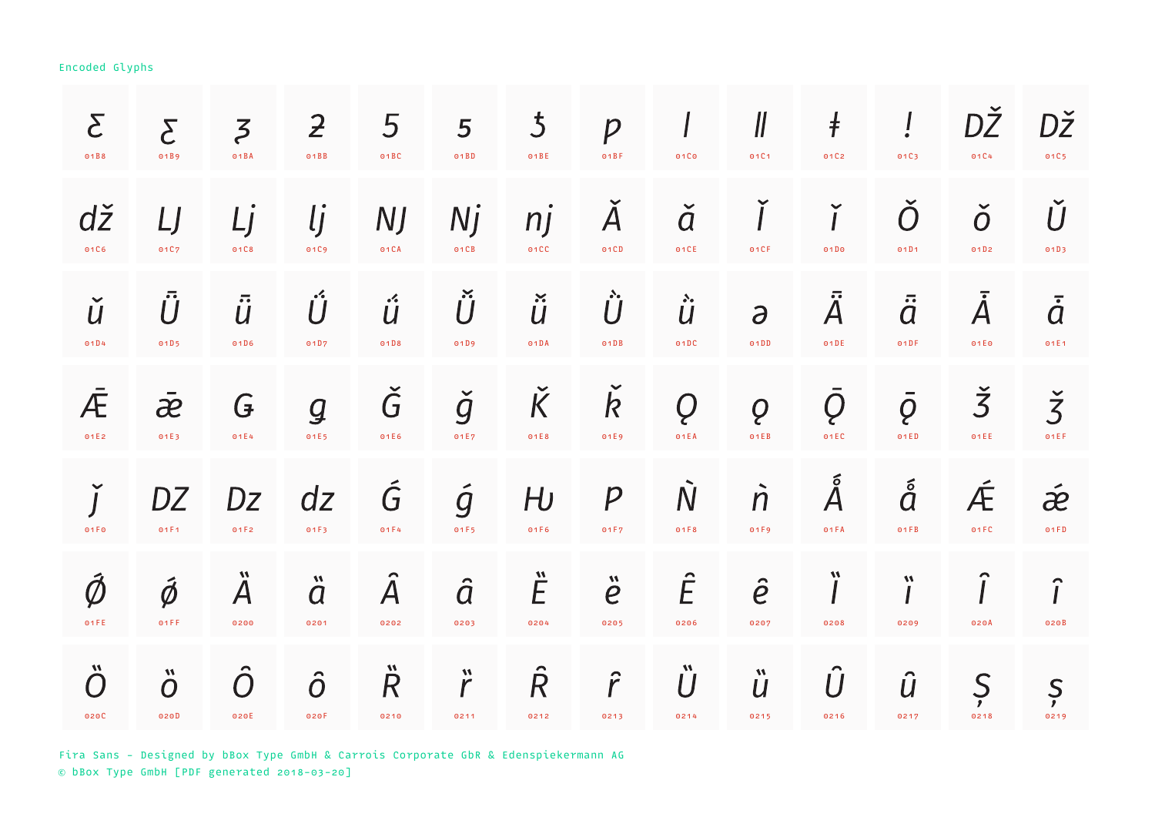| $\mathcal{E}$                         | $\overline{\mathcal{L}}$                   | $\overline{5}$                                | $\overline{z}$                             | 5                                 | 5                         | $\overline{5}$                 | $\overline{P}$                               | 01C <sub>0</sub>         | $\mathcal{U}$                                | $\ddagger$                        | ļ                        | DŽ                      | DŽ                           |
|---------------------------------------|--------------------------------------------|-----------------------------------------------|--------------------------------------------|-----------------------------------|---------------------------|--------------------------------|----------------------------------------------|--------------------------|----------------------------------------------|-----------------------------------|--------------------------|-------------------------|------------------------------|
| 01B8                                  | 01B9                                       | O1BA                                          | O1BB                                       | 01BC                              | 01BD                      | 01BE                           | 01BF                                         |                          | 01C1                                         | 01C2                              | 01C3                     | 01C4                    | 01C5                         |
| dž                                    | IJ                                         | LJ                                            | <u>lj</u>                                  | <b>NJ</b>                         | Nj                        | n j                            | $\overline{A}$                               | $\check{a}$              | 01CF                                         | ĭ                                 | Ŏ                        | $\check{o}$             | Ŭ                            |
| 01C6                                  | 01C7                                       | 01C8                                          | 0109                                       | 01CA                              | 01CB                      | 01CC                           | 01CD                                         | 01CE                     |                                              | 01D0                              | 01D1                     | 01D2                    | 01D3                         |
| ŭ<br>01D4                             | $\ddot{U}$<br>01D5                         | $\overline{\ddot{U}}$<br>01D6                 | Ű<br>01D7                                  | $\cdot$<br>$\overline{U}$<br>01D8 | $\check{\dot{U}}$<br>01D9 | $\ddot{\ddot{\bm{u}}}$<br>01DA | $\ddot{\textit{U}}$<br>O1DB                  | $\ddot{\dot{u}}$<br>01DC | $\partial$<br>01DD                           | $\bar{\ddot{\mathsf{A}}}$<br>01DE | $\ddot{\vec{a}}$<br>01DF | $\bar{\hat{A}}$<br>01E0 | $\overline{\dot{a}}$<br>01E1 |
| Æ                                     | $\bar{a}$                                  | G                                             | $\mathcal{Q}$                              | Ğ                                 | $\check{g}$               | $\check K$                     | $\overline{\mathsf{R}}$                      | Q                        | Q                                            | Q                                 | $\bar{\varrho}$          | $\check{3}$             | $\check{3}$                  |
| 01E2                                  | 01E3                                       | 01E4                                          | 01E5                                       | 01E6                              | 01E7                      | 01E8                           | 01E9                                         | 01EA                     | 01EB                                         | 01EC                              | 01ED                     | 01EE                    | 01EF                         |
| $\check{I}$                           | DZ                                         | Dz                                            | dz                                         | Ğ                                 | $\acute{g}$               | H <sub>U</sub>                 | $\boldsymbol{p}$                             | $\overline{N}$           | $\dot{\Pi}$                                  | $\AA$                             | å                        | Æ                       | $\acute{\boldsymbol{x}}$     |
| 01 F 0                                | 01F1                                       | 01F2                                          | 01F3                                       | 01F4                              | 01F5                      | 01F6                           | 01F7                                         | 01F8                     | 01F9                                         | 01FA                              | 01FB                     | 01FC                    | 01FD                         |
| $\vec{\emptyset}$<br>01FE             | $\vec{\phi}$<br>01FF                       | $\boldsymbol{M}$<br>${\boldsymbol A}$<br>0200 | $\boldsymbol{M}$<br>$\overline{a}$<br>0201 | ${\boldsymbol A}$<br>0202         | $\hat{a}$<br>0203         | $\ddot{E}$<br>0204             | $\boldsymbol{M}$<br>$\boldsymbol{e}$<br>0205 | Ê<br>0206                | $\hat{e}$<br>0207                            | W<br>0208                         | W<br>0209                | 020A                    | $\hat{I}$<br>020B            |
| $\boldsymbol{M}$<br>$\bigcap$<br>020C | $\boldsymbol{M}$<br>$\overline{O}$<br>020D | $\overline{O}$<br>020E                        | $\hat{o}$<br>020F                          | $\boldsymbol{M}$<br>R<br>0210     | $\ddot{r}$<br>0211        | $\ddot{\mathsf{R}}$<br>0212    | $\hat{r}$<br>0213                            | $\ddot{\bm{U}}$<br>0214  | $\boldsymbol{M}$<br>$\boldsymbol{U}$<br>0215 | Û<br>0216                         | $\hat{U}$<br>0217        | $\mathcal{S}$<br>0218   | Ş<br>0219                    |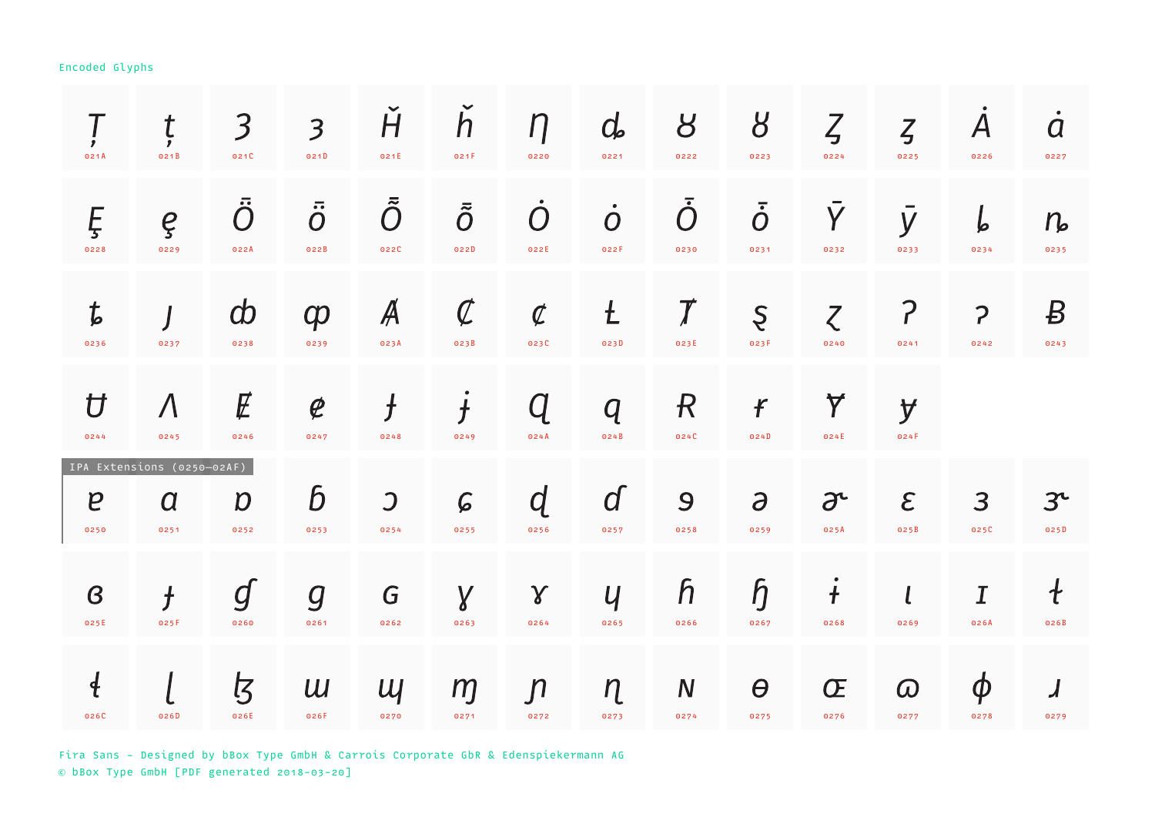| 021A                     | ţ<br>021B                                              | 3<br>021C                     | $\overline{\mathbf{3}}$<br>021D         | H<br>021E                        | $\overline{h}$<br>021F      | $\eta$<br>0220                     | $d_{\mathbf{z}}$<br>0221            | 8<br>0222                          | 8<br>0223                     | $\zeta$<br>0224                  | $\zeta$<br>0225       | $\boldsymbol{A}$<br>0226         | $\bullet$<br>$\boldsymbol{a}$<br>0227 |
|--------------------------|--------------------------------------------------------|-------------------------------|-----------------------------------------|----------------------------------|-----------------------------|------------------------------------|-------------------------------------|------------------------------------|-------------------------------|----------------------------------|-----------------------|----------------------------------|---------------------------------------|
| Ę<br>0228                | ę<br>0229                                              | $\bar{\tilde{O}}$<br>022A     | $\overline{\cdots}$<br>$\Omega$<br>022B | $\tilde{\tilde{O}}$<br>022C      | $\bar{\tilde{O}}$<br>022D   | $\bigcap$<br>022E                  | $\bullet$<br>$\overline{O}$<br>022F | $\bar{O}$<br>0230                  | $\bar{\dot O}$<br>0231        | $\overline{Y}$<br>0232           | y<br>0233             | b<br>0234                        | $n_{\rm e}$<br>0235                   |
| $\boldsymbol{t}$<br>0236 | 0237                                                   | $\boldsymbol{\omega}$<br>0238 | $\boldsymbol{\phi}$<br>0239             | Ã<br>023A                        | $\mathcal{C}$<br>023B       | $\boldsymbol{\mathcal{C}}$<br>023C | $\mathbf t$<br>023D                 | $\boldsymbol{\mathcal{J}}$<br>023E | Ş<br>023F                     | $\zeta$<br>0240                  | <sup>?</sup><br>0241  | $\mathbf{P}$<br>0242             | $\boldsymbol{B}$<br>0243              |
| $\overline{U}$<br>0244   | $\Lambda$<br>0245                                      | $\not\!\!E$<br>0246           | $\boldsymbol{\varrho}$<br>0247          | $\bm{f}$<br>0248                 | $\overline{\bm{f}}$<br>0249 | O)<br>024A                         | $\bm{q}$<br>024B                    | $\mathcal{R}$<br>024C              | $\boldsymbol{f}$<br>024D      | $\blacktriangledown$<br>024E     | y<br>024F             |                                  |                                       |
| $\boldsymbol{e}$<br>0250 | IPA Extensions (0250-02AF)<br>$\boldsymbol{a}$<br>0251 | $\boldsymbol{D}$<br>0252      | $\bm{b}$<br>0253                        | $\overline{\mathcal{L}}$<br>0254 | $\mathcal G$<br>0255        | $\overline{d}$<br>0256             | $\overline{d}$<br>0257              | $\mathbf{Q}$<br>0258               | $\partial$<br>0259            | $\partial^{\mathcal{L}}$<br>025A | $\mathcal{E}$<br>025B | 3<br>025C                        | 3 <sup>c</sup><br>025D                |
| $\boldsymbol{B}$<br>025E | $\bm{f}$<br>025F                                       | g<br>0260                     | $\overline{g}$<br>0261                  | G<br>0262                        | $\gamma$<br>0263            | $\gamma$<br>0264                   | $\mathcal{U}$<br>0265               | $\mathsf h$<br>0266                | $\mathfrak h$<br>0267         | $\ddagger$<br>0268               | 0269                  | $\overline{\mathcal{I}}$<br>026A | $\mathcal{L}_{\mathcal{L}}$<br>026B   |
| $\ddagger$<br>026C       | 026D                                                   | <u>Z</u><br>026E              | U<br>026F                               | $U_1$<br>0270                    | m<br>0271                   | $\mathsf{n}$<br>0272               | $\eta$<br>0273                      | $\mathbf N$<br>0274                | $\boldsymbol{\theta}$<br>0275 | Œ<br>0276                        | $\omega$<br>0277      | $\boldsymbol{\phi}$<br>0278      | $\overline{\mathcal{A}}$<br>0279      |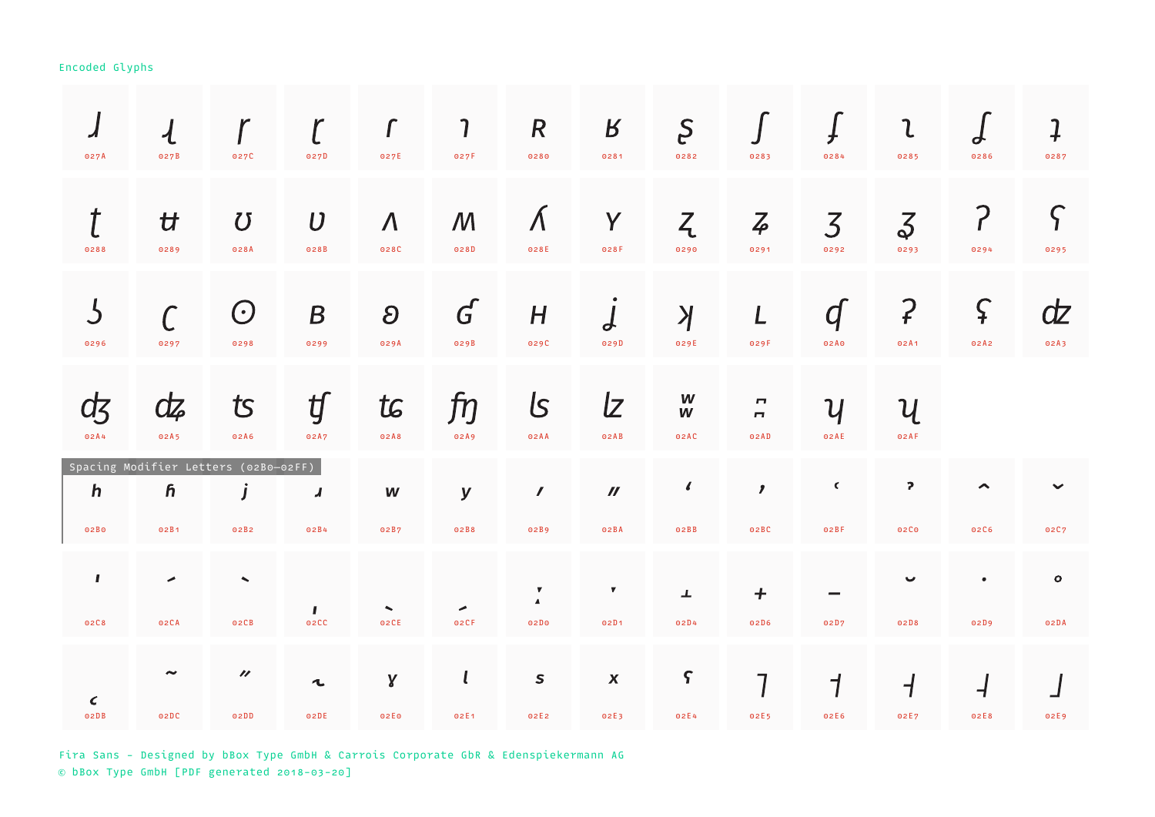| ◢<br>027A            | $\mathcal{A}_{\mathcal{A}}$<br>027B               | 027C                                | 027D                     | $\Gamma$<br>027E                | 7<br>027F                           | $\boldsymbol{R}$<br>0280                  | $\boldsymbol{B}$<br>0281           | S<br>0282           | 0283                                               | 0284                               | $\mathfrak{c}$<br>0285           | $\boldsymbol{d}$<br>0286         | $\overline{1}$<br>0287 |
|----------------------|---------------------------------------------------|-------------------------------------|--------------------------|---------------------------------|-------------------------------------|-------------------------------------------|------------------------------------|---------------------|----------------------------------------------------|------------------------------------|----------------------------------|----------------------------------|------------------------|
| t<br>0288            | $\mathcal{H}$<br>0289                             | $\boldsymbol{U}$<br>028A            | $\boldsymbol{U}$<br>028B | $\Lambda$<br>028C               | $\mathcal{M}_{\mathcal{A}}$<br>028D | $\Lambda$<br>028E                         | Y<br>028F                          | Z<br>0290           | $\overline{4}$<br>0291                             | $\overline{3}$<br>0292             | $\vec{\delta}$<br>0293           | ?<br>0294                        | $\varsigma$<br>0295    |
| $\mathcal S$<br>0296 | 0297                                              | $\bigodot$<br>0298                  | $\boldsymbol{B}$<br>0299 | $\boldsymbol{\partial}$<br>029A | $\boldsymbol{G}$<br>029B            | H<br>029C                                 | $\boldsymbol{d}$<br>029D           | $\lambda$<br>029E   | L<br>029F                                          | $\overline{q}$<br>02A0             | $\mathcal{P}$<br>02A1            | $\varsigma$<br>02A2              | dz<br>02A3             |
| ď<br>02A4            | dz<br>02A5                                        | $\mathcal{R}$<br>02A6               | ʧ<br>02A7                | tc<br>02A8                      | fŋ<br>02A9                          | ls<br>02AA                                | $\mathcal{Z}$<br>02AB              | W<br>W<br>02AC      | $\overline{\phantom{m}}$<br>$\blacksquare$<br>02AD | $\boldsymbol{\mathcal{U}}$<br>02AE | $\mathcal U$<br>02AF             |                                  |                        |
| $\mathbf h$<br>02B0  | Spacing Modifier Letters (02B0-02FF)<br>ĥ<br>02B1 | j<br>02B2                           | $\boldsymbol{J}$<br>02B4 | W<br>02B7                       | $\mathbf y$<br>02B8                 | $\mathcal{L}_{\mathcal{L}}$<br>02B9       | $\boldsymbol{\mathcal{U}}$<br>02BA | $\epsilon$<br>O2BB  | $\mathbf{r}$<br>02BC                               | $\epsilon$<br>02BF                 | $\mathbf{P}$<br>02C0             | $\blacktriangle$<br>02C6         | $\checkmark$<br>02C7   |
| $\mathbf{I}$         | ◢                                                 | $\blacktriangle$                    | $\mathbf{I}$             | $\blacktriangle$                | $\overline{\phantom{a}}$            | $\boldsymbol{\nabla}$<br>$\blacktriangle$ | $\pmb{\nabla}$                     | ᅩ                   | $\boldsymbol{+}$                                   |                                    | ◡                                | $\bullet$                        | $\circ$                |
| 02C8                 | 02CA                                              | 02CB                                | 02CC                     | 02CE                            | 02CF                                | 02D <sub>0</sub>                          | 02D1                               | 02D4                | 02D6                                               | 02D7                               | 02D8                             | 02D9                             | 02DA                   |
| $\epsilon$<br>02DB   | $\tilde{\phantom{a}}$<br>02DC                     | $\boldsymbol{\prime\prime}$<br>02DD | $\mathbf{t}$<br>02DE     | γ<br>02E0                       | $\mathbf{l}$<br>02E1                | $\mathsf S$<br>02E2                       | $\pmb{X}$<br>02E3                  | $\varsigma$<br>02E4 | 7<br>02E5                                          | $\mathcal I$<br>02E6               | $\overline{\phantom{a}}$<br>02E7 | $\overline{\mathcal{A}}$<br>02E8 | 02E9                   |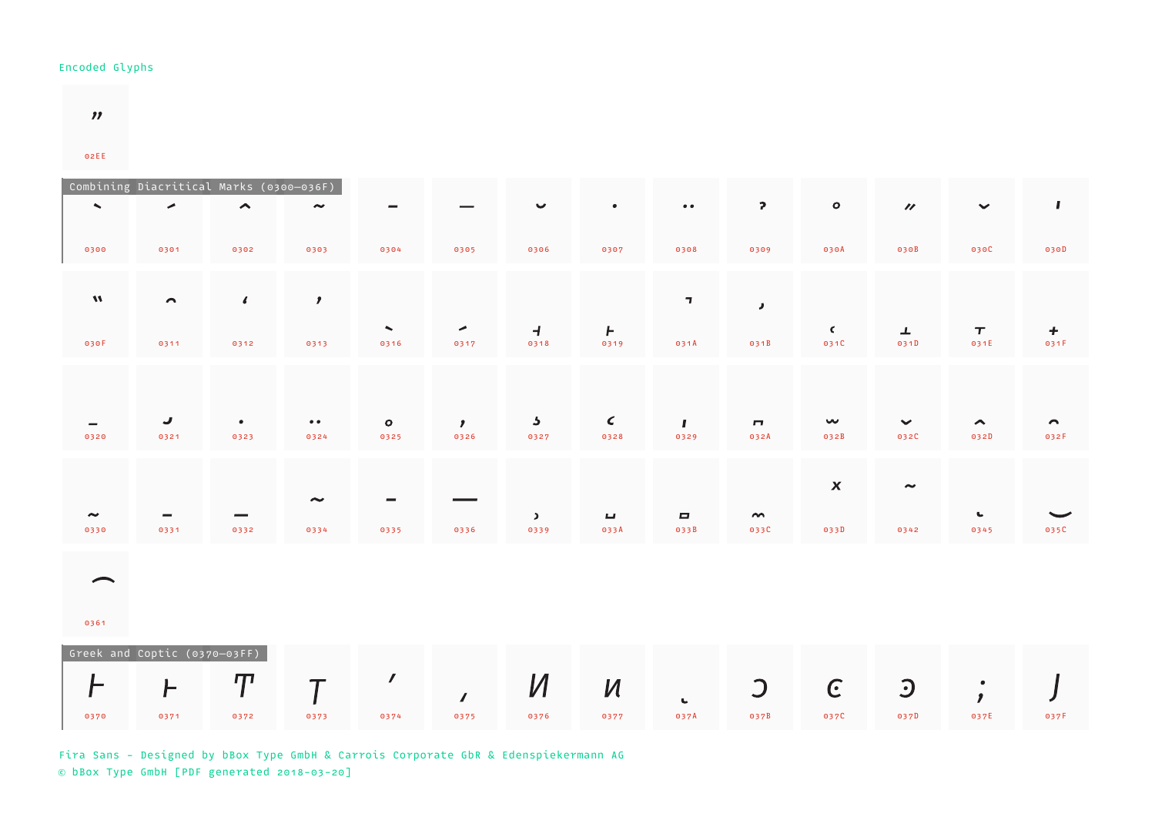$\boldsymbol{\eta}$ 

02EE

| $\sim$                        | Combining Diacritical Marks (0300-036F)<br>◢ | $\hat{\phantom{a}}$      | $\tilde{\phantom{a}}$    |                                  |                      | $\checkmark$                    | $\bullet$                          | $\bullet\; \bullet$          | $\mathbf{P}$           | $\circ$                           | $\boldsymbol{\prime\prime}$     | $\checkmark$             | $\mathbf{I}$             |
|-------------------------------|----------------------------------------------|--------------------------|--------------------------|----------------------------------|----------------------|---------------------------------|------------------------------------|------------------------------|------------------------|-----------------------------------|---------------------------------|--------------------------|--------------------------|
| 0300                          | 0301                                         | 0302                     | 0303                     | 0304                             | 0305                 | 0306                            | 0307                               | 0308                         | 0309                   | 030A                              | 030B                            | 030C                     | 030D                     |
| $\boldsymbol{M}$              | $\sim$                                       | $\sqrt{2}$               | $\mathbf{r}$             |                                  |                      |                                 |                                    | $\mathbf{I}$                 | $\pmb{J}$              |                                   |                                 |                          |                          |
| 030F                          | 0311                                         | 0312                     | 0313                     | $\overline{\phantom{a}}$<br>0316 | ◄<br>0317            | $\overline{1}$<br>0318          | $\mathsf{F}$<br>0319               | 031A                         | 031B                   | $\epsilon$<br>031C                | $\perp$<br>031D                 | $\pmb{\tau}$<br>031E     | $\boldsymbol{+}$<br>031F |
|                               |                                              |                          |                          |                                  |                      |                                 |                                    |                              |                        |                                   |                                 |                          |                          |
| 0320                          | J<br>0321                                    | $\bullet$<br>0323        | $\bullet\bullet$<br>0324 | $\bullet$<br>0325                | $\mathbf{r}$<br>0326 | $\overline{\mathbf{z}}$<br>0327 | $\epsilon$<br>0328                 | $\mathbf{I}$<br>0329         | $\mathbf{r}$<br>032A   | $\boldsymbol{\mathsf{w}}$<br>032B | $\checkmark$<br>032C            | $\blacktriangle$<br>032D | $\sim$<br>032F           |
|                               |                                              |                          | $\tilde{\phantom{a}}$    |                                  |                      |                                 |                                    |                              |                        | $\boldsymbol{\mathsf{X}}$         | $\tilde{\phantom{a}}$           |                          |                          |
| $\tilde{\phantom{a}}$<br>0330 | 0331                                         | 0332                     | 0334                     | 0335                             | 0336                 | $\blacktriangleright$<br>0339   | $\overline{\phantom{a}}$<br>033A   | $\qquad \qquad \Box$<br>033B | $\sim$<br>033C         | 033D                              | 0342                            | $\mathbf{C}$<br>0345     | 035C                     |
| ⌒                             |                                              |                          |                          |                                  |                      |                                 |                                    |                              |                        |                                   |                                 |                          |                          |
| 0361                          |                                              |                          |                          |                                  |                      |                                 |                                    |                              |                        |                                   |                                 |                          |                          |
|                               | Greek and Coptic (0370-03FF)                 |                          |                          | $\mathcal{L}_{\mathcal{L}}$      |                      |                                 |                                    |                              |                        |                                   |                                 |                          |                          |
| F<br>0370                     | F<br>0371                                    | $\boldsymbol{T}$<br>0372 | $\tau$<br>0373           | 0374                             | $\sqrt{2}$<br>0375   | $\boldsymbol{M}$<br>0376        | $\boldsymbol{\mathcal{U}}$<br>0377 | $\mathbf{L}$<br>037A         | $\overline{C}$<br>037B | $\epsilon$<br>037C                | $\overline{\mathbf{C}}$<br>037D | $\frac{1}{2}$<br>037E    | 037F                     |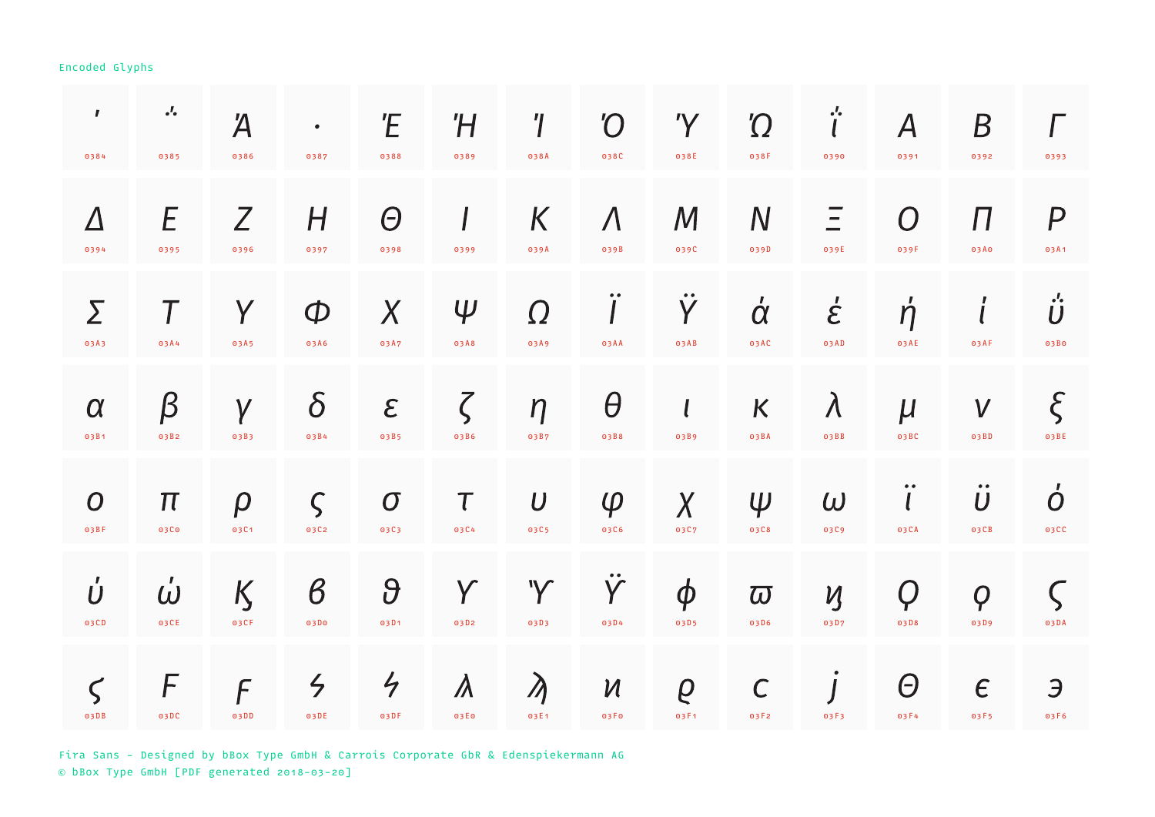| $\pmb{I}$<br>0384        | $\cdot^{\prime}$<br>0385         | Ά<br>0386          | $\bullet$<br>0387            | Έ<br>0388                    | Ή<br>0389         | $^{\prime}$<br>038A      | <b>'O</b><br>038C                  | 'Y<br>038E                                 | $\Omega$<br>038F       | $\frac{1}{l}$<br>0390              | $\bm{\mathsf{A}}$<br>0391 | B<br>0392                                    | 0393                                                               |
|--------------------------|----------------------------------|--------------------|------------------------------|------------------------------|-------------------|--------------------------|------------------------------------|--------------------------------------------|------------------------|------------------------------------|---------------------------|----------------------------------------------|--------------------------------------------------------------------|
| $\Delta$<br>0394         | E<br>0395                        | Z<br>0396          | H<br>0397                    | $\Theta$<br>0398             | 0399              | K<br>039A                | $\Lambda$<br>039B                  | $\mathcal M$<br>039C                       | $\mathsf{N}$<br>039D   | 039E                               | $\Omega$<br>039F          | П<br>03A0                                    | $\overline{P}$<br>03A1                                             |
| Σ<br>03A3                | 03A4                             | Y<br>03A5          | $\Phi$<br>03A6               | X<br>03A7                    | $\Psi$<br>03A8    | $\Omega$<br>03A9         | $\bullet\; \bullet$<br>03AA        | $\bullet\bullet$<br>$\overline{Y}$<br>03AB | $\dot{\alpha}$<br>03AC | $\dot{\mathcal{E}}$<br>03AD        | $\acute{\eta}$<br>03AE    | ,<br>$\mathbf l$<br>03AF                     | $\cdot$ <sup><math>\prime</math></sup><br>$\boldsymbol{U}$<br>03B0 |
| $\alpha$<br>03B1         | $\beta$<br>03B2                  | $\gamma$<br>03B3   | $\delta$<br>03B4             | $\epsilon$<br>03B5           | $\zeta$<br>03B6   | $\eta$<br>03B7           | $\theta$<br>03B8                   | $\mathbf{l}$<br>03B9                       | K<br>03BA              | $\lambda$<br>03BB                  | $\mu$<br>03BC             | $\boldsymbol{V}$<br>03BD                     | $\xi$<br>03BE                                                      |
| $\boldsymbol{O}$<br>03BF | $\boldsymbol{\pi}$<br>03C0       | $\rho$<br>03C1     | $\varsigma$<br>03C2          | $\boldsymbol{O}$<br>03C3     | $\tau$<br>03C4    | $\boldsymbol{U}$<br>03C5 | $\varphi$<br>03C6                  | $\chi$<br>03C7                             | $\Psi$<br>03C8         | $\omega$<br>03C9                   | 03CA                      | $\bullet\bullet$<br>$\boldsymbol{U}$<br>03CB | $\dot{o}$<br>03CC                                                  |
| Ú<br>03CD                | $\mathbf{r}$<br>$\omega$<br>03CE | K<br>03CF          | $\boldsymbol{\beta}$<br>03D0 | $\theta$<br>03D1             | Y<br>03D2         | 'Y<br>03D3               | Y<br>03D4                          | $\boldsymbol{\phi}$<br>03D5                | $\varpi$<br>03D6       | $\boldsymbol{\mathcal{U}}$<br>03D7 | Q<br>03D8                 | $\boldsymbol{Q}$<br>03D9                     | 03DA                                                               |
| $\varsigma$<br>03DB      | F<br>03DC                        | $\sqrt{2}$<br>03DD | $\zeta$<br>03DE              | $\frac{1}{\sqrt{2}}$<br>03DF | $\Lambda$<br>03E0 | $\lambda$<br>03E1        | $\boldsymbol{\mathcal{U}}$<br>03F0 | $\varrho$<br>03F1                          | $\mathsf{C}$<br>03F2   | 03F3                               | Θ<br>03F4                 | $\epsilon$<br>03F5                           | Э<br>03F6                                                          |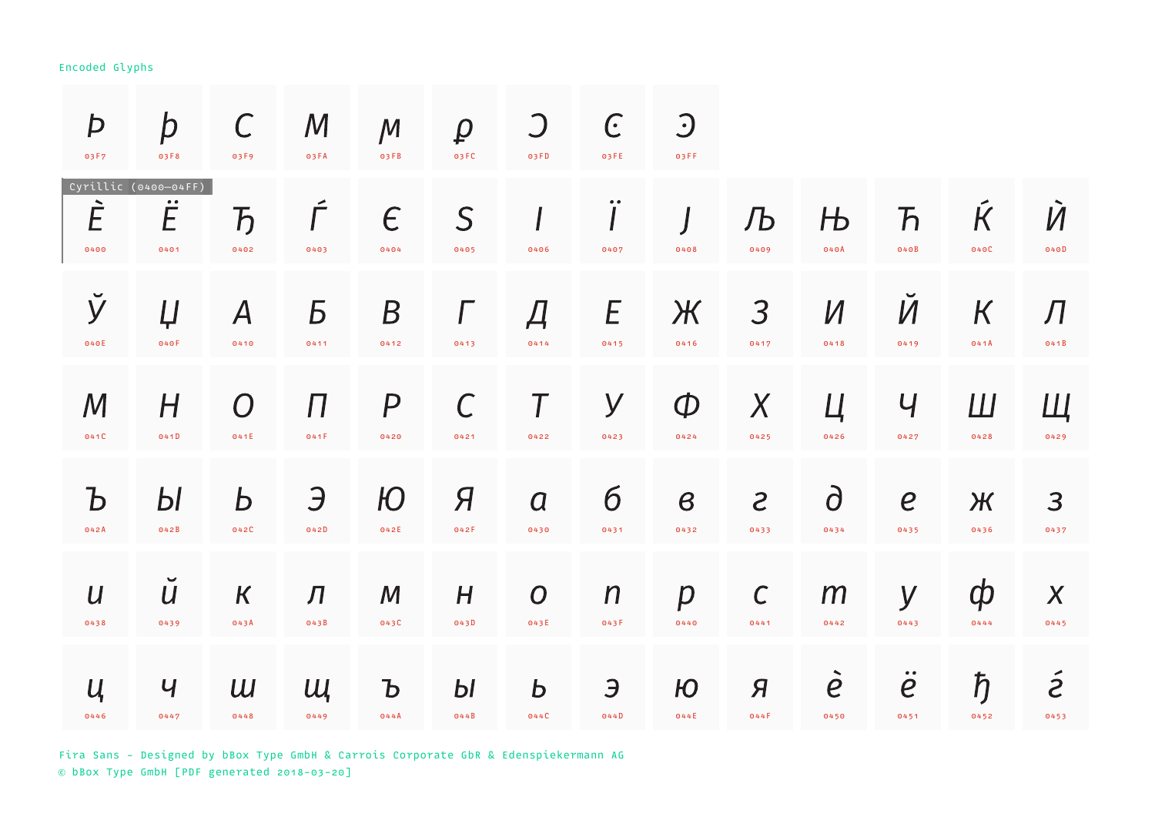| Þ<br>03F7                          | $\bm{p}$<br>03F8                                      | $\mathcal{C}$<br>03F9  | $\boldsymbol{M}$<br>03FA | $\mathcal M$<br>03FB | $\varrho$<br>03 FC | $\bigcup$<br>03FD | $\epsilon$<br>03FE          | $\bigcup$<br>03FF    |                             |                                            |                                    |                                 |                     |
|------------------------------------|-------------------------------------------------------|------------------------|--------------------------|----------------------|--------------------|-------------------|-----------------------------|----------------------|-----------------------------|--------------------------------------------|------------------------------------|---------------------------------|---------------------|
| È<br>0400                          | Cyrillic (0400-04FF)<br>$\bullet\bullet$<br>E<br>0401 | $\overline{b}$<br>0402 | 0403                     | $\epsilon$<br>0404   | S<br>0405          | 0406              | $\bullet\; \bullet$<br>0407 | 0408                 | Љ<br>0409                   | Њ<br>040A                                  | $\boldsymbol{\mathcal{F}}$<br>040B | $\overline{\mathsf{K}}$<br>040C | $\dot{M}$<br>040D   |
| ў                                  | Ų                                                     | $\bm{A}$               | Б                        | B                    | $\Gamma$           | Д                 | E                           | Ж                    | 3                           | $\overline{M}$                             | $\boldsymbol{\mathcal{U}}$         | $\boldsymbol{K}$                | Л                   |
| 040E                               | 040F                                                  | 0410                   | 0411                     | 0412                 | 0413               | 0414              | 0415                        | 0416                 | 0417                        | 0418                                       | 0419                               | 041A                            | 041B                |
| $\mathcal M$                       | H                                                     | $\overline{ }$         | П                        | P                    | $\Gamma$           | 0422              | У                           | $\mathcal{D}$        | $\chi$                      | Ц                                          | Ч                                  | Ш                               | Щ                   |
| 041C                               | 041D                                                  | 041E                   | 041F                     | 0420                 | 0421               |                   | 0423                        | 0424                 | 0425                        | 0426                                       | 0427                               | 0428                            | 0429                |
| $\mathbf b$                        | Ы                                                     | Ь                      | Э                        | Ю                    | Я                  | $\overline{a}$    | $\sigma$                    | $\boldsymbol{\beta}$ | $\mathcal{S}_{\mathcal{S}}$ | $\partial$                                 | $\boldsymbol{e}$                   | Ж                               | 3                   |
| 042A                               | 042B                                                  | 042C                   | 042D                     | 042E                 | 042F               | 0430              | 0431                        | 0432                 | 0433                        | 0434                                       | 0435                               | 0436                            | 0437                |
| $\boldsymbol{U}$                   | $\check{U}$                                           | $\kappa$               | Л                        | M                    | H                  | $\boldsymbol{O}$  | $\boldsymbol{n}$            | $\boldsymbol{p}$     | $\mathcal C$                | m                                          | У                                  | ф                               | $\boldsymbol{X}$    |
| 0438                               | 0439                                                  | 043A                   | 043B                     | 043C                 | 043D               | 043E              | 043F                        | 0440                 | 0441                        | 0442                                       | 0443                               | 0444                            | 0445                |
| $\mathcal{U}_{\mathsf{I}}$<br>0446 | Ч<br>0447                                             | $\overline{u}$<br>0448 | Щ<br>0449                | Ъ<br>044A            | Ы<br>044B          | $\bm{b}$<br>044C  | Э<br>044D                   | Ю<br>044E            | Я<br>044F                   | $\blacktriangle$<br>$\overline{e}$<br>0450 | $\ddot{e}$<br>0451                 | $\hbar$<br>0452                 | $\tilde{z}$<br>0453 |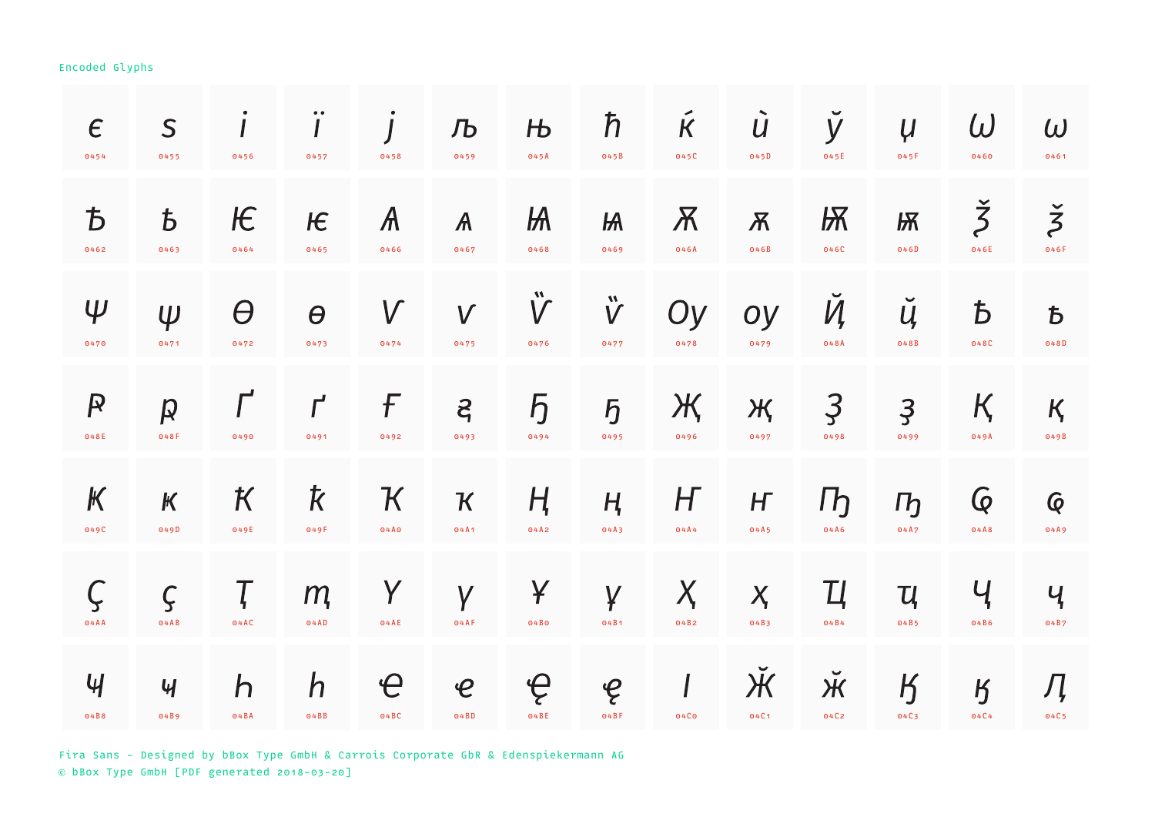| $\epsilon$<br>0454        | S<br>0455                  | 0456             | $\bullet\; \bullet$<br>0457 | 0458                   | Љ<br>0459                  | $H_{\rm b}$<br>045A         | $\hbar$<br>045B                 | $\tilde{\mathsf{K}}$<br>045C | $\dot{U}$<br>045D        | $\breve{\mathsf{y}}$<br>045E | $\mu$<br>045F                    | $\omega$<br>0460              | $\omega$<br>0461             |
|---------------------------|----------------------------|------------------|-----------------------------|------------------------|----------------------------|-----------------------------|---------------------------------|------------------------------|--------------------------|------------------------------|----------------------------------|-------------------------------|------------------------------|
| $\overline{D}$            | $\bm{b}$                   | Æ                | $H \in$                     | $\mathcal{A}$          | $\mathcal{A}$              | $H\!A$                      | $H\!A$                          | $\overline{\mathcal{K}}$     | $\overline{\mathcal{X}}$ | Ѭ                            | <b>Ѭ</b>                         | $\check{\check{\mathcal{Z}}}$ | $\check{\check{\mathsf{z}}}$ |
| 0462                      | 0463                       | 0464             | 0465                        | 0466                   | 0467                       | 0468                        | 0469                            | 046A                         | 046B                     | 046C                         | 046D                             | 046E                          | 046F                         |
| $\Psi$<br>0470            | $\psi$<br>0471             | $\Theta$<br>0472 | $\theta$<br>0473            | $\sqrt{}$<br>0474      | $\boldsymbol{V}$<br>0475   | $\ddot{\mathsf{V}}$<br>0476 | $\mathbf{\mathring{V}}$<br>0477 | Oy<br>0478                   | oy<br>0479               | И<br>048A                    | $\checkmark$<br>$\iota$<br>048B  | $\mathbf b$<br>048C           | $\overline{b}$<br>048D       |
| $\mathsf{P}$              | $\boldsymbol{p}$           | 0490             | $\mathcal{L}$               | F                      | $\mathcal{E}_{1}$          | $\overline{b}$              | $\overline{b}$                  | Ж                            | Ж                        | $\mathfrak{Z}$               | $\overline{3}$                   | Қ                             | $K_{\mathbf{z}}$             |
| 048E                      | 048F                       |                  | 0491                        | 0492                   | 0493                       | 0494                        | 0495                            | 0496                         | 0497                     | 0498                         | 0499                             | 049A                          | 049B                         |
| $\boldsymbol{\mathsf{K}}$ | $\boldsymbol{\mathcal{K}}$ | К                | k                           | ${\mathcal K}$         | $\boldsymbol{\kappa}$      | Ң                           | $H_{\!\scriptscriptstyle 1}$    | H                            | H                        | $\Gamma$                     | $\Gamma$                         | $\overline{Q}$                | $\overline{Q}$               |
| 049C                      | 049D                       | 049E             | 049F                        | 04A0                   | 04A1                       | 04A2                        | 04A3                            | 04A4                         | 04A5                     | 04A6                         | 04A7                             | 04A8                          | 04A9                         |
| 04AA                      | $\varsigma$<br>04AB        | 04AC             | m<br>O4AD                   | Y<br>04AE              | Y<br>04AF                  | ¥<br>04B0                   | $\overline{Y}$<br>04B1          | $\bm{\mathsf{X}}$<br>04B2    | $X_{1}$<br>04B3          | Ц<br>04B4                    | $\mathcal{U}_\mathbf{r}$<br>04B5 | Ҷ<br>04B6                     | Ҷ<br>04B7                    |
| $\mathcal{H}$             | $\mathcal{U}$              | $\mathsf{h}$     | $\mathsf{h}$                | $\boldsymbol{\varphi}$ | $\boldsymbol{\mathcal{C}}$ | ę                           | $\mathcal{C}$                   | $\sqrt{ }$                   | $\mathcal{\bar{H}}$      | $\breve{\mathcal{H}}$        | $\boldsymbol{B}$                 | $\overline{B}$                | Ӆ                            |
| 04B8                      | 04B9                       | O4BA             | O4B                         | 04BC                   | O4BD                       | 04BE                        | $04B$ F                         | 04C <sub>0</sub>             | 04C1                     | 04C2                         | 04C3                             | 04C4                          | 04C5                         |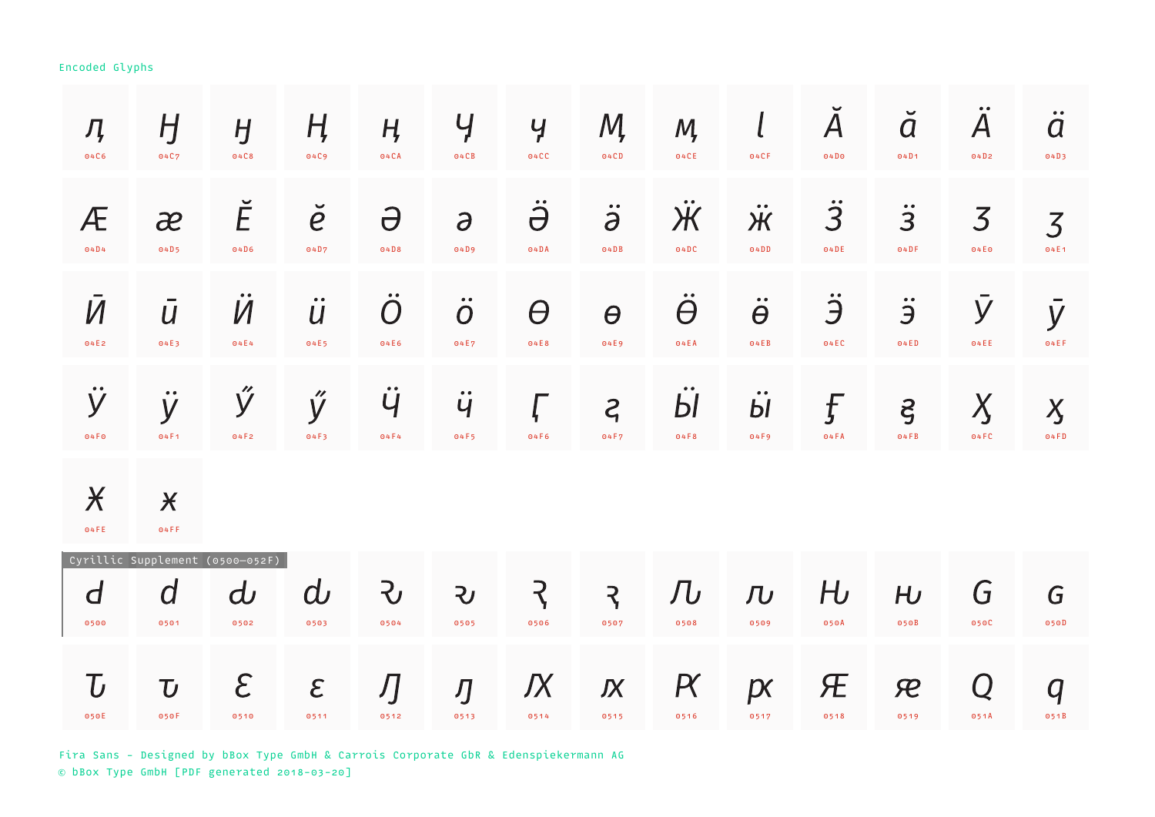| Ӆ<br>04C6                 | H<br>04C7                                     | $H_{\mathcal{L}}$<br>04C8                   | Ӊ<br>04C9                     | $H_{\mathcal{I}}$<br>04CA                  | Y<br>04CB                              | $\mathcal{Y}$<br>04CC     | M,<br>04CD                | M,<br>04CE                | $\iota$<br>04CF                            | $\overline{\mathsf{A}}$<br>04D0      | $\check{a}$<br>04D1         | $\boldsymbol{A}$<br>04D2           | $\ddot{a}$<br>04D3     |
|---------------------------|-----------------------------------------------|---------------------------------------------|-------------------------------|--------------------------------------------|----------------------------------------|---------------------------|---------------------------|---------------------------|--------------------------------------------|--------------------------------------|-----------------------------|------------------------------------|------------------------|
| Æ<br>04D4                 | $\partial^2$<br>04D5                          | Ĕ<br>04D6                                   | $\check{e}$<br>04D7           | $\partial$<br>04D8                         | $\partial$<br>04D9                     | $\ddot{\partial}$<br>O4DA | $\ddot{\partial}$<br>O4DB | Ӝ<br>04DC                 | $\bullet\bullet$<br>Ж<br>O4DD              | $\ddot{3}$<br>04DE                   | $\ddot{3}$<br>04DF          | $\overline{3}$<br>04E <sub>0</sub> | $\overline{3}$<br>04E1 |
| $\bar{M}$<br>04E2         | $\overline{U}$<br>04E3                        | Ӥ<br>04E4                                   | $\ddot{u}$<br>04E5            | $\overline{O}$<br>04E6                     | $\ddot{o}$<br>04E7                     | $\theta$<br>04E8          | $\theta$<br>04E9          | $\theta$<br>04EA          | $\ddot{\theta}$<br>04EB                    | Ë<br>04EC                            | $\ddot{\mathbf{z}}$<br>04ED | y<br>04EE                          | $\bar{y}$<br>04EF      |
| ÿ<br>04F <sub>0</sub>     | $\bullet\bullet$<br>y<br>04F1                 | Ӳ<br>04F2                                   | ý<br>04F3                     | $\bullet\;\bullet$<br>$\mathsf{U}$<br>04F4 | $\bullet\bullet$<br>$\ddot{q}$<br>04F5 | 04F6                      | $\zeta$<br>04F7           | Ы<br>04F8                 | $\bullet\bullet$<br>b <sub>l</sub><br>04F9 | f<br>04FA                            | $\zeta$<br>04FB             | $\chi$<br>04FC                     | $\overline{X}$<br>04FD |
| $\chi$<br>04FE            | $\chi$<br>04FF                                |                                             |                               |                                            |                                        |                           |                           |                           |                                            |                                      |                             |                                    |                        |
| d<br>0500                 | Cyrillic Supplement<br>$\overline{a}$<br>0501 | $(0500 - 052F)$<br>$\boldsymbol{d}$<br>0502 | $\boldsymbol{\omega}$<br>0503 | $\mathcal{L}$<br>0504                      | $\mathbf{z}$<br>0505                   | <b>R</b><br>0506          | $\overline{z}$<br>0507    | $J\!U$<br>0508            | $\overline{\overline{L}}$<br>0509          | $H_{\!\scriptscriptstyle D}$<br>050A | H <sub>U</sub><br>050B      | G<br>050C                          | G<br>050D              |
| $\bm{\mathrm{U}}$<br>050E | $\mathbf U$<br>050F                           | $\mathcal{E}$<br>0510                       | $\epsilon$<br>0511            | Ŋ<br>0512                                  | Ŋ<br>0513                              | Љ<br>0514                 | $\boldsymbol{K}$<br>0515  | $\bm{\mathsf{R}}$<br>0516 | p<br>0517                                  | Æ<br>0518                            | $\mathcal{R}$<br>0519       | Q<br>051A                          | $\overline{q}$<br>051B |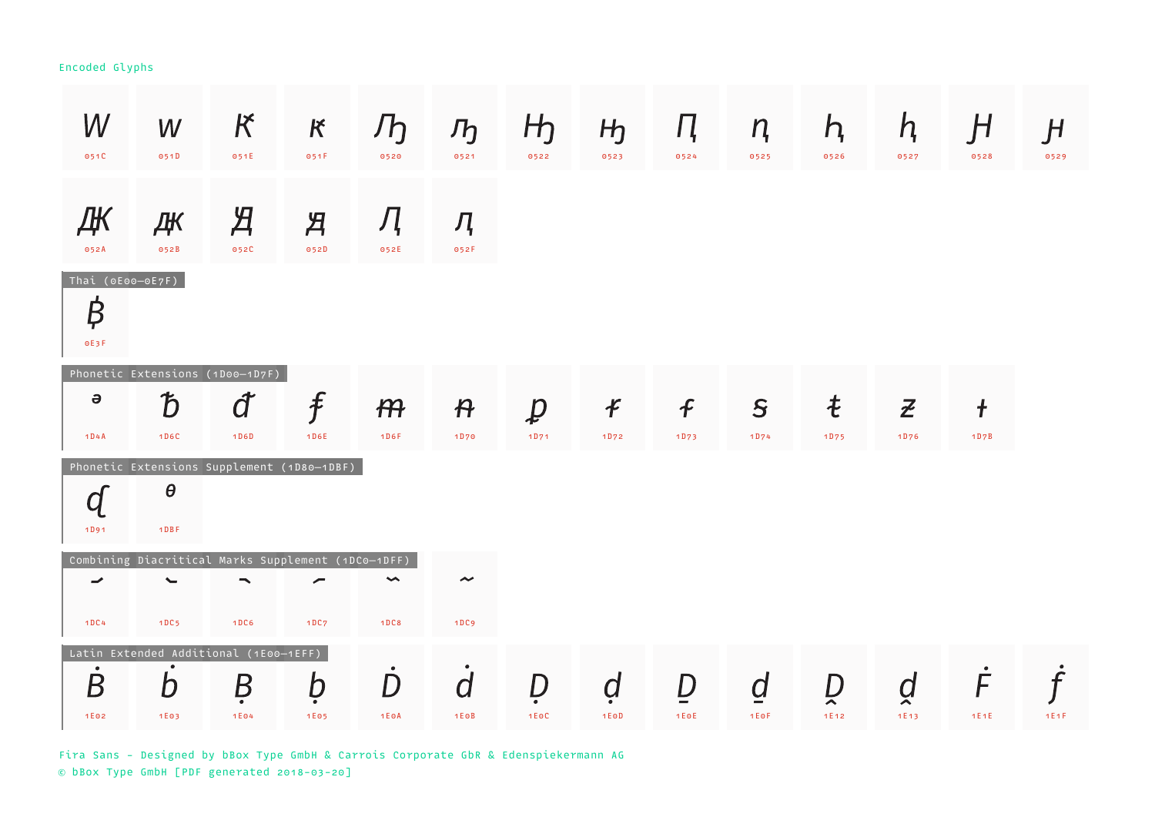| W<br>051C                     | W<br>051D                                                                              | K<br>051E              | $\kappa$<br>051F        | Jh<br>0520                           | $\mathcal{F}_{\mathcal{D}}$<br>0521 | H <sub>1</sub><br>0522 | H <sub>J</sub><br>0523 | Ц.<br>0524       | n<br>0525 | h,<br>0526 | h,<br>0527     | H<br>0528  | H<br>0529 |
|-------------------------------|----------------------------------------------------------------------------------------|------------------------|-------------------------|--------------------------------------|-------------------------------------|------------------------|------------------------|------------------|-----------|------------|----------------|------------|-----------|
| ДК<br>052A                    | ДК<br>052B                                                                             | $\overline{A}$<br>052C | $\mathcal{H}$<br>052D   | Л<br>052E                            | Д<br>052F                           |                        |                        |                  |           |            |                |            |           |
| Thai (0E00-0E7F)<br>₿<br>0E3F |                                                                                        |                        |                         |                                      |                                     |                        |                        |                  |           |            |                |            |           |
| $\Theta$                      | Phonetic Extensions (1D00-1D7F)<br>$\bm{\mathcal{D}}$                                  | đ                      | $\widehat{\mathcal{F}}$ | $H\!H$                               | $\boldsymbol{\mathsf{P}}$           | $\overline{p}$         | $\boldsymbol{f}$       | $\boldsymbol{f}$ | S         | ŧ          | $\overline{z}$ | $\ddagger$ |           |
| 1D4A                          | 1D6C                                                                                   | 1D6D                   | 1D6E                    | 1D6F                                 | 1D70                                | 1D71                   | 1D72                   | 1D73             | 1D74      | 1D75       | 1D76           | 1D7B       |           |
| $\bm{q}$<br>1D91              | Phonetic Extensions Supplement (1D80-1DBF)<br>$\theta$<br>$1$ D B F                    |                        |                         |                                      |                                     |                        |                        |                  |           |            |                |            |           |
| ⇁<br>1DC4                     | Combining Diacritical Marks Supplement (1DC0-1DFF)<br>$\overline{\phantom{0}}$<br>1DC5 | ╮<br>1DC6              | ∕<br>1DC7               | $\blacktriangleright$<br><b>1DC8</b> | $\tilde{\phantom{a}}$<br>1DC9       |                        |                        |                  |           |            |                |            |           |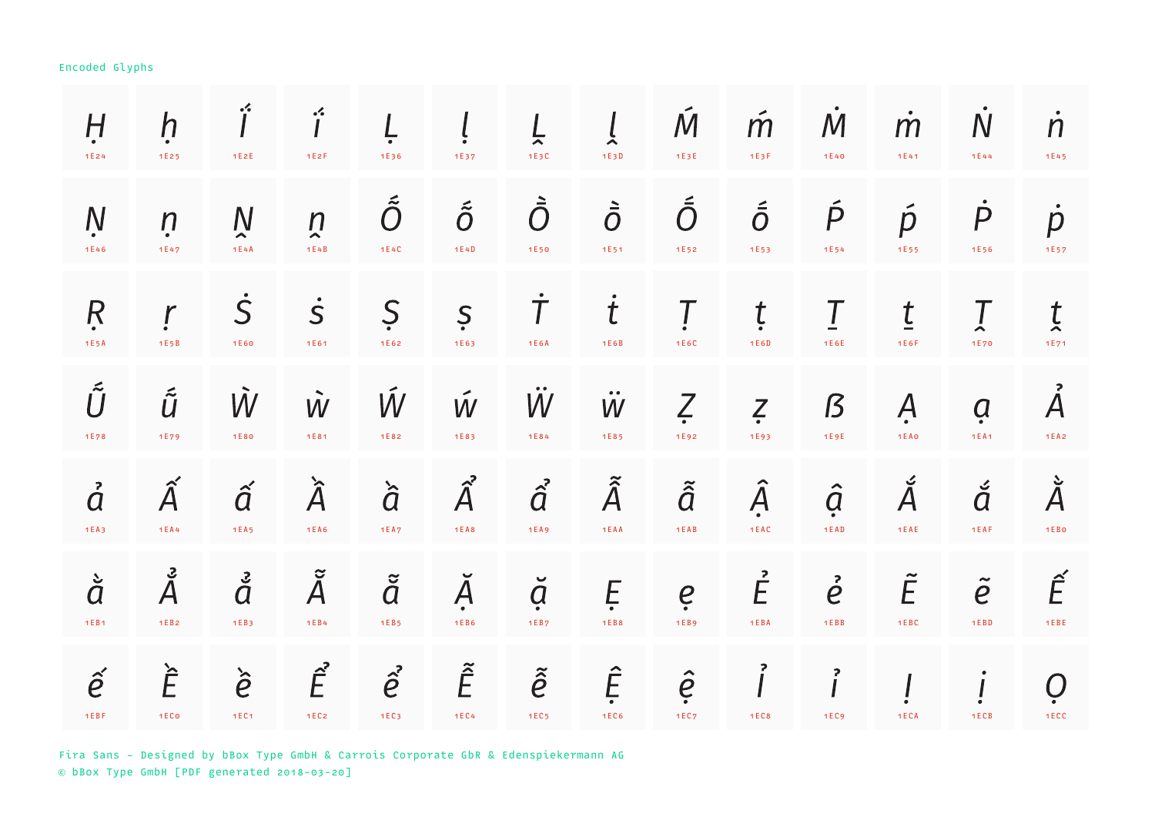| $\overline{H}$<br>1E24                                               | $\mathsf{h}$<br>1E25        | ŕ<br>1E2E                     | $\mathbf{\dot{i}}$<br>1E2F                         | 1E36                        | 1E37                           | 늣<br>1E3C                         | $\tilde{\mathbf{r}}$<br>1E3D        | $\mathcal M$<br>1E3E      | $\hat{m}$<br>1E3F                   | $\mathcal M$<br>1E40         | m<br>1E41                      | $\overline{N}$<br>1E44   | $\dot{n}$<br>1E45           |
|----------------------------------------------------------------------|-----------------------------|-------------------------------|----------------------------------------------------|-----------------------------|--------------------------------|-----------------------------------|-------------------------------------|---------------------------|-------------------------------------|------------------------------|--------------------------------|--------------------------|-----------------------------|
| $\overline{N}$<br>1E46                                               | $\boldsymbol{n}$<br>1E47    | $\mathsf N$<br>⌒<br>1E4A      | $\boldsymbol{n}$<br>$\hat{\phantom{a}}$<br>1 E 4 B | $\tilde{\tilde{O}}$<br>1E4C | $\tilde{\tilde{O}}$<br>1E4D    | $\dot{\bar{\mathcal{O}}}$<br>1E50 | $\ddot{\bar{O}}$<br>1E51            | $\tilde{\bar{O}}$<br>1E52 | $\tilde{\bar{\mathcal{O}}}$<br>1E53 | $\acute{\mathsf{P}}$<br>1E54 | $\tilde{p}$<br>1E55            | $\boldsymbol{P}$<br>1E56 | $\dot{p}$<br>1E57           |
| R<br>1E5A                                                            | $\mathbf r$<br>1E5B         | S<br>1E60                     | $\dot{\mathsf{S}}$<br>1E61                         | Ş<br>1E62                   | Ş<br>1E63                      | $\overline{I}$<br>1 E 6 A         | $\bullet$<br>$\mathbf t$<br>1 E 6 B | 1E6C                      | ţ<br>1E6D                           | T<br>1E6E                    | $\underline{t}$<br>1E6F        | $\rightarrow$<br>1E70    | $\overline{t}$<br>1E71      |
| $\tilde{\tilde{U}}$<br>1E78                                          | $\tilde{\tilde{U}}$<br>1E79 | Ŵ<br>1E80                     | $\mathcal{\tilde{W}}$<br>1E81                      | Ŵ<br>1E82                   | W<br>1E83                      | $\bullet\bullet$<br>W<br>1E84     | $\bullet\bullet$<br>W<br>1E85       | $\zeta$<br>1E92           | $\zeta$<br>1E93                     | $\boldsymbol{\beta}$<br>1E9E | Ą<br><b>1EA0</b>               | <u>a</u><br><b>1EA1</b>  | $\AA{}$<br>1 E A 2          |
| $\ddot{d}$<br>1EA3                                                   | $\widehat{A}$<br>1 E A 4    | $\hat{a}$<br>1EA <sub>5</sub> | $\hat{\tilde{A}}$<br><b>1EA6</b>                   | $\ddot{\hat{a}}$<br>1 E A 7 | $\boldsymbol{\hat{A}}$<br>1EAB | $\hat{a}$<br>1EA9                 | $\tilde{\hat{A}}$<br>1 E A A        | $\tilde{\hat{a}}$<br>1EAB | $\hat{A}$<br>1EAC                   | $\hat{a}$<br>1 E A D         | $\check{\check{A}}$<br>1 E A E | á<br>1EAF                | $\check{\check{A}}$<br>1EBO |
| $\dot{\tilde{d}}$<br>1EB1                                            | ء<br>Å<br>1 E B 2           | $\ddot{\tilde{a}}$<br>1EB3    | $\tilde{\tilde{A}}$<br>1 E B 4                     | $\tilde{\breve{d}}$<br>1EB5 | Ă<br>1 E B 6                   | $\breve{a}$<br>1EB7               | Ę<br>1 E B 8                        | e<br>1 E B 9              | $\vec{E}$<br>1 E B A                | $\vec{e}$<br>1EBB            | $\tilde{E}$<br>1EBC            | $\tilde{e}$<br>1 E B D   | $\tilde{E}$<br>1EE          |
| $\mathcal{\hat{e}}$<br>$1 \, \mathsf{E} \, \mathsf{B} \, \mathsf{F}$ | È<br>1EC <sub>o</sub>       | $\dot{\hat{e}}$<br>1EC1       | $\hat{E}$<br>1EC <sub>2</sub>                      | $\vec{e}$<br>1EC3           | $\tilde{\hat{E}}$<br>1 E C 4   | $\tilde{\hat{e}}$<br>1EC5         | Ê<br>1EC6                           | $\hat{e}$<br>1EC7         | 1EC8                                | 2<br>1EC9                    | 1ECA                           | 1ECB                     | Ò<br>1ECC                   |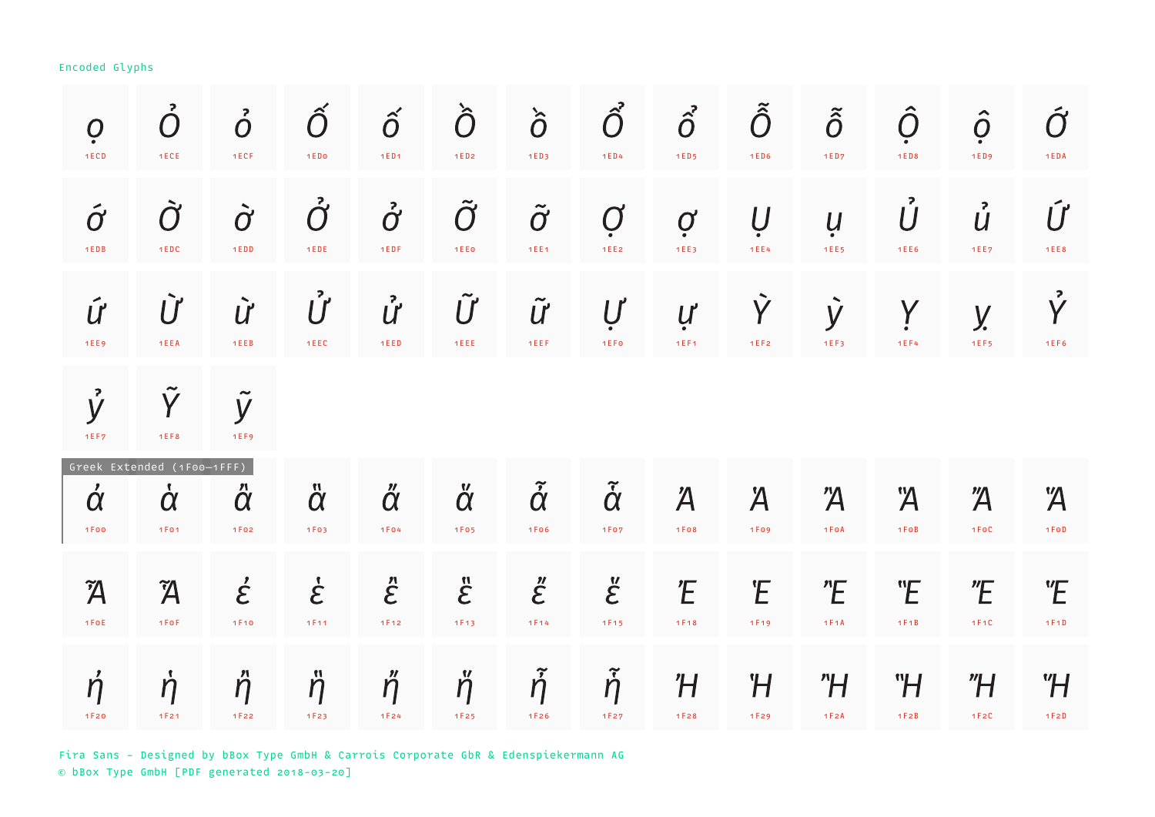| $\dot{O}$                 | $\overline{O}$                                          | $\ddot{O}$                         | $\hat O$                  | $\hat{o}$                                     | Ò                           | $\hat{\partial}$                  | $\hat{\hat{O}}$                   | $\hat{o}$                | $\tilde{\hat{O}}$ | $\tilde{\hat{O}}$       | Ô                              | $\hat{O}$              | $\boldsymbol{\hat{O}}$ |
|---------------------------|---------------------------------------------------------|------------------------------------|---------------------------|-----------------------------------------------|-----------------------------|-----------------------------------|-----------------------------------|--------------------------|-------------------|-------------------------|--------------------------------|------------------------|------------------------|
| 1ECD                      | 1ECE                                                    | 1ECF                               | 1ED <sub>0</sub>          | 1ED1                                          | $1ED2$                      | 1ED3                              | 1ED4                              | $1ED5$                   | 1ED6              | 1ED7                    | 1 E D 8                        | 1ED9                   | 1 EDA                  |
| $\acute{\sigma}$<br>1 EDB | $\tilde{O}$<br>1EDC                                     | $\dot{O}$<br>1EDD                  | $\mathring{O}$<br>$1$ EDE | $\boldsymbol{\dot{\mathcal{O}}}$<br>$1$ E D F | $\tilde{O}$<br>1EE0         | $\tilde{O}$<br>1EE1               | $\bm{O}$<br>1EE2                  | $\boldsymbol{Q}$<br>1EE3 | Ų<br>1 E E 4      | Ų<br>1EE5               | 2<br>$\overline{U}$<br>1 E E 6 | $\mathring{U}$<br>1EE7 | Ú<br>1 E E 8           |
| Ú                         | Ù                                                       | $\dot{U}$                          | $\mathring{U}$            | ử                                             | $\tilde{U}$                 | $\tilde{U}$                       | $\bm{U}$                          | ự                        | Ŷ                 | $\dot{y}$               | Y                              | У.                     | $\mathring{Y}$         |
| 1EE9                      | 1EEA                                                    | 1EEB                               | 1EEC                      | 1EED                                          | 1EEE.                       | 1EEF                              | 1EFO                              | 1EF1                     | 1EF2              | 1EF3                    | 1EF4                           | 1EF5                   | 1 E F 6                |
| $\mathring{y}$<br>1EF7    | Y<br>1EF8                                               | $\tilde{\phantom{a}}$<br>y<br>1EF9 |                           |                                               |                             |                                   |                                   |                          |                   |                         |                                |                        |                        |
| $\dot{\alpha}$<br>1 F 0 0 | Greek Extended (1F00-1FFF)<br>$\dot{\alpha}$<br>1 F 0 1 | $\ddot{\alpha}$<br>1F02            | $\ddot{\alpha}$<br>1F03   | $\H{\alpha}$<br>1 F 04                        | $\breve{\alpha}$<br>1 F 0 5 | $\tilde{\dot{\alpha}}$<br>1 F 0 6 | $\tilde{\dot{\alpha}}$<br>1 F 0 7 | Ά<br>1 F 0 8             | Ä<br>1F09         | $\overline{A}$<br>1 FOA | Ά<br>$1 F \odot B$             | $\overline{A}$<br>1F0C | Ά<br>1 FoD             |
| $\widetilde{\bm{A}}$      | $\widetilde{\bm{\mathcal{A}}}$                          | $\acute{\mathcal{E}}$              | $\dot{\mathcal{E}}$       | $\mathcal{\ddot{E}}$                          | $\ddot{\mathcal{E}}$        | $\ddot{\mathcal{E}}$              | $\ddot{\mathcal{E}}$              | Έ                        | Έ                 | E                       | "E                             | E                      | <b>"E</b>              |
| 1F0E                      | 1 F O F                                                 | 1F10                               | 1F11                      | 1F12                                          | 1F13                        | 1F14                              | 1F15                              | 1F18                     | 1F19              | 1 F 1 A                 | 1 F 1 B                        | 1 F 1 C                | 1F1D                   |
| $\acute{\eta}$            | $\eta$                                                  | $\H\eta$                           | $\ddot{\eta}$             | $\H\eta$                                      | $\Hilde{\eta}$              | $\tilde{\dot{\eta}}$              | $\tilde{\dot{\eta}}$              | Ή                        | Ή                 | "H                      | <b>H</b>                       | "H                     | "H                     |
| 1F20                      | 1F21                                                    | 1F22                               | 1F23                      | 1F24                                          | 1F25                        | 1F26                              | 1F27                              | 1 F 2 8                  | 1F29              | 1 F 2 A                 | 1 F 2 B                        | 1F2C                   | 1 F 2 D                |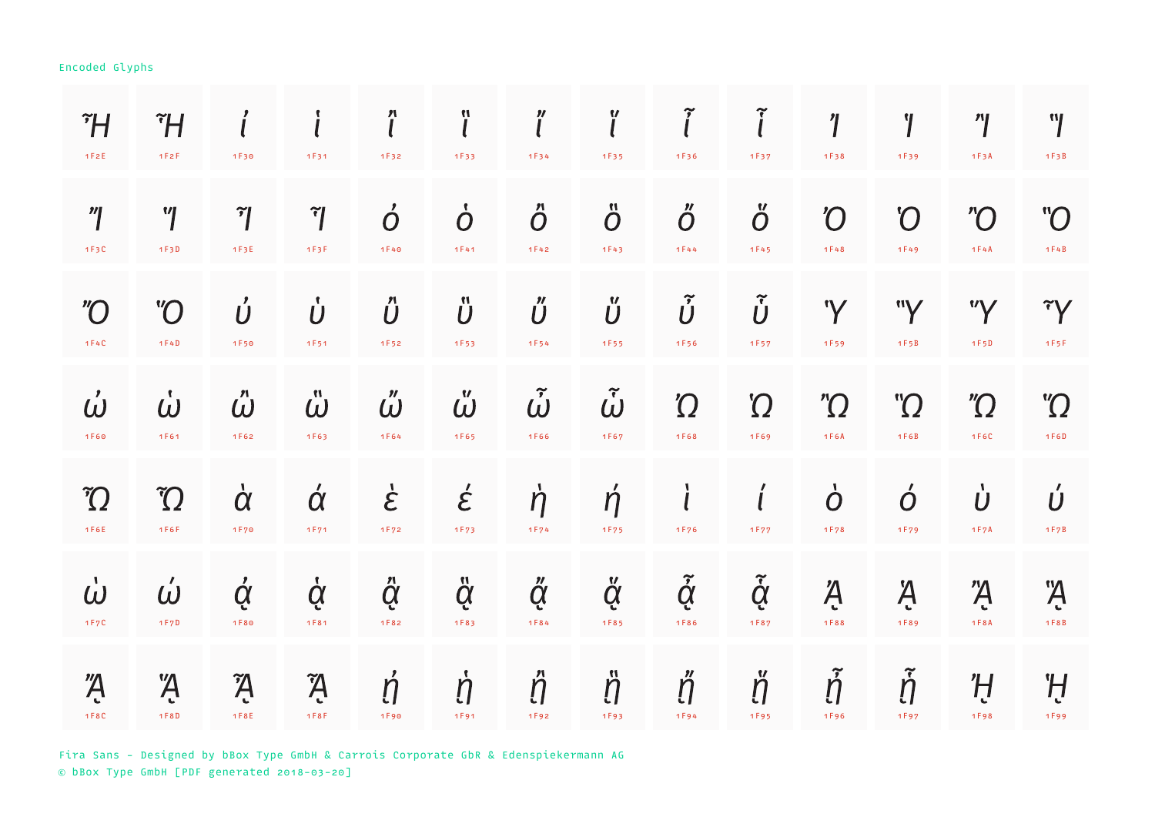| $\tilde{}$ H<br>1F2E             | ĨH<br>1F2F                  | 1F30                              | 1F31                          | $\bf{r}$<br>1F32             | ï<br>1F33                          | n<br>1F34                 | ľ<br>1F35                  | $\widetilde{l}$<br>1F36        | 1F37                       | $\eta$<br>1F38                    | Ί<br>1F39                    | $^{\prime\prime}$<br>1F3A          | "l<br>1F3B                     |
|----------------------------------|-----------------------------|-----------------------------------|-------------------------------|------------------------------|------------------------------------|---------------------------|----------------------------|--------------------------------|----------------------------|-----------------------------------|------------------------------|------------------------------------|--------------------------------|
| $^{\prime\prime}$<br>1F3C        | $^{\prime\prime}$<br>1F3D   | $\widetilde{\mathcal{C}}$<br>1F3E | $\tilde{\mathcal{C}}$<br>1F3F | $\mathbf{z}$<br>Ó<br>1 F 4 0 | $\dot O$<br>1F41                   | $\ddot{O}$<br>1F42        | $\ddot{O}$<br>1F43         | $\H{O}$<br>1F44                | Ő<br>1 F 4 5               | $\overline{O}$<br>1F48            | $\boldsymbol{C}$<br>1F49     | $\overline{O}$<br>1F4A             | $\rm ^{\prime\prime}O$<br>1F4B |
| $^{\prime\prime}\!O$<br>1F4C     | $\overline{O}$<br>1F4D      | Ú<br>1F50                         | Ů<br>1F51                     | $\H{U}$<br>1F52              | $\ddot{\textbf{\emph{U}}}$<br>1F53 | Ű<br>1F54                 | Ű<br>1F55                  | $\tilde{\dot{U}}$<br>1F56      | $\tilde{\dot{U}}$<br>1F57  | 'Y<br>1F59                        | "Y<br>1F5B                   | "Y<br>1 F 5 D                      | $\tilde{Y}$<br>1F5F            |
| $\dot{\omega}$<br>1F60           | $\dot{\omega}$<br>1F61      | $\mathring{\omega}$<br>$1F62$     | $\mathring{\omega}$<br>1F63   | $\H\omega$<br>1F64           | $\mathbf{v}$<br>$\omega$<br>1F65   | $\tilde{\omega}$<br>1F66  | $\tilde{\omega}$<br>1F67   | $\Omega$<br>1F68               | $\Omega$<br>1F69           | $^{\prime\prime}\Omega$<br>$1F6A$ | $\Omega$ "<br>$1F6B$         | $^{\prime\prime}\Omega$<br>1 F 6 C | $\Omega$<br>1 F 6 D            |
| $\widetilde{C}$<br>1F6E          | $\widetilde{C}$<br>1F6F     | $\dot{\alpha}$<br>1 F 7 0         | $\acute{\alpha}$<br>1F71      | $\dot{\mathcal{E}}$<br>1F72  | $\acute{\epsilon}$<br>1F73         | $\dot{\eta}$<br>1F74      | $\dot{\eta}$<br>1F75       | $\mathbf{l}$<br>1F76           | 1F77                       | $\dot O$<br>1F78                  | $\acute{o}$<br>1F79          | $\dot{\boldsymbol{U}}$<br>1 F 7 A  | Ú<br>1 F 7 B                   |
| $\mathbf{I}$<br>$\omega$<br>1F7C | $\acute{\omega}$<br>1 F 7 D | $\dot{\alpha}$<br>1F80            | $\dot{Q}$<br>1 F 8 1          | $\ddot{Q}$<br>1F82           | $\ddot{Q}$<br>1F83                 | $\H{\alpha}$<br>1 F 8 4   | $\ddot{Q}$<br>1F85         | $\tilde{\dot{\alpha}}$<br>1F86 | $\tilde{\dot{Q}}$<br>1F87  | Ą<br>1F88                         | Ą<br>1F89                    | $\overline{A}$<br>1 F 8 A          | Ą.<br>1 F 8 B                  |
| $\overline{A}$<br>1 F 8 C        | $\overline{A}$<br>1 F 8 D   | $\tilde{A}$<br>1 F 8 E            | $\tilde{A}$<br>1F8F           | $\dot{\eta}$<br>1F90         | $\dot{\eta}$<br>1F91               | $\mathring{\eta}$<br>1F92 | Ħ<br>$\ddot{\eta}$<br>1F93 | $\H\eta$<br>1F94               | W<br>$\ddot{\eta}$<br>1F95 | $\tilde{\dot{\eta}}$<br>1F96      | $\tilde{\dot{\eta}}$<br>1F97 | H<br>1F98                          | H<br>1F99                      |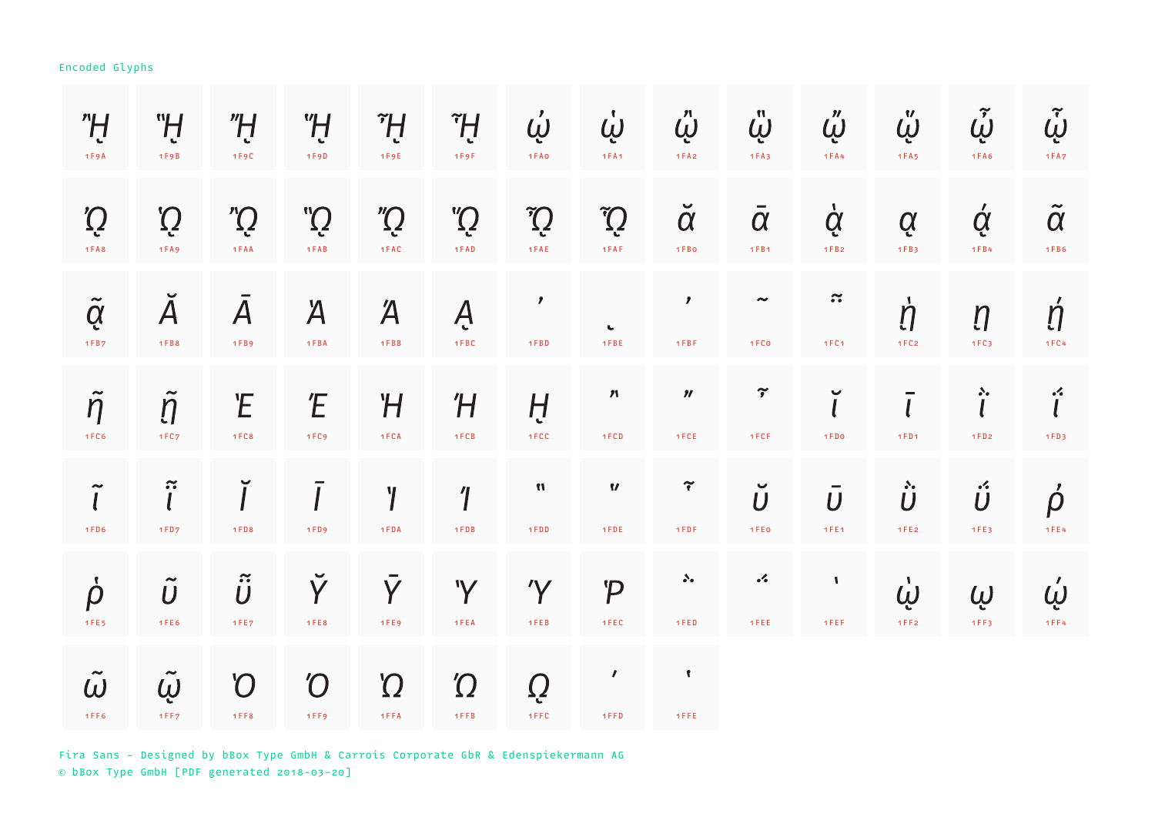| "H<br>$1F9A$                                   | "H<br>1 F9B                                          | "H<br>1F9C                  | "H<br>1 F9D                 | ĨĤ<br>1 F 9 E            | ĨĤ<br>1F9F                                      | $\dot{\omega}$<br>1 F A O    | Ų<br>1FA1               | $\ddot{\omega}$<br>$1FA2$         | $\ddot{\omega}$<br>1FA3            | $\H{\omega}$<br>1 F A 4 | $\ddot{\omega}$<br>1 F A 5   | $\tilde{\omega}$<br>$1FA6$     | $\tilde{\dot{\omega}}$<br>1 F A 7 |
|------------------------------------------------|------------------------------------------------------|-----------------------------|-----------------------------|--------------------------|-------------------------------------------------|------------------------------|-------------------------|-----------------------------------|------------------------------------|-------------------------|------------------------------|--------------------------------|-----------------------------------|
| $\tilde{Q}$<br>$1FA8$                          | $\tilde{Q}$<br>1FA9                                  | $\sum_{i=1}^{n}$<br>1 FAA   | $\rm \ddot{Q}$<br>$1$ $FAB$ | $\int$<br>$1$ F A C $\,$ | $\mathbb{C}^{\mathbb{M}}$<br>$1$ $\mathsf{FAD}$ | $\tilde{C}$<br>$1$ FAE       | $\tilde{C}$<br>1FAF     | $\breve{\alpha}$<br>$1FB0$        | $\overline{\alpha}$<br>1FB1        | $\dot{Q}$<br>$1FB2$     | Q<br>1FB3                    | $\acute{\alpha}$<br>1FB4       | $\tilde{\alpha}$<br>$1FB6$        |
| $\tilde{Q}$<br>$1FB7$                          | $\checkmark$<br>$\boldsymbol{A}$<br>1 F B 8          | $\overline{A}$<br>1 F B 9   | $\overline{A}$<br>1 FBA     | $\overline{A}$<br>1FBB   | Ą<br>1 FBC                                      | $\mathbf{r}$<br>1 F B D      | $\mathbf{C}$<br>1 F B E | $\mathbf{z}$<br>$1$ F B F         | $\tilde{\phantom{a}}$<br>1FCo      | $\approx$<br>1 F C 1    | $\dot{\eta}$<br>1FC2         | $\eta$<br>1FC3                 | $\acute{\eta}$<br>1 F C 4         |
| $\tilde{\phantom{a}}$<br>$\eta$<br><b>1FC6</b> | $\eta$<br>1 FC <sub>7</sub>                          | Έ<br>1 FC8                  | Έ<br>1FC9                   | Ή<br>1 F C A             | Ή<br>1 FCB                                      | Ĥ<br>1 FCC                   | $\pmb{m}$<br>1FCD       | $\boldsymbol{\eta}$<br>1 FCE      | $\widetilde{\mathcal{I}}$<br>1 FCF | $\checkmark$<br>1 FDo   | 1FD1                         | $\ddot{i}$<br>1FD2             | $\cdot$<br>1FD3                   |
| $\tilde{l}$<br>1 F D 6                         | $\tilde{\mathbf{i}}$<br>1 FD <sub>7</sub>            | 1 FD8                       | 1 FD9                       | $\gamma$<br>1 FDA        | $\overline{\mathcal{L}}$<br>1 FDB               | $\pmb{\mathcal{M}}$<br>1 FDD | $\pmb{v}$<br>1 FDE      | $\widetilde{\mathbf{r}}$<br>1 FDF | $\breve{U}$<br>1 F E 0             | $\bar{U}$<br>1FE1       | $\ddot{\dot{\bm U}}$<br>1FE2 | $\ddot{\mathsf{U}}$<br>1 F E 3 | $\vec{\rho}$<br>$4$ F E $4$       |
| $\dot{\rho}$<br>1 F E 5                        | $\tilde{\phantom{a}}$<br>$\boldsymbol{U}$<br>1 F E 6 | $\tilde{\vec{U}}$<br>1 FE 7 | Ý<br>1 F E 8                | Y<br>1 F E 9             | 'Y<br>1 FEA                                     | $\gamma$<br>1 FEB            | $\mathcal{P}$<br>1 FEC  | $\mathcal{S}_{\bullet}$<br>1 FED  | $\mathcal{L}_{\bullet}$<br>1 FEE   | $\mathbf{I}$<br>1FEF    | $\dot{\omega}$<br>1FF2       | Ų<br>1FF3                      | $\acute{\omega}$<br>$1$ F F $4$   |
| $\omega$<br>1 F F 6                            | $\sim$<br>$\dot{\omega}$<br>1FF7                     | $\mathcal{O}$<br>1 F F 8    | $\mathcal O$<br>1FF9        | $\Omega$<br>1 F F A      | $\Omega$<br>$1$ F F B                           | Q<br>1 F F C                 | $\mathbf{r}$<br>1 F F D | $\mathbf{r}$<br>1 F F E           |                                    |                         |                              |                                |                                   |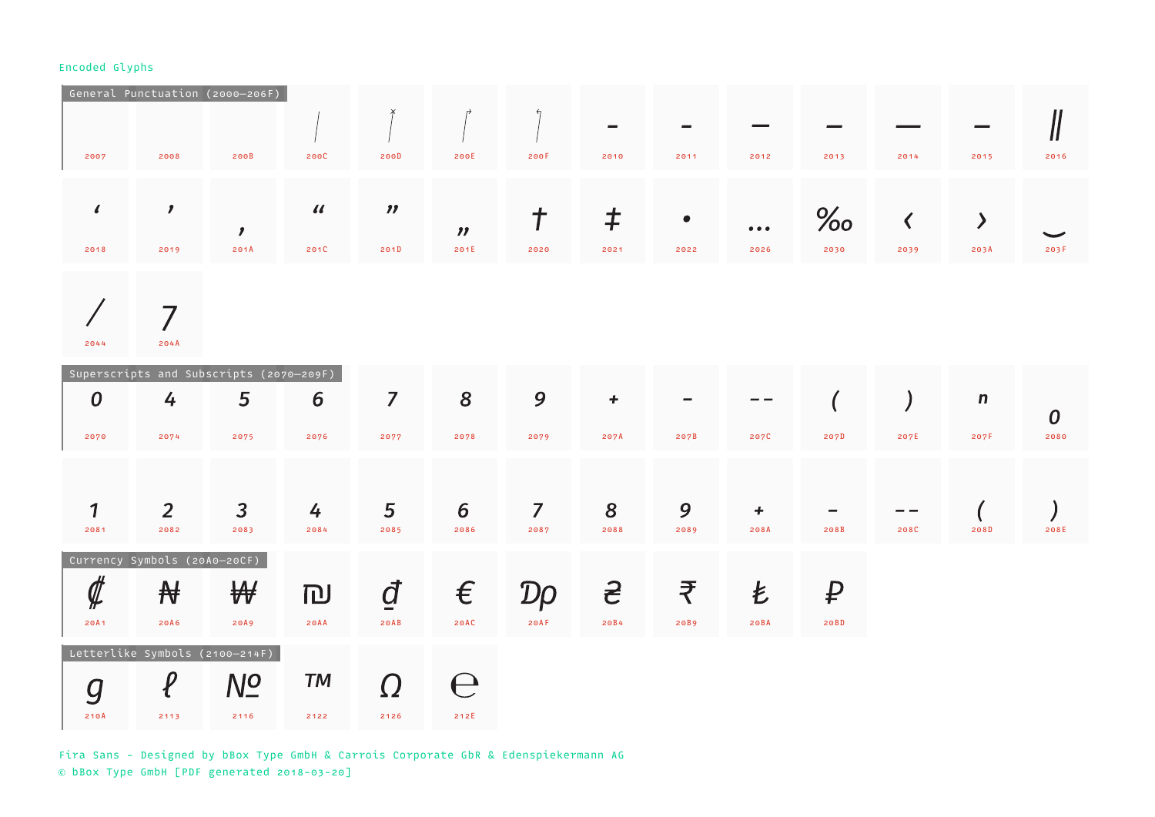|      |      | General Punctuation (2000-206F) |              |                     |                             |      |          |           |                         |      |      |      |      |
|------|------|---------------------------------|--------------|---------------------|-----------------------------|------|----------|-----------|-------------------------|------|------|------|------|
|      |      |                                 |              |                     |                             |      | $\equiv$ | $\equiv$  |                         |      |      |      |      |
| 2007 | 2008 | 200B                            | 200C         | 200D                | 200E                        | 200F | 2010     | 2011      | 2012                    | 2013 | 2014 | 2015 | 2016 |
|      |      |                                 |              |                     |                             |      |          |           |                         |      |      |      |      |
| -6   |      | ,                               | $\iota\iota$ | $\boldsymbol{\eta}$ |                             |      |          | $\bullet$ | $\bullet\bullet\bullet$ | $\%$ |      |      |      |
| 2018 | 2019 | 201A                            | 201C         | 201D                | $\boldsymbol{\eta}$<br>201E | 2020 | 2021     | 2022      | 2026                    | 2030 | 2039 | 203A | 203F |
|      |      |                                 |              |                     |                             |      |          |           |                         |      |      |      |      |

 $\bigg)$  $\overline{7}$ 2044 204A

|                                                               |                                | Superscripts and Subscripts (2070-209F) |           |                          |          |                |           |      |           |      |      |              |                  |
|---------------------------------------------------------------|--------------------------------|-----------------------------------------|-----------|--------------------------|----------|----------------|-----------|------|-----------|------|------|--------------|------------------|
| $\boldsymbol{0}$                                              | 4                              | 5                                       | 6         | $\overline{\phantom{a}}$ | 8        | 9              | $\ddot{}$ |      |           |      |      | $\mathsf{n}$ | $\boldsymbol{0}$ |
| 2070                                                          | 2074                           | 2075                                    | 2076      | 2077                     | 2078     | 2079           | 207A      | 207B | 207C      | 207D | 207E | 207F         | 2080             |
|                                                               |                                |                                         |           |                          |          |                |           |      |           |      |      |              |                  |
| $\mathbf{1}$                                                  | $\overline{2}$                 | $\mathbf{3}$                            | 4         | 5 <sup>5</sup>           | 6        | $\overline{7}$ | 8         | 9    | $\ddot{}$ |      |      |              |                  |
| 2081                                                          | 2082                           | 2083                                    | 2084      | 2085                     | 2086     | 2087           | 2088      | 2089 | 208A      | 208B | 208C | 208D         | 208E             |
|                                                               | Currency Symbols (20A0-20CF)   |                                         |           |                          |          |                |           |      |           |      |      |              |                  |
| $\rlap{\hspace{.1cm}/}{\not \hspace{.14cm}}\rule{.1cm}{.0cm}$ | ₩                              | ₩                                       | IDJ       | đ                        | $\in$    | Dp             | <u> 공</u> | ₹    | Ł         | ₽    |      |              |                  |
| 20A1                                                          | 20A6                           | 20A9                                    | 20AA      | $20AB$                   | 20AC     | 20AF           | 20B4      | 20B9 | 20BA      | 20BD |      |              |                  |
|                                                               | Letterlike Symbols (2100-214F) |                                         |           |                          |          |                |           |      |           |      |      |              |                  |
|                                                               |                                | $N_{-}^{O}$                             | <b>TM</b> |                          | $\vdash$ |                |           |      |           |      |      |              |                  |
| 210A                                                          | 2113                           | 2116                                    | 2122      | 2126                     | 212E     |                |           |      |           |      |      |              |                  |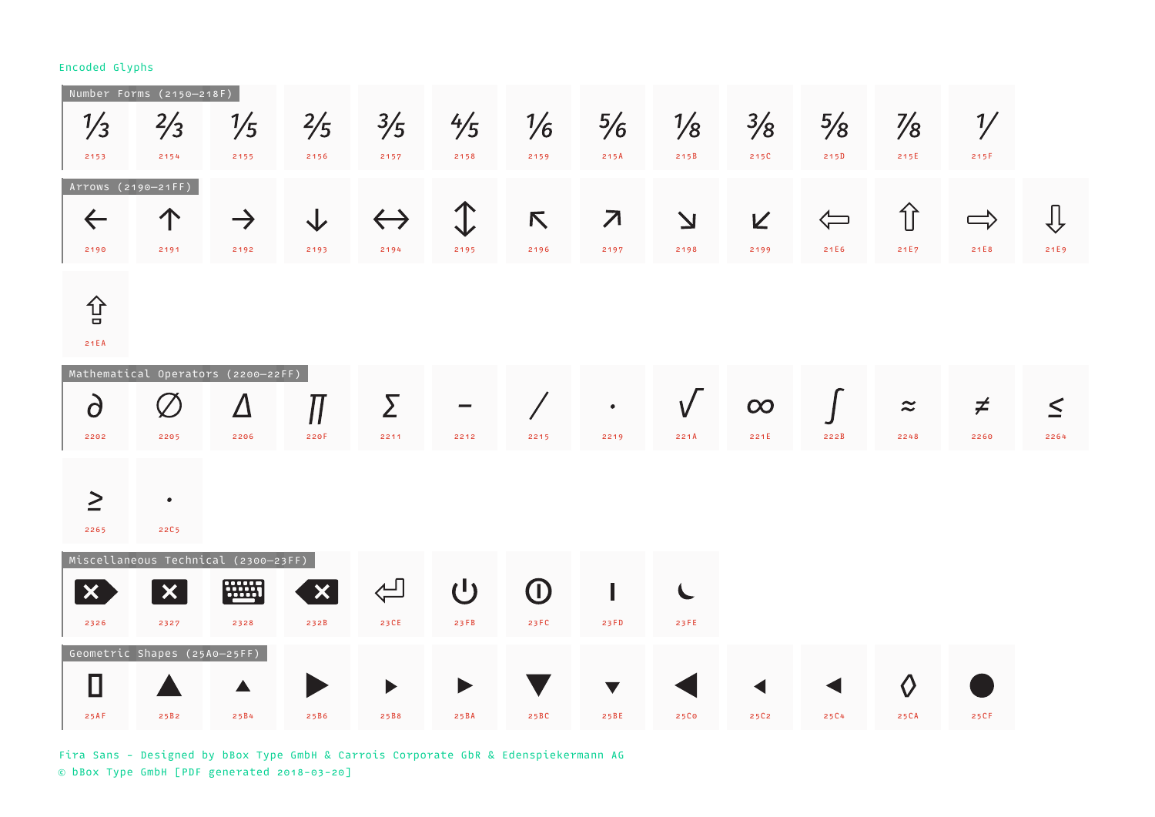| $\frac{1}{3}$<br>2153                      | Number Forms (2150-218F)<br>$\frac{2}{3}$<br>2154            | $\frac{1}{5}$<br>2155      | $\frac{2}{5}$<br>2156             | $\frac{3}{5}$<br>2157     | $\frac{4}{5}$<br>2158 | $\frac{1}{6}$<br>2159 | $\frac{5}{6}$<br>215A            | $\frac{1}{8}$<br>215B           | $\frac{3}{8}$<br>215C | $\frac{5}{8}$<br>215D    | $\frac{7}{8}$<br>215E | $\frac{1}{2}$<br>215F |                |
|--------------------------------------------|--------------------------------------------------------------|----------------------------|-----------------------------------|---------------------------|-----------------------|-----------------------|----------------------------------|---------------------------------|-----------------------|--------------------------|-----------------------|-----------------------|----------------|
| Arrows (2190-21FF)<br>$\leftarrow$<br>2190 | 个<br>2191                                                    | $\rightarrow$<br>2192      | 2193                              | $\leftrightarrow$<br>2194 | 2195                  | K,<br>2196            | $\overline{\mathcal{A}}$<br>2197 | $\overline{\mathbf{V}}$<br>2198 | K<br>2199             | $\Longleftarrow$<br>21E6 | 介<br>21E7             | $\Rightarrow$<br>21E8 | ⇩<br>21E9      |
| 仓<br>21EA                                  |                                                              |                            |                                   |                           |                       |                       |                                  |                                 |                       |                          |                       |                       |                |
| $\overline{\partial}$<br>2202              | Mathematical Operators (2200-22FF)<br>2205                   | Δ<br>2206                  | $\mathcal{J}$<br>220F             | Σ<br>2211                 | 2212                  | 2215                  | $\bullet$<br>2219                | 221A                            | $\infty$<br>221E      | 222B                     | $\approx$<br>2248     | $\neq$<br>2260        | $\leq$<br>2264 |
| $\geq$<br>2265                             | $\bullet$<br><b>22C5</b>                                     |                            |                                   |                           |                       |                       |                                  |                                 |                       |                          |                       |                       |                |
| $\bm{\times}$<br>2326                      | Miscellaneous Technical (2300-23FF)<br>$\bm{\times}$<br>2327 | <b><u>HIII</u></b><br>2328 | $\boldsymbol{\mathsf{X}}$<br>232B | $\Leftrightarrow$<br>23CE | $\mathbf{d}$<br>23FB  | $\bigcirc$<br>23 FC   | 23FD                             | 23 F E                          |                       |                          |                       |                       |                |
| 25AF                                       | Geometric Shapes (25A0-25FF)<br>25B2                         | 25B4                       | 25B6                              | 25B8                      | 25BA                  | 25BC                  | 25BE                             | 25Co                            | 25C2                  | 25C4                     | $\Diamond$<br>25CA    | 25CF                  |                |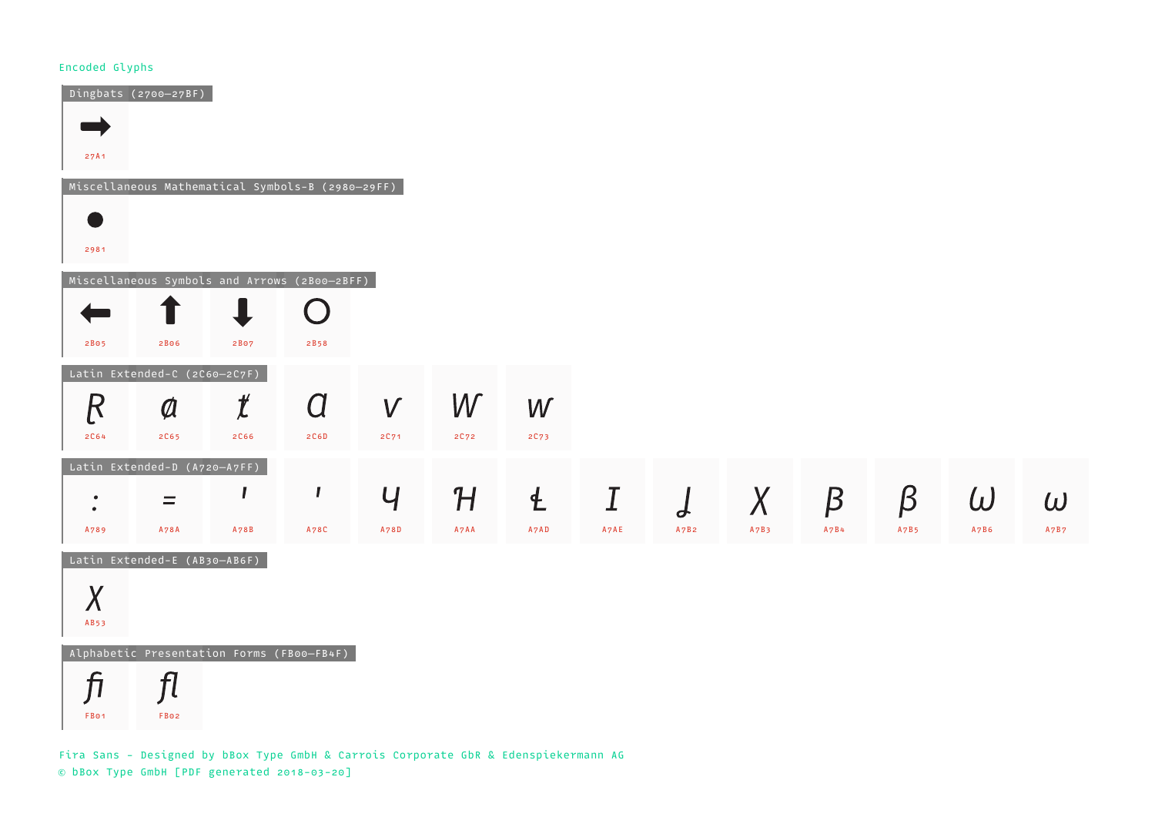FB01 FB02



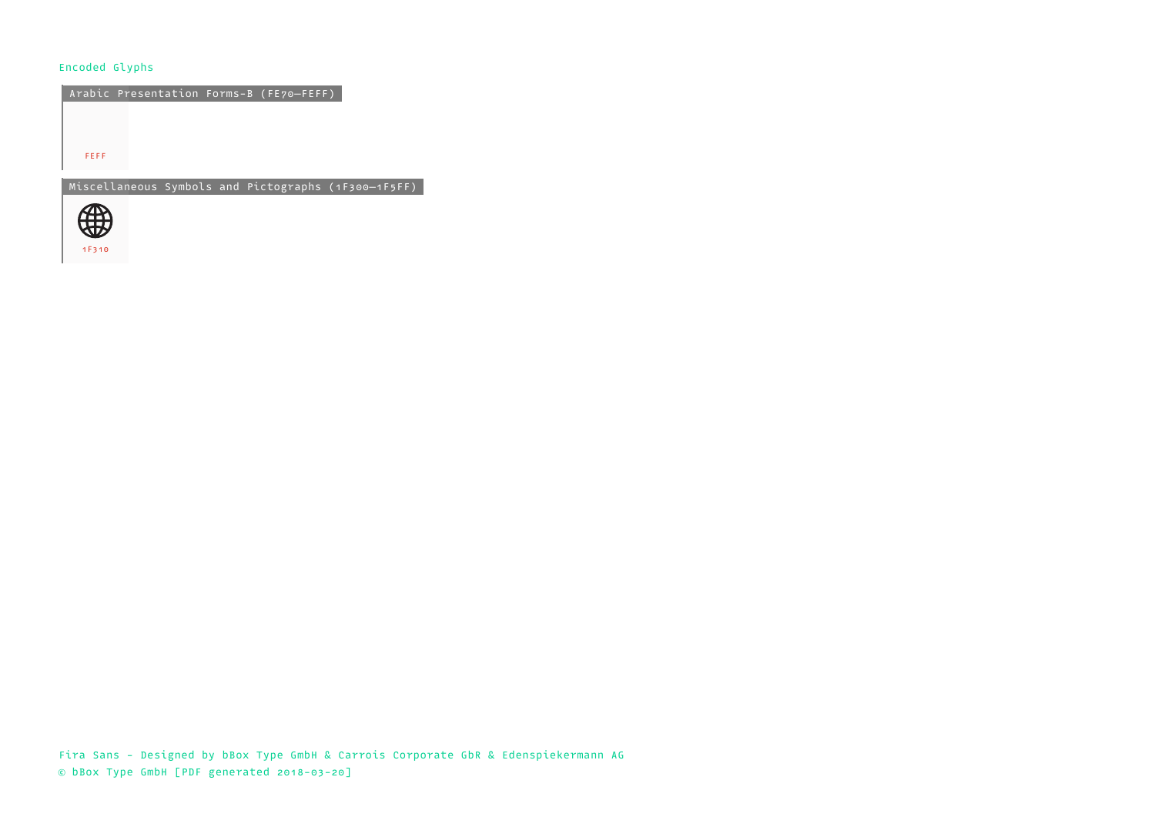Arabic Presentation Forms-B (FE70—FEFF)

FEFF

Miscellaneous Symbols and Pictographs (1F300—1F5FF)

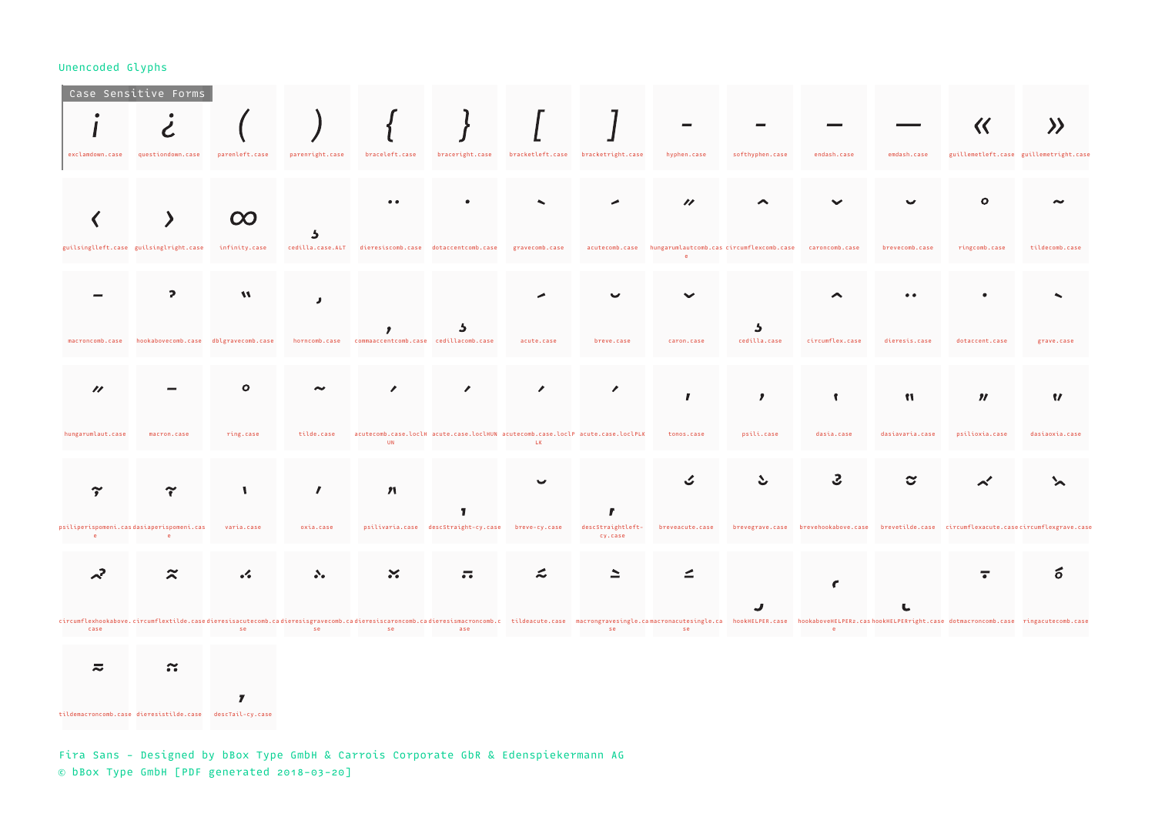| exclamdown.case                                               | Case Sensitive Forms<br>questiondown.case            | parenleft.case   | parenright.case | braceleft.case                                                                                                 | braceright.case                                         |                             | bracketleft.case bracketright.case                                                                               | hyphen.case             | softhyphen.case                                                                                                                                                                                                                | endash.case                       | emdash.case                     | $\bm{\varsigma}$<br>guillemetleft.case guillemetright.case                                   |                     |
|---------------------------------------------------------------|------------------------------------------------------|------------------|-----------------|----------------------------------------------------------------------------------------------------------------|---------------------------------------------------------|-----------------------------|------------------------------------------------------------------------------------------------------------------|-------------------------|--------------------------------------------------------------------------------------------------------------------------------------------------------------------------------------------------------------------------------|-----------------------------------|---------------------------------|----------------------------------------------------------------------------------------------|---------------------|
|                                                               | guilsinglleft.case guilsinglright.case infinity.case | $\infty$         | د               | cedilla.case.ALT dieresiscomb.case dotaccentcomb.case                                                          |                                                         | gravecomb.case              |                                                                                                                  | $\prime\prime$          | acutecomb.case hungarumlautcomb.cas circumflexcomb.case caroncomb.case                                                                                                                                                         |                                   | brevecomb.case                  | $\mathbf o$<br>ringcomb.case                                                                 | tildecomb.case      |
|                                                               | $\overline{ }$                                       | $\boldsymbol{M}$ | J.              |                                                                                                                |                                                         |                             |                                                                                                                  | e.                      |                                                                                                                                                                                                                                |                                   |                                 |                                                                                              |                     |
| macroncomb.case                                               | hookabovecomb.case dblgravecomb.case                 |                  |                 | ,<br>horncomb.case commaaccentcomb.case cedillacomb.case                                                       | $\overline{\mathbf{z}}$                                 | acute.case                  | breve.case                                                                                                       | caron.case              | J.<br>cedilla.case                                                                                                                                                                                                             | circumflex.case                   | dieresis.case                   | dotaccent.case                                                                               | grave.case          |
| $\prime\prime$<br>hungarumlaut.case                           | macron.case                                          | ο<br>ring.case   | tilde.case      | $\mathcal{L}_{\mathcal{A}}$<br>acutecomb.case.loclH acute.case.loclHUN acutecomb.case.loclP acute.case.loclPLK | $\mathcal{L}_{\mathcal{A}}$                             | $\mathcal{L}_{\mathcal{L}}$ | $\mathscr{L}$                                                                                                    | $\pmb{I}$<br>tonos.case | $\mathbf{r}$<br>psili.case                                                                                                                                                                                                     | $\mathbf{r}$<br>dasia.case        | $\mathbf{H}$<br>dasiavaria.case | $\boldsymbol{\eta}$<br>psilioxia.case                                                        | W<br>dasiaoxia.case |
|                                                               | $\boldsymbol{\widetilde{r}}$                         | $\mathbf{I}$     | $\mathbf{r}$    | <b>UN</b><br>$\boldsymbol{\eta}$                                                                               |                                                         | LK.                         |                                                                                                                  | ے                       |                                                                                                                                                                                                                                | ૩                                 | ະ                               |                                                                                              |                     |
| psiliperispomeni.casdasiaperispomeni.cas<br>e.                |                                                      | varia.case       | oxia.case       |                                                                                                                | T<br>psilivaria.case descStraight-cy.case breve-cy.case |                             | ,<br>descStraightleft-<br>cy.case                                                                                | breveacute.case         |                                                                                                                                                                                                                                |                                   |                                 | brevegrave.case brevehookabove.case brevetilde.case circumflexacute.casecircumflexgrave.case |                     |
|                                                               | $\boldsymbol{\approx}$                               | $\cdot$          | ふ.              | $\boldsymbol{\times}$                                                                                          | $\overline{\cdot}$                                      |                             |                                                                                                                  | ≤                       | J                                                                                                                                                                                                                              | C                                 | L                               |                                                                                              | б                   |
| case                                                          |                                                      | se               | <b>Service</b>  | <b>Service</b>                                                                                                 | and the contract and as a                               |                             | and the second second second second second second second second second second second second second second second |                         | circumflexhookabove.circumflextilde.casedieresisacutecomb.cadieresisgravecomb.cadieresiscaroncomb.cadieresismacroncomb.cadieresismacroncomb.cadieresismacroncomb.c tildeacute.case macrongravesingle.camacronacutesingle.ca ho | <b>Contract Contract District</b> |                                 |                                                                                              |                     |
| ≂<br>tildemacroncomb.case dieresistilde.case descTail-cy.case | $\approx$                                            | 7                |                 |                                                                                                                |                                                         |                             |                                                                                                                  |                         |                                                                                                                                                                                                                                |                                   |                                 |                                                                                              |                     |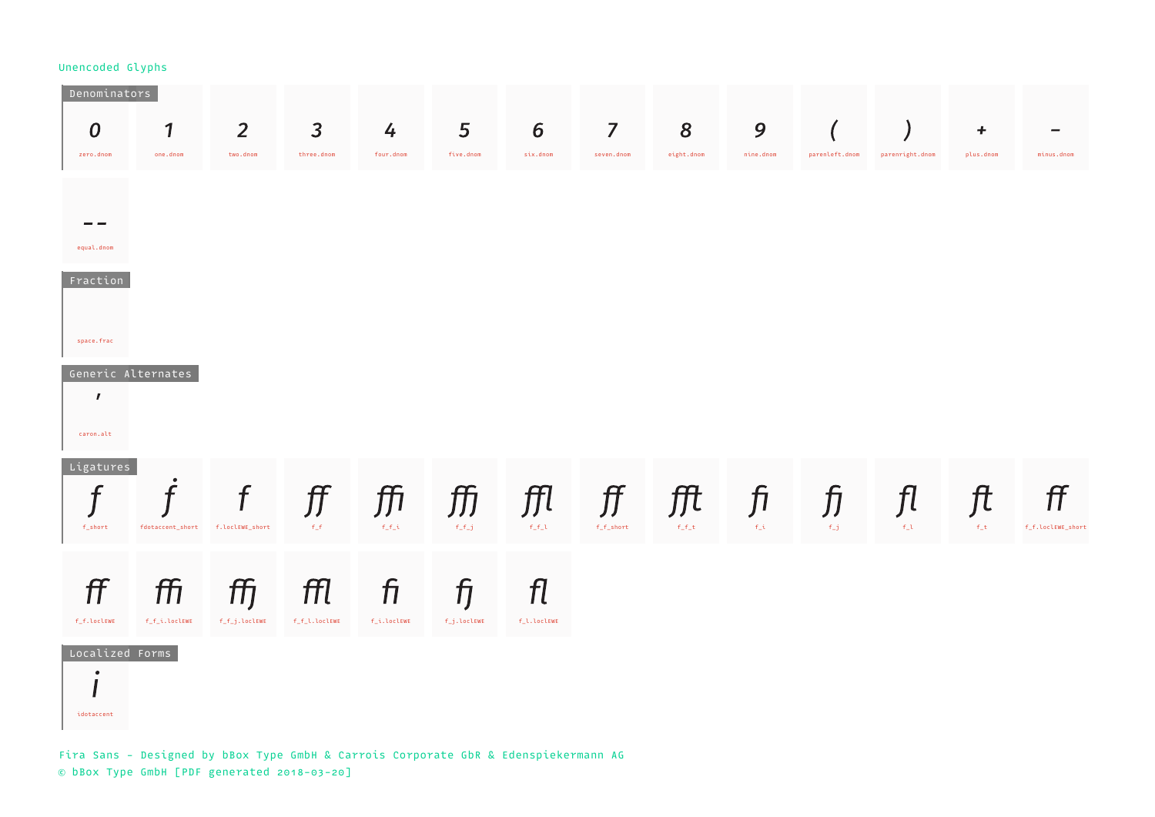| Denominators                       |                          |                                |                              |                      |                                 |                                                                                                           |                              |                 |                |                         |                                    |                         |                         |
|------------------------------------|--------------------------|--------------------------------|------------------------------|----------------------|---------------------------------|-----------------------------------------------------------------------------------------------------------|------------------------------|-----------------|----------------|-------------------------|------------------------------------|-------------------------|-------------------------|
| $\boldsymbol{0}$<br>zero.dnom      | $\mathbf{1}$<br>one.dnom | 2 <sup>2</sup><br>two.dnom     | $\overline{3}$<br>three.dnom | 4<br>four.dnom       | 5<br>five.dnom                  | $6\overline{6}$<br>six.dnom                                                                               | $\overline{7}$<br>seven.dnom | 8<br>eight.dnom | 9<br>nine.dnom | parenleft.dnom          | parenright.dnom                    | $\ddot{}$<br>plus.dnom  | minus.dnom              |
|                                    |                          |                                |                              |                      |                                 |                                                                                                           |                              |                 |                |                         |                                    |                         |                         |
| - -                                |                          |                                |                              |                      |                                 |                                                                                                           |                              |                 |                |                         |                                    |                         |                         |
| equal.dnom<br>Fraction             |                          |                                |                              |                      |                                 |                                                                                                           |                              |                 |                |                         |                                    |                         |                         |
|                                    |                          |                                |                              |                      |                                 |                                                                                                           |                              |                 |                |                         |                                    |                         |                         |
| space.frac                         |                          |                                |                              |                      |                                 |                                                                                                           |                              |                 |                |                         |                                    |                         |                         |
| Generic Alternates<br>$\mathbf{r}$ |                          |                                |                              |                      |                                 |                                                                                                           |                              |                 |                |                         |                                    |                         |                         |
| caron.alt                          |                          |                                |                              |                      |                                 |                                                                                                           |                              |                 |                |                         |                                    |                         |                         |
| Ligatures<br>f                     | $\bullet$<br>f           |                                |                              |                      |                                 |                                                                                                           |                              |                 |                |                         |                                    |                         |                         |
| f_short                            | fdotaccent_short         | $\mathbf f$<br>f.loclEWE_short | <b>ff</b> ffi<br>$-f_f$      | $f_f_i$              | $f_f$                           | $\mathop{\mbox{--}ff}\nolimits$ $\mathop{\mbox{--}ff}\nolimits$ $\mathop{\mbox{--}ff}\nolimits$<br>$f_f1$ | $f\_f\_short$                | $f_f_t$         | $f_i$          | ft fi fi fl<br>$f_{-}j$ | $\mathsf{f}_\mathsf{L} \mathsf{t}$ | $\int f(t) dt$<br>$f_t$ | ff<br>f_f.loclEWE_short |
|                                    |                          |                                |                              |                      |                                 |                                                                                                           |                              |                 |                |                         |                                    |                         |                         |
| ff<br>f_f.loclEWE                  | ffi<br>f_f_i.loclEWE     | ffj<br>$f_f_j$ .loclEWE        | ffl<br>f_f_l.loclEWE         | $f_1$<br>f_i.loclEWE | $\mathcal{f}$<br>$f_j.\lozenge$ | fl<br>f_l.loclEWE                                                                                         |                              |                 |                |                         |                                    |                         |                         |
| Localized Forms                    |                          |                                |                              |                      |                                 |                                                                                                           |                              |                 |                |                         |                                    |                         |                         |
| $\bullet$<br>- -                   |                          |                                |                              |                      |                                 |                                                                                                           |                              |                 |                |                         |                                    |                         |                         |
| idotaccent                         |                          |                                |                              |                      |                                 |                                                                                                           |                              |                 |                |                         |                                    |                         |                         |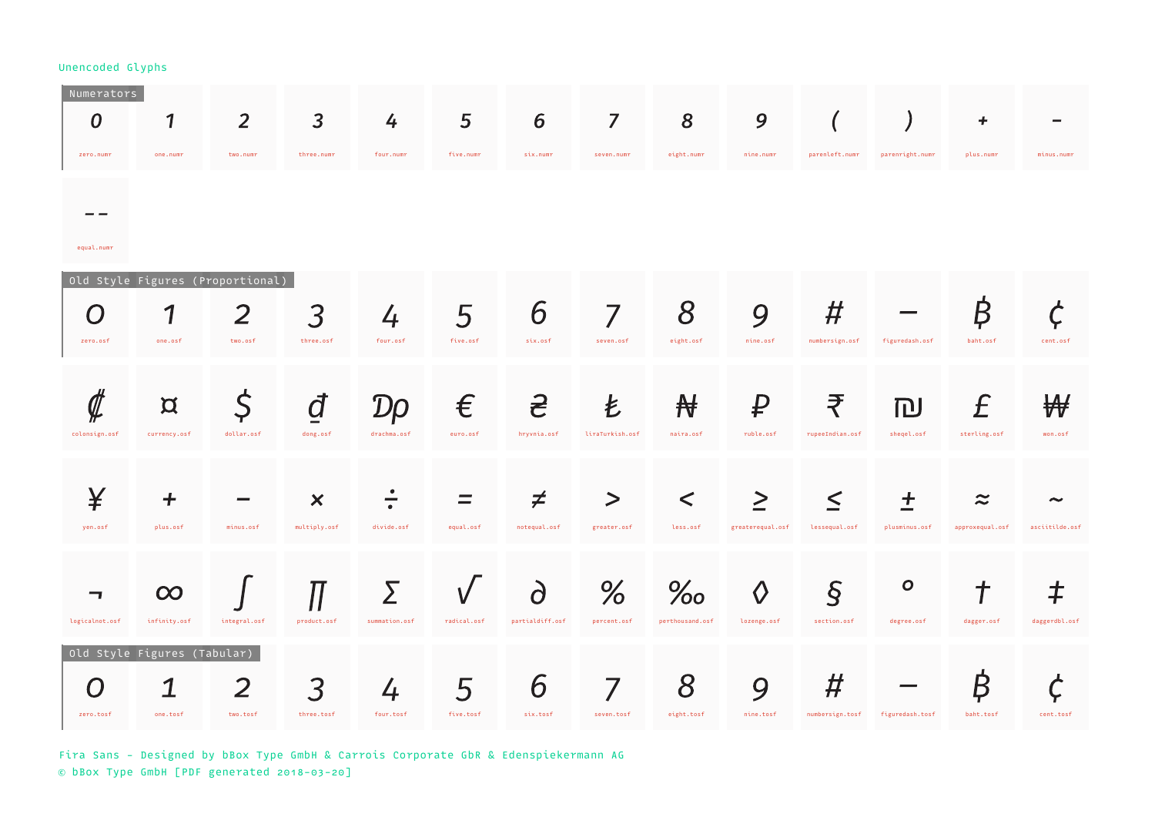| Numerators<br>$\boldsymbol{0}$<br>zero.numr | 1<br>one.numr                                | $\overline{2}$<br>two.numr | $\overline{3}$<br>three.numr              | 4<br>four.numr     | 5<br>five.numr | 6<br>six.numr                 | $\overline{7}$<br>seven.numr | 8<br>eight.numr         | 9<br>nine.numr             | $\overline{(\ }$<br>parenleft.numr | parenright.numr            | +<br>plus.numr               | minus.numr                              |
|---------------------------------------------|----------------------------------------------|----------------------------|-------------------------------------------|--------------------|----------------|-------------------------------|------------------------------|-------------------------|----------------------------|------------------------------------|----------------------------|------------------------------|-----------------------------------------|
| equal.numr                                  |                                              |                            |                                           |                    |                |                               |                              |                         |                            |                                    |                            |                              |                                         |
| O<br>zero.osf                               | Old Style Figures (Proportional)<br>one.osf  | 2<br>two.osf               | 3<br>three.osf                            | 4<br>four.osf      | 5<br>five.osf  | 6<br>six.osf                  | 7<br>seven.osf               | 8<br>eight.osf          | 9<br>nine.osf              | $\bm{\#}$<br>numbersign.osf        | figuredash.osf             | ₿<br>baht.osf                | cent.osf                                |
| colonsign.osf                               | $\alpha$<br>currency.osf                     | \$<br>dollar.osf           | dong.osf                                  | T)<br>drachma.osf  | €<br>euro.osf  | <b>Sc</b><br>hryvnia.osf      | Ł<br>liraTurkish.osf         | ₩<br>naira.osf          | ₽<br>ruble.osf             | ₹<br>rupeeIndian.osf               | 冋<br>sheqel.osf            | £<br>sterling.osf            | won.osf                                 |
| ¥<br>yen.osf                                | ┿<br>plus.osf                                | $minus.$ osf               | $\boldsymbol{\mathsf{x}}$<br>multiply.osf | divide.osf         | equal.osf      | ≠<br>notequal.osf             | $\geq$<br>greater.osf        | $\lt$<br>less.osf       | $\geq$<br>greaterequal.osf | $\boldsymbol{<}$<br>lessequal.osf  | +<br>plusminus.osf         | $\approx$<br>approxequal.osf | $\tilde{\phantom{a}}$<br>asciitilde.osf |
| ┓<br>logicalnot.osf                         | $\infty$<br>infinity.osf                     | integral.osf               | product.osf                               | Σ<br>summation.osf | radical.osf    | $\partial$<br>partialdiff.osf | %<br>percent.osf             | $\%$<br>perthousand.osf | $\Diamond$<br>lozenge.osf  | $\overline{S}$<br>section.osf      | $\mathbf{o}$<br>degree.osf | ╈<br>dagger.osf              | ‡<br>daggerdbl.osf                      |
| zero.tosf                                   | Old Style Figures (Tabular)<br>1<br>one.tosf | $\overline{2}$<br>two.tosf | 3<br>three.tosf                           | 4<br>four.tosf     | 5<br>five.tosf | 6<br>six.tosf                 | 7<br>seven.tosf              | 8<br>eight.tosf         | 9<br>nine.tosf             | #<br>numbersign.tosf               | figuredash.tosf            | B<br>baht.tosf               | cent.tosf                               |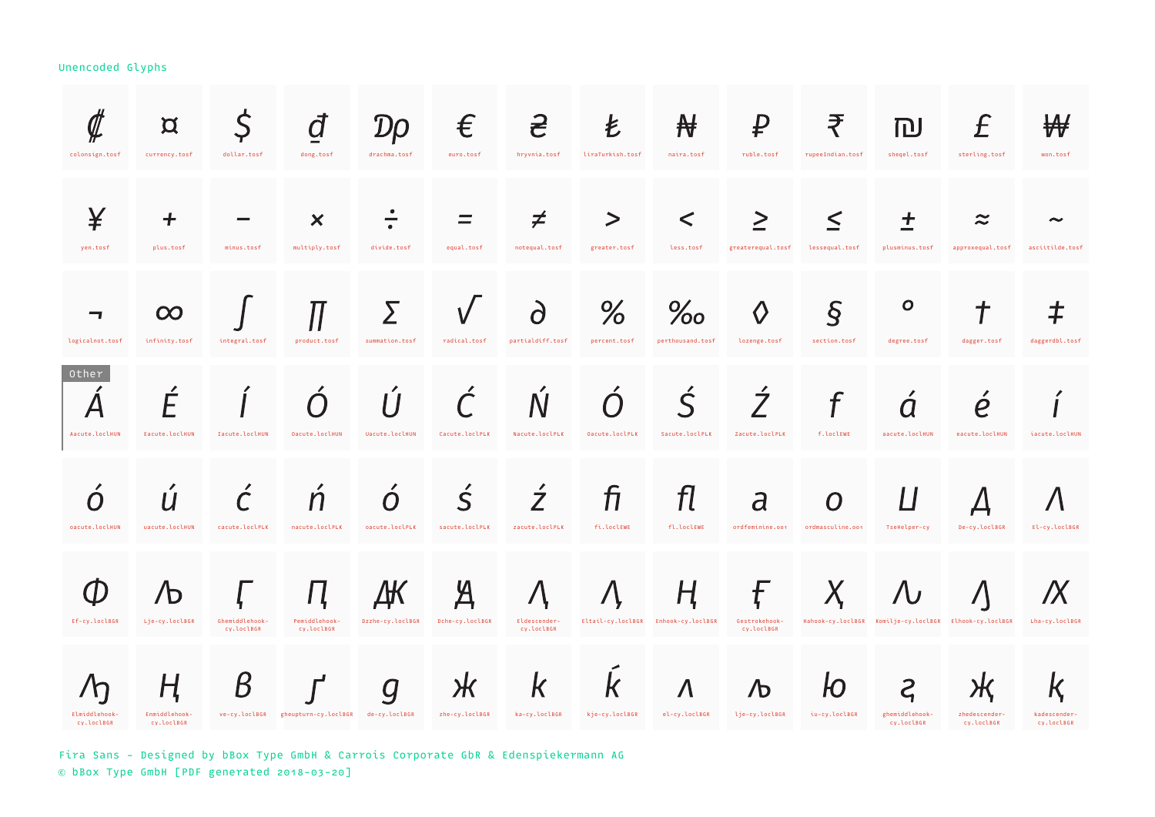| colonsign.tosf              | $\alpha$<br>currency.tosf        | \$<br>dollar.tosf            | đ<br>dong.tosf                                   | $\mathcal{D}$ O<br>drachma.tosf | €<br>euro.tosf                   | <u>දි</u><br>hryvnia.tosf        | Ł<br>liraTurkish.tosf | $\mathbf{\mathcal{H}}$<br>naira.tosf     | ₽<br>ruble.tosf                         | ₹<br>rupeeIndian.tosf                    | 冋<br>sheqel.tosf             | $\int$<br>sterling.tosf                                | ₩<br>won.tosf                     |
|-----------------------------|----------------------------------|------------------------------|--------------------------------------------------|---------------------------------|----------------------------------|----------------------------------|-----------------------|------------------------------------------|-----------------------------------------|------------------------------------------|------------------------------|--------------------------------------------------------|-----------------------------------|
| ¥<br>yen.tosf               | +<br>plus.tosf                   | minus.tosf                   | $\bm{\times}$<br>multiply.tosf                   | divide.tosf                     | equal.tosf                       | ≠<br>notequal.tosf               | ><br>greater.tosf     | $\lt$<br>less.tosf                       | $\geq$<br>greaterequal.tosf             | $\boldsymbol{<}$<br>lessequal.tosf       | +<br>plusminus.tosf          | $\boldsymbol{\approx}$<br>approxequal.tosf             | asciitilde.tosf                   |
| ┓<br>logicalnot.tosf        | $\infty$<br>infinity.tosf        | integral.tosf                | product.tosf                                     | Σ<br>summation.tosf             | radical.tosf                     | $\partial$<br>partialdiff.tosf   | %<br>percent.tosf     | $\%$ o<br>perthousand.tosf               | $\Diamond$<br>lozenge.tosf              | $\overline{\mathcal{S}}$<br>section.tosf | $\mathbf{o}$<br>degree.tosf  | dagger.tosf                                            | $\bm{\ddagger}$<br>daggerdbl.tosf |
| Other<br>Aacute.loclHUN     | {<br>Eacute.loclHUN              | Iacute.loclHUN               | Oacute.loclHUN                                   | Uacute.loclHUN                  | Cacute.loclPLK                   | Nacute.loclPLK                   | Oacute.loclPLK        | $\mathsf{S}$<br>Sacute.loclPLK           | $\acute{\mathcal{I}}$<br>Zacute.loclPLK | f.loclEWE                                | Ω<br>aacute.loclHUN          | e<br>eacute.loclHUN                                    | iacute.loclHUN                    |
| oacute.loclHUN              | uacute.loclHUN                   | cacute.loclPLK               | nacute.loclPLK                                   | O<br>oacute.loclPLK             | $\overline{S}$<br>sacute.loclPLK | $\overline{Z}$<br>zacute.loclPLK | fi<br>fi.loclEWE      | fl<br>fl.loclEWE                         | $\overline{d}$<br>ordfeminine.oo1       | O<br>ordmasculine.001                    | L<br>TseHelper-cy            | De-cy.loclBGR                                          | El-cy.loclBGR                     |
| Ef-cy.loclBGR               | $\Phi$<br>Lje-cy.loclBGR         | Ghemiddlehook-<br>cv.loclBGR | Ц<br>Pemiddlehook-<br>cv.loclBGR                 | Δ₩<br>Dzzhe-cy.loclBGR          | Д<br>Dche-cy.loclBGR             | Eldescender-<br>cv.loclBGR       |                       | Ң<br>Eltail-cy.loclBGR Enhook-cy.loclBGR | Ę<br>Gestrokehook-<br>cv.loclBGR        |                                          |                              | Hahook-cy.loclBGR Komilje-cy.loclBGR Elhook-cy.loclBGR | Lha-cy.loclBGR                    |
| Elmiddlehook-<br>cy.loclBGR | H<br>Enmiddlehook-<br>cy.loclBGR | Β                            | ve-cy.loclBGR gheupturn-cy.loclBGR de-cy.loclBGR | $\bm{Q}$                        | Ж<br>zhe-cy.loclBGR              | $\mathsf{k}$<br>ka-cy.loclBGR    | К<br>kje-cy.loclBGR   | $\Lambda$<br>el-cy.loclBGR               | Љ<br>lje-cy.loclBGR                     | iu-cy.loclBGR                            | ghemiddlehook-<br>cy.loclBGR | zhedescender-<br>cy.loclBGR                            | r,<br>kadescender-<br>cy.loclBGR  |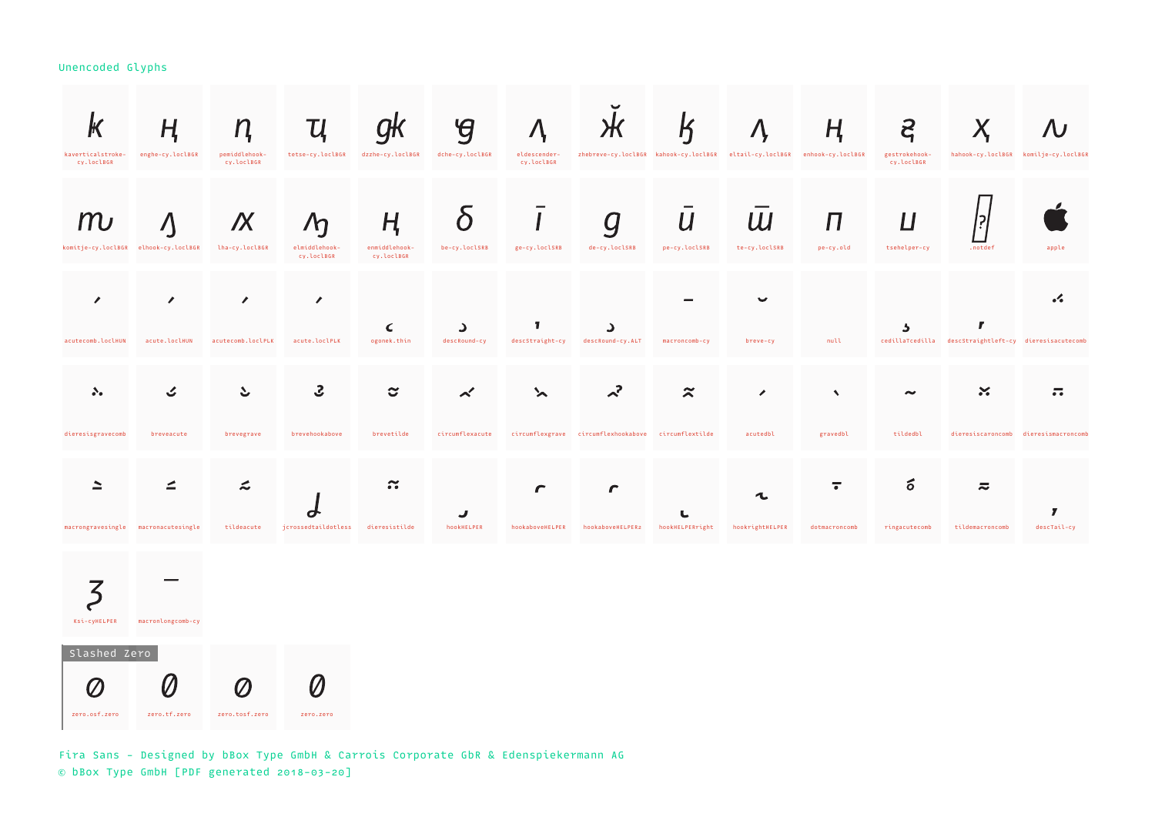| r<br>kaverticalstroke-<br>cy.loclBGR         | Н<br>enghe-cy.loclBGR                        | n<br>pemiddlehook-<br>cy.loclBGR   | Ų<br>tetse-cy.loclBGR                        | dzzhe-cy.loclBGR                 | $\mathcal{G}$<br>dche-cy.loclBGR | eldescender-<br>cy.loclBGR | $\boldsymbol{\pi}$                                  | $\mathsf K$                       | zhebreve-cy.loclBGR kahook-cy.loclBGR eltail-cy.loclBGR enhook-cy.loclBGR | Ң                                | $\mathbf{z}$<br>gestrokehook-<br>cy.loclBGR |                                                       | hahook-cy.loclBGR komilje-cy.loclBGR                       |
|----------------------------------------------|----------------------------------------------|------------------------------------|----------------------------------------------|----------------------------------|----------------------------------|----------------------------|-----------------------------------------------------|-----------------------------------|---------------------------------------------------------------------------|----------------------------------|---------------------------------------------|-------------------------------------------------------|------------------------------------------------------------|
| komitje-cy.loclBGR elhook-cy.loclBGR         |                                              | IX<br>lha-cy.loclBGR               | $\sqrt{\eta}$<br>elmiddlehook-<br>cv.loclBGR | ң<br>enmiddlehook-<br>cv.loclBGR | $\Omega$<br>be-cy.loclSRB        | ge-cy.loclSRB              | g<br>de-cy.loclSRB                                  | $\boldsymbol{U}$<br>pe-cy.loclSRB | Ш<br>te-cy.loclSRB                                                        | Π<br>pe-cy.old                   | Ц<br>tsehelper-cy                           | .notdef                                               | apple                                                      |
| ∕<br>acutecomb.loclHUN                       | $\mathcal{L}_{\mathcal{L}}$<br>acute.loclHUN | $\mathscr{L}$<br>acutecomb.loclPLK | $\mathcal{L}_{\mathcal{A}}$<br>acute.loclPLK | C<br>ogonek.thin                 | د<br>descRound-cy                | T<br>descStraight-cy       | د<br>descRound-cy.ALT                               | macroncomb-cy                     | breve-cy                                                                  | null                             | د                                           | cedillaTcedilla descStraightleft-cy dieresisacutecomb | .4                                                         |
| $\mathcal{S}_{\bullet}$<br>dieresisgravecomb | breveacute                                   | ১<br>brevegrave                    | 3<br>brevehookabove                          | င<br>brevetilde                  | $\lt'$<br>circumflexacute        |                            | circumflexgrave circumflexhookabove circumflextilde | $\approx$                         | ╭<br>acutedbl                                                             | $\blacktriangleleft$<br>gravedbl | tildedbl                                    | $\boldsymbol{\times}$                                 | $\overline{\cdot}$<br>dieresiscaroncomb dieresismacroncomb |
|                                              |                                              | L                                  |                                              | $\approx$                        | J                                |                            |                                                     | L                                 | L                                                                         | ᡒ                                | б                                           | $\overline{\sim}$                                     | ,                                                          |
| macrongravesingle macronacutesingle          |                                              | tildeacute                         | jcrossedtaildotless                          | dieresistilde                    | hookHELPER                       | hookaboveHELPER            | hookaboveHELPER2                                    | hookHELPERright                   | hookrightHELPER                                                           | dotmacroncomb                    | ringacutecomb                               | tildemacroncomb                                       | descTail-cy                                                |

Ksi-cyHELPER macronlongcomb-cy

 Slashed Zero  $\emptyset$  $\emptyset$  $\varnothing$  $\emptyset$ zero.osf.zero zero.tf.zero zero.tosf.zero zero.zero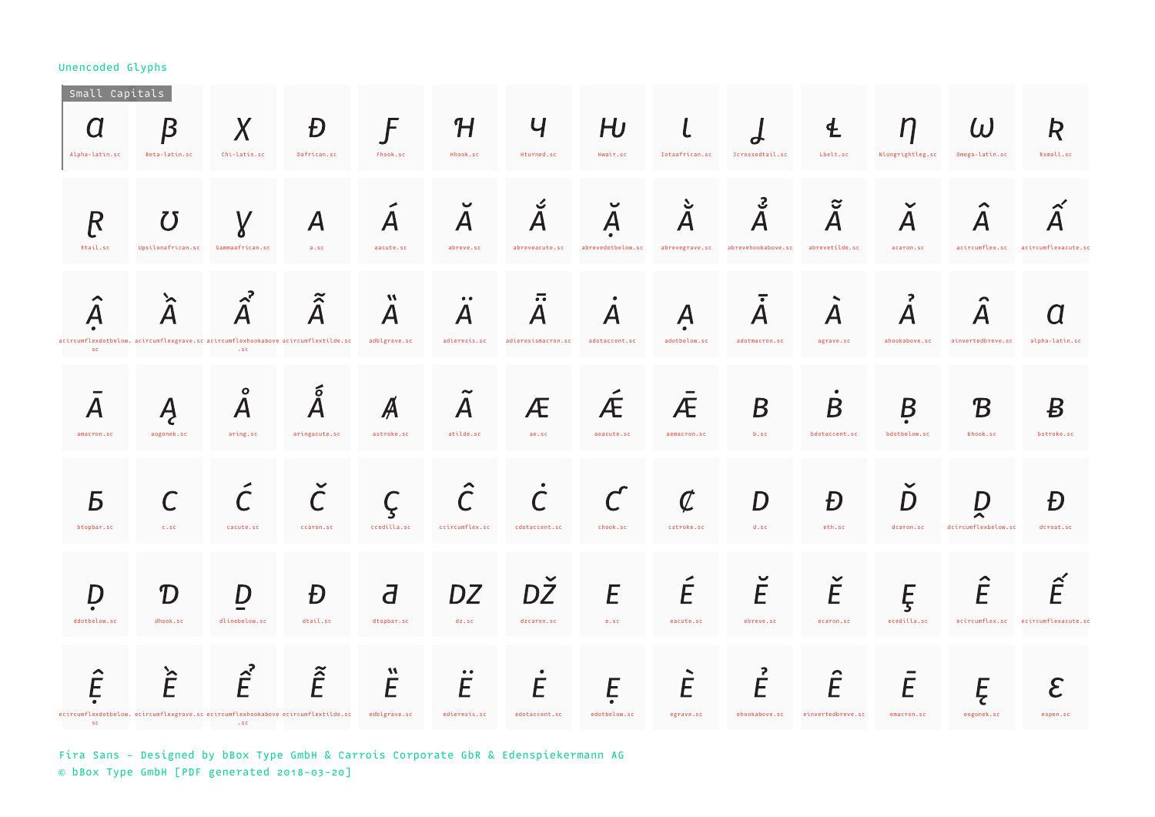| Small Capitals<br>Alpha-latin.sc | Β<br>Beta-latin.sc                                                                                   | $\chi$<br>Chi-latin.sc                             | Đ<br>Dafrican.sc         | F<br>Fhook.sc                                                 | ${\cal H}$<br>Hhook.sc                        | Ч<br>Hturned.sc                                                       | $H\!$<br>Hwair.sc                              | l<br>Iotaafrican.sc                            | Jcrossedtail.sc                                               | 生<br>Lbelt.sc                                  | П<br>Nlongrightleg.sc                  | $\omega$<br>Omega-latin.sc             | R<br>Rsmall.sc                                           |
|----------------------------------|------------------------------------------------------------------------------------------------------|----------------------------------------------------|--------------------------|---------------------------------------------------------------|-----------------------------------------------|-----------------------------------------------------------------------|------------------------------------------------|------------------------------------------------|---------------------------------------------------------------|------------------------------------------------|----------------------------------------|----------------------------------------|----------------------------------------------------------|
| R<br>Rtail.sc                    | $\boldsymbol{U}$<br>Upsilonafrican.sc                                                                | Gammaafrican.sc                                    | $\boldsymbol{A}$<br>a.sc | $\boldsymbol{A}$<br>aacute.sc                                 | $\checkmark$<br>$\boldsymbol{A}$<br>abreve.sc | ン<br>$\overline{\mathsf{A}}$<br>abreveacute.sc                        | $\boldsymbol{\mathsf{A}}$<br>abrevedotbelow.sc | S<br>$\overline{\mathsf{A}}$<br>abrevegrave.sc | $\mathbf{S}$<br>$\overline{\mathsf{A}}$<br>abrevehookabove.sc | ೮<br>$\overline{\mathsf{A}}$<br>abrevetilde.sc | $\boldsymbol{\mathsf{A}}$<br>acaron.sc | acircumflex.sc acircumflexacute.sc     |                                                          |
| A<br><b>SC</b>                   | ≻<br>acircumflexdotbelow. acircumflexgrave.sc acircumflexhookabove acircumflextilde.sc               | $\lambda^2$<br>$\cdot$ SC                          | $\tilde{\hat{A}}$        | $\boldsymbol{M}$<br>$\boldsymbol{\mathsf{A}}$<br>adblgrave.sc | $\bullet\bullet$<br>Α<br>adieresis.sc         | $\overline{\cdot}$<br>$\boldsymbol{\mathsf{A}}$<br>adieresismacron.sc | A<br>adotaccent.sc                             | $\boldsymbol{\mathsf{A}}$<br>adotbelow.sc      | ≂<br>Α<br>adotmacron.sc                                       | $\bm{\mathsf{A}}$<br>agrave.sc                 | Α<br>ahookabove.sc                     | ainvertedbreve.sc                      | alpha-latin.sc                                           |
| amacron.sc                       | aogonek.sc                                                                                           | $\bullet$<br>$\boldsymbol{\mathsf{A}}$<br>aring.sc | б<br>aringacute.sc       | astroke.sc                                                    | $\boldsymbol{A}$<br>atilde.sc                 | Æ<br>ae.sc                                                            | Æ<br>aeacute.sc                                | Æ<br>aemacron.sc                               | B<br>b.sc                                                     | Β<br>bdotaccent.sc                             | B<br>bdotbelow.sc                      | $\boldsymbol{\mathcal{B}}$<br>bhook.sc | B<br>bstroke.sc                                          |
| Б<br>btopbar.sc                  | C.S.C.                                                                                               | $\mathcal C$<br>cacute.sc                          | ccaron.sc                | ccedilla.sc                                                   | $\mathcal C$<br>ccircumflex.sc                | cdotaccent.sc                                                         | chook.sc                                       | $\overline{\mathcal{C}}$<br>cstroke.sc         | D<br>d.sc                                                     | Đ<br>eth.sc                                    | D<br>dcaron.sc                         | D<br>dcircumflexbelow.sc               | Đ<br>dcroat.sc                                           |
| ddotbelow.sc                     | T<br>dhook.sc                                                                                        | 7<br>dlinebelow.sc                                 | Đ<br>dtail.sc            | J<br>dtopbar.sc                                               | DZ<br>$dz$ .sc                                | DZ<br>dzcaron.sc                                                      | E<br>e.sc                                      | E<br>eacute.sc                                 | $\breve{E}$<br>ebreve.sc                                      | Ė<br>ecaron.sc                                 | Ę<br>ecedilla.sc                       | $\hat{\mathsf{E}}$                     | $\hat{\mathsf{F}}$<br>ecircumflex.sc ecircumflexacute.sc |
| <b>SC</b>                        | $\hat{\vec{E}}$<br>ecircumflexdotbelow. ecircumflexgrave.sc ecircumflexhookabove ecircumflextilde.sc | $\hat{\vec{E}}$<br>.5C                             | $\tilde{\hat{E}}$        | $\boldsymbol{M}$<br>E<br>edblgrave.sc                         | $\bullet\;\bullet$<br>E<br>edieresis.sc       | E<br>edotaccent.sc                                                    | E<br>edotbelow.sc                              | É<br>egrave.sc                                 | 2<br>Ě<br>ehookabove.sc                                       | $\sim$<br>Ê<br>einvertedbreve.sc               | E<br>emacron.sc                        | Ę<br>eogonek.sc                        | $\mathcal E$<br>eopen.sc                                 |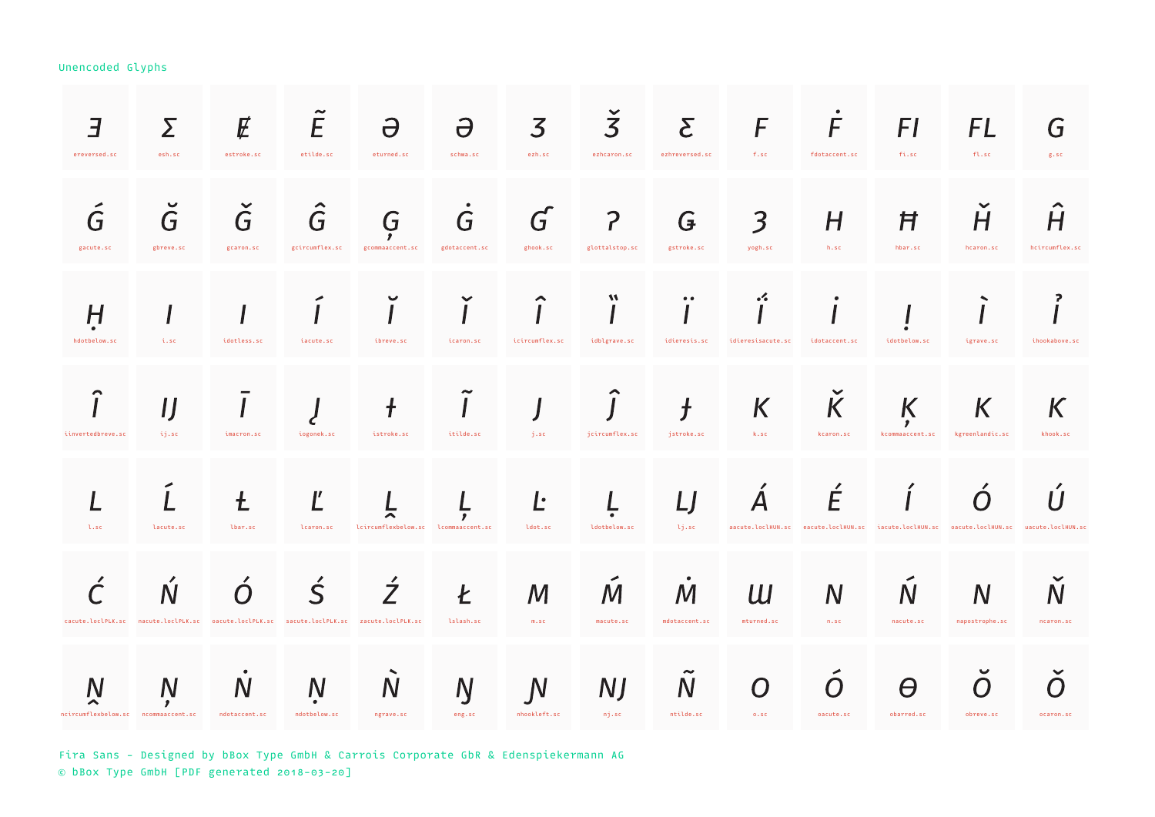| 3<br>ereversed.sc                        | Σ<br>esh.sc                                                                               | E<br>estroke.sc                 | E<br>etilde.sc               | $\Theta$<br>eturned.sc              | $\partial$<br>schwa.sc   | 3<br>ezh.sc                  | $\overline{3}$<br>ezhcaron.sc    | $\mathsf{S}% _{T}=\mathsf{S}_{T}\!\left( a,b\right) ,\ \mathsf{S}_{T}\!\left( a,b\right)$<br>ezhreversed.sc | F<br>f.sc                          | F<br>fdotaccent.sc                          | FI<br>fi.sc                                                                               | FL<br>f1.sc          | G<br>g.sc           |
|------------------------------------------|-------------------------------------------------------------------------------------------|---------------------------------|------------------------------|-------------------------------------|--------------------------|------------------------------|----------------------------------|-------------------------------------------------------------------------------------------------------------|------------------------------------|---------------------------------------------|-------------------------------------------------------------------------------------------|----------------------|---------------------|
| G<br>gacute.sc                           | G<br>gbreve.sc                                                                            | $\check G$<br>gcaron.sc         | $\hat{G}$<br>gcircumflex.sc  | G<br>gcommaaccent.sc                | G<br>gdotaccent.sc       | G<br>ghook.sc                | $\overline{P}$<br>glottalstop.sc | G<br>gstroke.sc                                                                                             | $\overline{\mathbf{3}}$<br>yogh.sc | H<br>h.sc                                   | Ħ<br>hbar.sc                                                                              | H<br>hcaron.sc       | H<br>hcircumflex.sc |
| H<br>hdotbelow.sc                        | i.sc                                                                                      | idotless.sc                     | iacute.sc                    | ibreve.sc                           | icaron.sc                | ⌒<br>icircumflex.sc          | M<br>idblgrave.sc                | $\bullet\bullet$<br>idieresis.sc                                                                            | $\cdot$<br>idieresisacute.sc       | idotaccent.sc                               | idotbelow.sc                                                                              | igrave.sc            | 2<br>ihookabove.sc  |
| ⌒<br>iinvertedbreve.sc                   | ij.sc                                                                                     | imacron.sc                      | iogonek.sc                   | istroke.sc                          | itilde.sc                | j.sc                         | jcircumflex.sc                   | $\overline{f}$<br>jstroke.sc                                                                                | K<br>k.sc                          | $\checkmark$<br>$\overline{K}$<br>kcaron.sc | K<br>,<br>kcommaaccent.sc                                                                 | K<br>kgreenlandic.sc | К<br>khook.sc       |
| l.scl                                    | lacute.sc                                                                                 | $\mathbf t$<br>lbar.sc          | Ľ<br>lcaron.sc               | lcircumflexbelow.sc lcommaaccent.sc |                          | Ŀ<br>ldot.sc                 | ldotbelow.sc                     | LJ<br>lj.sc                                                                                                 | $\boldsymbol{\mathsf{A}}$          | E                                           | aacute.loclHUN.sc eacute.loclHUN.sc iacute.loclHUN.sc oacute.loclHUN.sc uacute.loclHUN.sc | ( )                  | 11                  |
|                                          | cacute.loclPLK.sc nacute.loclPLK.sc oacute.loclPLK.sc sacute.loclPLK.sc zacute.loclPLK.sc |                                 | $\varsigma$                  | $\dot{\mathcal{J}}$                 | Ł<br>lslash.sc           | M<br>m.sc                    | M<br>macute.sc                   | М<br>mdotaccent.sc                                                                                          | Ш<br>mturned.sc                    | N<br>n.sc                                   | $\mathsf N$<br>nacute.sc                                                                  | N<br>napostrophe.sc  | N<br>ncaron.sc      |
| N<br>ncircumflexbelow.sc ncommaaccent.sc | N                                                                                         | $\overline{N}$<br>ndotaccent.sc | <sub>N</sub><br>ndotbelow.sc | N<br>ngrave.sc                      | $\overline{N}$<br>eng.sc | $\mathsf{N}$<br>nhookleft.sc | <b>NJ</b><br>nj.sc               | $\mathsf{N}$<br>ntilde.sc                                                                                   | $\bm{O}$<br>0.5C                   | oacute.sc                                   | Θ<br>obarred.sc                                                                           | ( )<br>obreve.sc     | ocaron.sc           |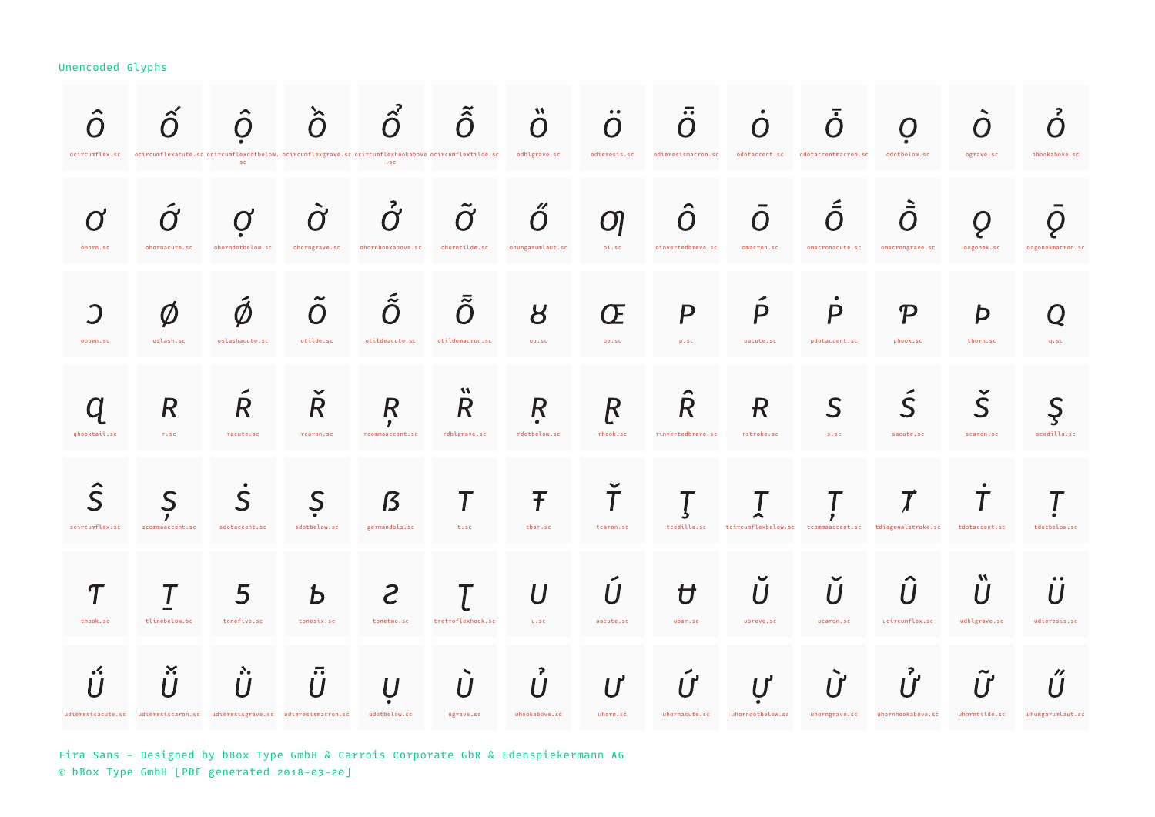|                | ocircumflex.sc ocircumflexacute.scocircumflexdotbelow.ocircumflexgrave.scocircumflexhookaboveocircumflextilde.sc | $\blacktriangle$<br>$\cap$<br>SC. | ≻<br>$\cap$                 | $\bigcap$<br>$.$ SC              | $\tilde{\hat{O}}$              | $\boldsymbol{M}$<br>( )<br>odblgrave.sc         | odieresis.sc                    | $\overline{\cdot}$<br>$\cap$<br>odieresismacron.sc | $\cap$<br>odotaccent.sc                                | $\Box$<br>odotaccentmacron.sc     | odotbelow.sc                           | ( )<br>ograve.sc                     | $\mathbf{P}$<br>ohookabove.sc                   |
|----------------|------------------------------------------------------------------------------------------------------------------|-----------------------------------|-----------------------------|----------------------------------|--------------------------------|-------------------------------------------------|---------------------------------|----------------------------------------------------|--------------------------------------------------------|-----------------------------------|----------------------------------------|--------------------------------------|-------------------------------------------------|
| ohorn.sc       | ohornacute.sc                                                                                                    | ohorndotbelow.sc                  | ohorngrave.sc               | ohornhookabove.sc                | ohorntilde.sc                  | $\boldsymbol{\prime\prime}$<br>ohungarumlaut.sc | $\bm{\mathsf{\Omega}}$<br>oi.sc | $\cap$<br>oinvertedbreve.sc                        | 0<br>omacron.sc                                        | omacronacute.sc                   | omacrongrave.sc                        | oogonek.sc                           | oogonekmacron.sc                                |
| oopen.sc       | oslash.sc                                                                                                        | oslashacute.sc                    | otilde.sc                   | L<br>$\bigcap$<br>otildeacute.sc | ≂<br>$\cap$<br>otildemacron.sc | 8<br>ou.sc                                      | Œ<br>oe, sc                     | $\boldsymbol{P}$<br>p.sc                           | $\boldsymbol{P}$<br>pacute.sc                          | $\boldsymbol{P}$<br>pdotaccent.sc | $\boldsymbol{\mathcal{P}}$<br>phook.sc | Þ<br>thorn.sc                        | $q$ .sc                                         |
| ghooktail.sc   | R<br>$r$ , sc                                                                                                    | $\pmb{\mathsf{R}}$<br>racute.sc   | $\overline{R}$<br>rcaron.sc | R<br>,<br>rcommaaccent.sc        | W<br>R<br>rdblgrave.sc         | R<br>rdotbelow.sc                               | R<br>rhook.sc                   | $\boldsymbol{R}$<br>rinvertedbreve.sc              | $\boldsymbol{R}$<br>rstroke.sc                         | S<br>S.SC                         | $\mathsf S$<br>sacute.sc               | $\overline{\mathsf{S}}$<br>scaron.sc | S<br>scedilla.sc                                |
| scircumflex.sc | scommaaccent.sc                                                                                                  | S<br>sdotaccent.sc                | S<br>sdotbelow.sc           | ß<br>germandbls.sc               | T<br>t.sc                      | Ŧ<br>tbar.sc                                    | T<br>tcaron.sc                  | tcedilla.sc                                        | tcircumflexbelow.sc tcommaaccent.sc tdiagonalstroke.sc | ,                                 | $\boldsymbol{\tau}$                    | tdotaccent.sc                        | tdotbelow.sc                                    |
| Π,<br>thook.sc | tlinebelow.sc                                                                                                    | 5<br>tonefive.sc                  | Ь<br>tonesix.sc             | S<br>tonetwo.sc                  | tretroflexhook.sc              | U<br>U.SC                                       | uacute.sc                       | Ħ<br>ubar.sc                                       | ubreve.sc                                              | ucaron.sc                         | ucircumflex.sc                         | M<br>udblgrave.sc                    | $\bullet$<br>udieresis.sc                       |
| $\cdot$        | $\boldsymbol{\varkappa}$<br>udieresisacute.sc udieresiscaron.sc udieresisgrave.sc udieresismacron.sc             | $\mathcal{S}_{\bullet}$           | $\overline{\cdot}$          | udotbelow.sc                     | $\boldsymbol{U}$<br>ugrave.sc  | 2<br>uhookabove.sc                              | uhorn.sc                        | uhornacute.sc                                      | uhorndotbelow.sc                                       | ΙŸ<br>uhorngrave.sc               | $\mathsf{l}^2$<br>uhornhookabove.sc    | uhorntilde.sc                        | $\boldsymbol{\prime\prime}$<br>uhungarumlaut.sc |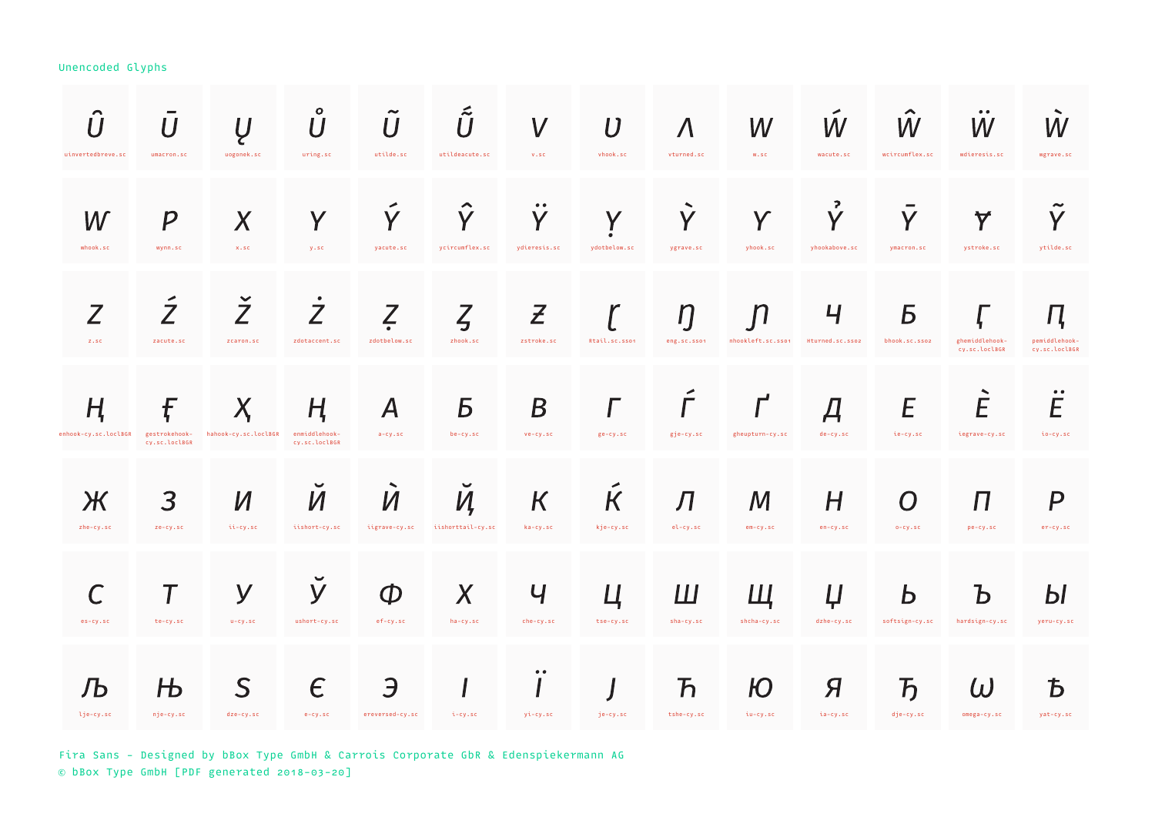| uinvertedbreve.sc         | $\boldsymbol{U}$<br>umacron.sc      | $\overline{U}$<br>uogonek.sc | $\circ$<br>U<br>uring.sc            | $\overline{U}$<br>utilde.sc               | $\tilde{\tilde{U}}$<br>utildeacute.sc  | $\boldsymbol{V}$<br>V.SC                          | $\boldsymbol{U}$<br>vhook.sc | $\Lambda$<br>vturned.sc                  | W<br>W.SC                        | W<br>wacute.sc                       | ⌒<br>W<br>wcircumflex.sc             | $\bullet\;\bullet$<br>W<br>wdieresis.sc | W<br>wgrave.sc                      |
|---------------------------|-------------------------------------|------------------------------|-------------------------------------|-------------------------------------------|----------------------------------------|---------------------------------------------------|------------------------------|------------------------------------------|----------------------------------|--------------------------------------|--------------------------------------|-----------------------------------------|-------------------------------------|
| W<br>whook.sc             | $\boldsymbol{P}$<br>wynn.sc         | $\boldsymbol{X}$<br>x.sc     | Y<br>y.sc                           | Y<br>yacute.sc                            | Y<br>ycircumflex.sc                    | $\bullet\;\bullet$<br>$\mathbf V$<br>ydieresis.sc | V<br>ydotbelow.sc            | Y<br>ygrave.sc                           | Y<br>yhook.sc                    | $\overline{P}$<br>V<br>yhookabove.sc | Y<br>ymacron.sc                      | $\blacktriangledown$<br>ystroke.sc      | V<br>ytilde.sc                      |
| Z<br>Z.SC                 | $\overline{Z}$<br>zacute.sc         | $\check{Z}$<br>zcaron.sc     | $\dot{Z}$<br>zdotaccent.sc          | Z<br>zdotbelow.sc                         | $\zeta$<br>zhook.sc                    | $\boldsymbol{z}$<br>zstroke.sc                    | Rtail.sc.sson                | $\eta$<br>eng.sc.sson                    | $\mathbf n$<br>nhookleft.sc.sso1 | Ч<br>Hturned.sc.sso2                 | Б<br>bhook.sc.sso2                   | ghemiddlehook-<br>cy.sc.loclBGR         | Ц<br>pemiddlehook-<br>cy.sc.loclBGR |
| H<br>enhook-cy.sc.loclBGR | f<br>gestrokehook-<br>cv.sc.loclBGR | X<br>hahook-cy.sc.loclBGR    | ң<br>enmiddlehook-<br>cv.sc.loclBGR | $\boldsymbol{A}$<br>$a-cy$ .sc            | Б<br>be-cy.sc                          | $\boldsymbol{B}$<br>$ve-cy.sc$                    | ge-cy.sc                     | $\Gamma$<br>gje-cy.sc                    | gheupturn-cy.sc                  | Д<br>$de-cy.sc$                      | E<br>ie-cy.sc                        | E<br>iegrave-cy.sc                      | $\bullet\;\bullet$<br>E<br>io-cy.sc |
| Ж<br>zhe-cy.sc            | 3<br>ze-cy.sc                       | И<br>ii-cy.sc                | $\checkmark$<br>И<br>iishort-cy.sc  | $\hat{\phantom{a}}$<br>И<br>iigrave-cy.sc | $\checkmark$<br>И<br>iishorttail-cy.sc | $\overline{\mathsf{K}}$<br>ka-cy.sc               | $\kappa$<br>kje-cy.sc        | Л<br>$el-cy$ .sc                         | M<br>em-cy.sc                    | H<br>en-cy.sc                        | O<br>$0-Cy$ .sc                      | $\boldsymbol{\Pi}$<br>pe-cy.sc          | $\boldsymbol{P}$<br>er-cy.sc        |
| es-cy.sc                  | te-cy.sc                            | y<br>$u-cy$ .sc              | У<br>ushort-cy.sc                   | $\Phi$<br>ef-cy.sc                        | X<br>ha-cy.sc                          | $\mathsf{U}$<br>che-cy.sc                         | tse-cy.sc                    | Ш<br>sha-cy.sc                           | Ш<br>shcha-cy.sc                 | Ļ<br>dzhe-cy.sc                      | D<br>softsign-cy.sc                  | b<br>hardsign-cy.sc                     | Ы<br>yeru-cy.sc                     |
| JЬ<br>lje-cy.sc           | Њ<br>nje-cy.sc                      | S<br>dze-cy.sc               | $\epsilon$<br>$e-cy$ .sc            | Э<br>ereversed-cy.sc                      | i-cy.sc                                | $\bullet\; \bullet$<br>yi-cy.sc                   | je-cy.sc                     | $\boldsymbol{\mathcal{F}}$<br>tshe-cy.sc | Ю<br>iu-cy.sc                    | Я<br>ia-cy.sc                        | $\overline{\mathbf{b}}$<br>dje-cy.sc | $\omega$<br>omega-cy.sc                 | Ѣ<br>yat-cy.sc                      |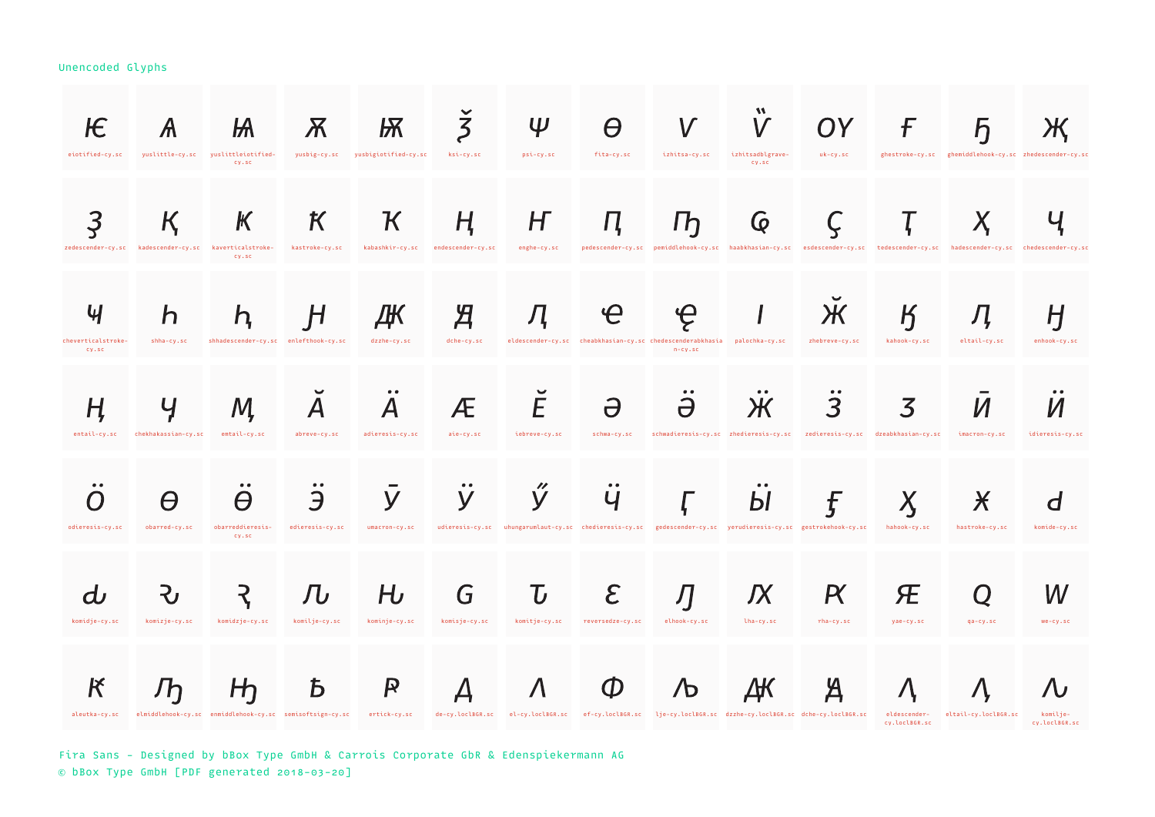| ЮE<br>eiotified-cy.sc                        | $\mathcal{A}$                                                                                                                                                                                         | Ѩ<br>yuslittle-cy.sc yuslittleiotified-             | $\boldsymbol{X}$     | Ѭ<br>yusbig-cy.sc yusbigiotified-cy.sc | $\overline{5}$<br>ksi-cy.sc      | Ψ<br>psi-cy.sc               | Θ<br>fita-cy.sc                                                                                                    | ${\color{black}\mathsf{V}}$<br>izhitsa-cy.sc | $\mathsf{V}$<br>izhitsadblgrave-<br>CV.SC                                                                                                       | OY)<br>uk-cy.sc     | F                                         | h<br>ghestroke-cy.sc ghemiddlehook-cy.sc zhedescender-cy.sc |                                 |
|----------------------------------------------|-------------------------------------------------------------------------------------------------------------------------------------------------------------------------------------------------------|-----------------------------------------------------|----------------------|----------------------------------------|----------------------------------|------------------------------|--------------------------------------------------------------------------------------------------------------------|----------------------------------------------|-------------------------------------------------------------------------------------------------------------------------------------------------|---------------------|-------------------------------------------|-------------------------------------------------------------|---------------------------------|
| Ҙ                                            | K.<br>zedescender-cy.sc kadescender-cy.sc kaverticalstroke-                                                                                                                                           | CV.SC<br>$\mathbb K$<br>CV.SC                       | K<br>kastroke-cy.sc  | $\mathcal K$<br>kabashkir-cy.sc        | $H_{\cdot}$<br>endescender-cy.sc | H<br>enghe-cy.sc             | Ц                                                                                                                  | $\mathsf{D}$                                 | $\mathsf{Q}$<br>pedescender-cy.sc pemiddlehook-cy.sc haabkhasian-cy.sc esdescender-cy.sc tedescender-cy.sc hadescender-cy.sc chedescender-cy.sc |                     | Ţ                                         |                                                             |                                 |
| $\mathcal{H}$<br>cheverticalstroke-<br>CV.SC | h<br>shha-cy.sc                                                                                                                                                                                       | $n_{\rm s}$<br>shhadescender-cy.sc enlefthook-cy.sc | H                    | ДК<br>dzzhe-cy.sc                      | Я<br>dche-cy.sc                  | Д                            | eldescender-cy.sc cheabkhasian-cy.sc chedescenderabkhasia palochka-cy.sc                                           | $\boldsymbol{\varphi}$<br>$n-cy$ .sc         |                                                                                                                                                 | Л<br>zhebreve-cy.sc | $\boldsymbol{\mathsf{K}}$<br>kahook-cy.sc | eltail-cy.sc                                                | H<br>enhook-cy.sc               |
| H,<br>entail-cy.sc                           | Ӌ<br>chekhakassian-cy.sc                                                                                                                                                                              | M<br>emtail-cy.sc                                   | abreve-cy.sc         | A<br>adieresis-cy.sc                   | Æ<br>aie-cy.sc                   | E<br>iebreve-cy.sc           | $\partial$<br>schwa-cy.sc                                                                                          | Ә                                            | schwadieresis-cy.sc zhedieresis-cy.sc zedieresis-cy.sc dzeabkhasian-cy.sc                                                                       |                     | 3                                         | imacron-cy.sc                                               | idieresis-cy.sc                 |
| odieresis-cy.sc                              | θ<br>obarred-cy.sc                                                                                                                                                                                    | $\bullet$<br>A<br>obarreddieresis-<br>CV.SC         | Э<br>edieresis-cy.sc | y<br>umacron-cy.sc                     | $\bullet\;\bullet$<br>y          | $\prime\prime$<br>y          | Ч<br>udieresis-cy.sc uhungarumlaut-cy.sc chedieresis-cy.sc gedescender-cy.sc yerudieresis-cy.sc gestrokehook-cy.sc |                                              | Ы                                                                                                                                               | Ę                   | X.<br>hahook-cy.sc                        | $\boldsymbol{\mathsf{X}}$<br>hastroke-cy.sc                 | d<br>komide-cy.sc               |
| komidje-cy.sc                                | komizje-cy.sc                                                                                                                                                                                         | komidzje-cy.sc                                      | ЛU<br>komilje-cy.sc  | HJ<br>kominje-cy.sc                    | G<br>komisje-cy.sc               | $\mathbf U$<br>komitje-cy.sc | $\mathcal E$<br>reversedze-cy.sc                                                                                   | Л<br>elhook-cy.sc                            | ЉΧ<br>lha-cy.sc                                                                                                                                 | K<br>rha-cy.sc      | Æ<br>yae-cy.sc                            | Q<br>ga-cv.sc                                               | W<br>$we-cy.sc$                 |
| $\bm{\mathsf{K}}$                            | Jh<br>aleutka-cy.sc elmiddlehook-cy.sc enmiddlehook-cy.sc semisoftsign-cy.sc ertick-cy.sc de-cy.loclB6R.sc el-cy.loclB6R.sc ef-cy.loclB6R.sc lje-cy.loclB6R.sc dzzhe-cy.loclB6R.sc dche-cy.loclB6R.sc | H <sub>1</sub>                                      | Ҍ                    | $\boldsymbol{R}$                       | Д                                | $\Lambda$                    | $\boldsymbol{\psi}$                                                                                                | $\sqrt{D}$                                   | ДК                                                                                                                                              | Ά                   | $\Lambda$<br>cy.loclBGR.sc                | eldescender- eltail-cy.loclBGR.sc                           | 'U<br>komilje-<br>cy.loclBGR.sc |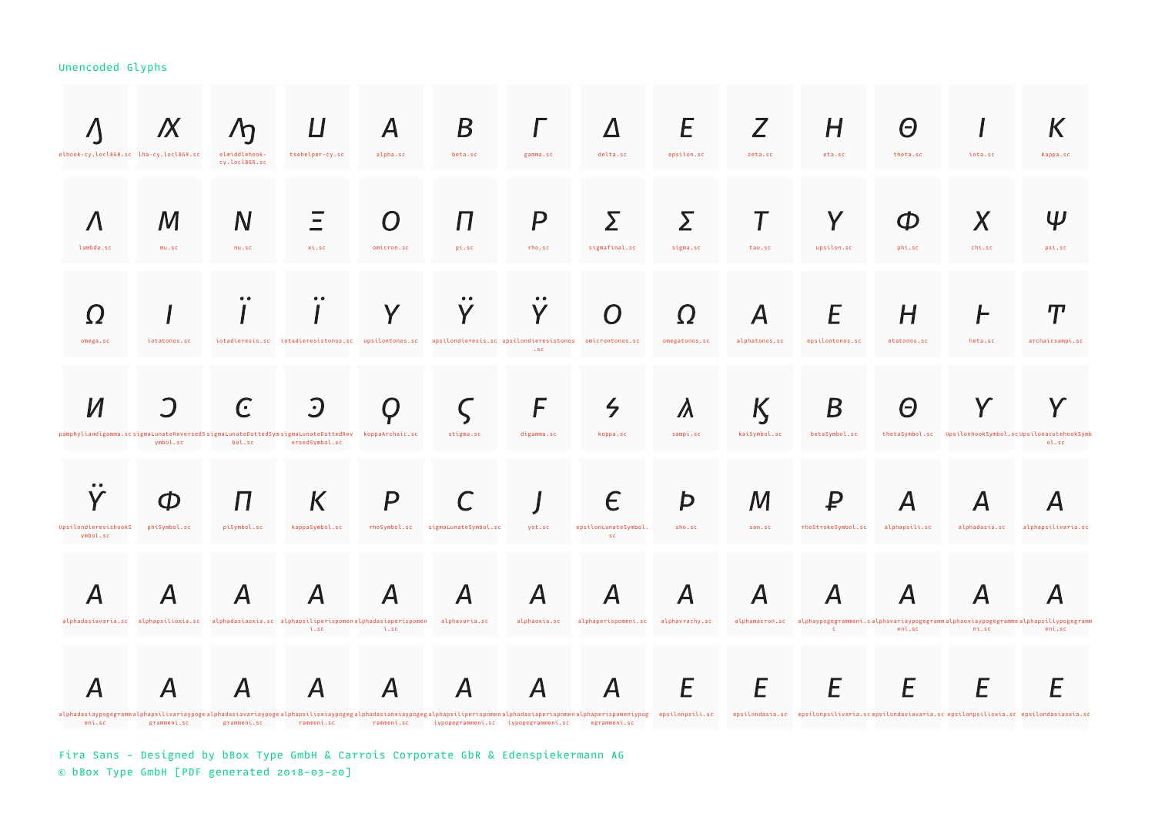| elhook-cy.loclBGR.sc lha-cy.loclBGR.sc                                                                                                                                                                                                   | IX                        | $\sqrt{h}$<br>elmiddlehook-<br>cy.loclBGR.sc | tsehelper-cy.sc                                                                                              | Α<br>alpha.sc                     | B<br>beta.sc              | gamma.sc                                  | delta.sc                                             | E<br>epsilon.sc             | zeta.sc           | H<br>eta.sc             | Θ<br>theta.sc      | iota.sc            | kappa.sc                                                                                        |
|------------------------------------------------------------------------------------------------------------------------------------------------------------------------------------------------------------------------------------------|---------------------------|----------------------------------------------|--------------------------------------------------------------------------------------------------------------|-----------------------------------|---------------------------|-------------------------------------------|------------------------------------------------------|-----------------------------|-------------------|-------------------------|--------------------|--------------------|-------------------------------------------------------------------------------------------------|
| lambda.sc                                                                                                                                                                                                                                | M<br>mu.sc                | $\mathsf{N}$<br>nu.sc                        | xi.sc                                                                                                        | omicron.sc                        | П<br>pi.sc                | P<br>rho.sc                               | sigmafinal.sc                                        | Σ<br>sigma.sc               | tau.sc            | Y<br>upsilon.sc         | Œ<br>phi.sc        | X<br>chi.sc        | Ψ<br>psi.sc                                                                                     |
| omega.sc                                                                                                                                                                                                                                 | iotatonos.sc              |                                              | iotadieresis.sc iotadieresistonos.sc upsilontonos.sc upsilondieresis.sc upsilondieresistonos omicrontonos.sc |                                   |                           | V<br>$.$ sc                               | O                                                    | <u>( )</u><br>omegatonos.sc | alphatonos.sc     | epsilontonos.sc         | Н<br>etatonos.sc   | heta.sc            | П<br>archaicsampi.sc                                                                            |
| pamphyliandigamma.scsigmaLunateReversedSsigmaLunateDottedSymsigmaLunateDottedRev koppaArchaic.sc                                                                                                                                         | vmbol.sc                  | $\Gamma$<br>bol.sc                           | $\cdot \cdot$<br>ersedSvmbol.sc                                                                              |                                   | stigma.sc                 | F<br>digamma.sc                           | $\zeta$<br>koppa.sc                                  | $\lambda$<br>sampi.sc       | K<br>kaiSymbol.sc | Β<br>betaSymbol.sc      | Θ                  |                    | thetaSymbol.sc UpsilonhookSymbol.scUpsilonacutehookSymb<br>ol.sc                                |
| $\bullet$<br>UpsilondieresishookS                                                                                                                                                                                                        | Œ<br>phiSymbol.sc         | $\boldsymbol{\Pi}$<br>piSymbol.sc            | K<br>kappaSymbol.sc                                                                                          | P<br>rhoSymbol.sc                 | sigmaLunateSymbol.sc      | yot.sc                                    | Е<br>epsilonLunateSymbol.                            | Þ<br>sho.sc                 | М<br>san.sc       | ₽<br>rhoStrokeSymbol.sc | Α<br>alphapsili.sc | A<br>alphadasia.sc | alphapsilivaria.sc                                                                              |
| ymbol.sc<br>$\boldsymbol{A}$                                                                                                                                                                                                             |                           | Α                                            | Α<br>alphadasiavaria.sc alphapsilioxia.sc alphadasiaoxia.sc alphapsiliperispomenalphadasiaperispomen         |                                   | Α<br>alphavaria.sc        | $\boldsymbol{\mathsf{A}}$<br>alphaoxia.sc | <b>SC</b><br>A<br>alphaperispomeni.sc alphavrachy.sc | Α                           | Α                 |                         | Α                  | A                  | alphamacron.sc alphaypogegrammeni.salphavariaypogegrammalphaoxiaypogegrammealphapsiliypogegramm |
| alphadasiaypogegrammalphapsilivariaypogealphadasiavariaypogealphapsilioxiaypogegalphadasiaoxiaypogegalphapsiliperispomenalphadasiaperispomenalphaperispomenalphaperispomeniypog epsilonpsili.sc epsilonpsilivaria.scepsilondas<br>eni.sc | $\boldsymbol{\mathsf{A}}$ | $\boldsymbol{\mathsf{A}}$                    | i.sc<br>$\boldsymbol{\mathsf{A}}$                                                                            | i.sc<br>$\boldsymbol{\mathsf{A}}$ | $\boldsymbol{\mathsf{A}}$ | Α                                         | $\boldsymbol{\mathsf{A}}$                            | E                           | E                 | $\mathbf{C}$<br>E       | eni.sc<br>E        | ni.sc<br>E         | eni.sc<br>F                                                                                     |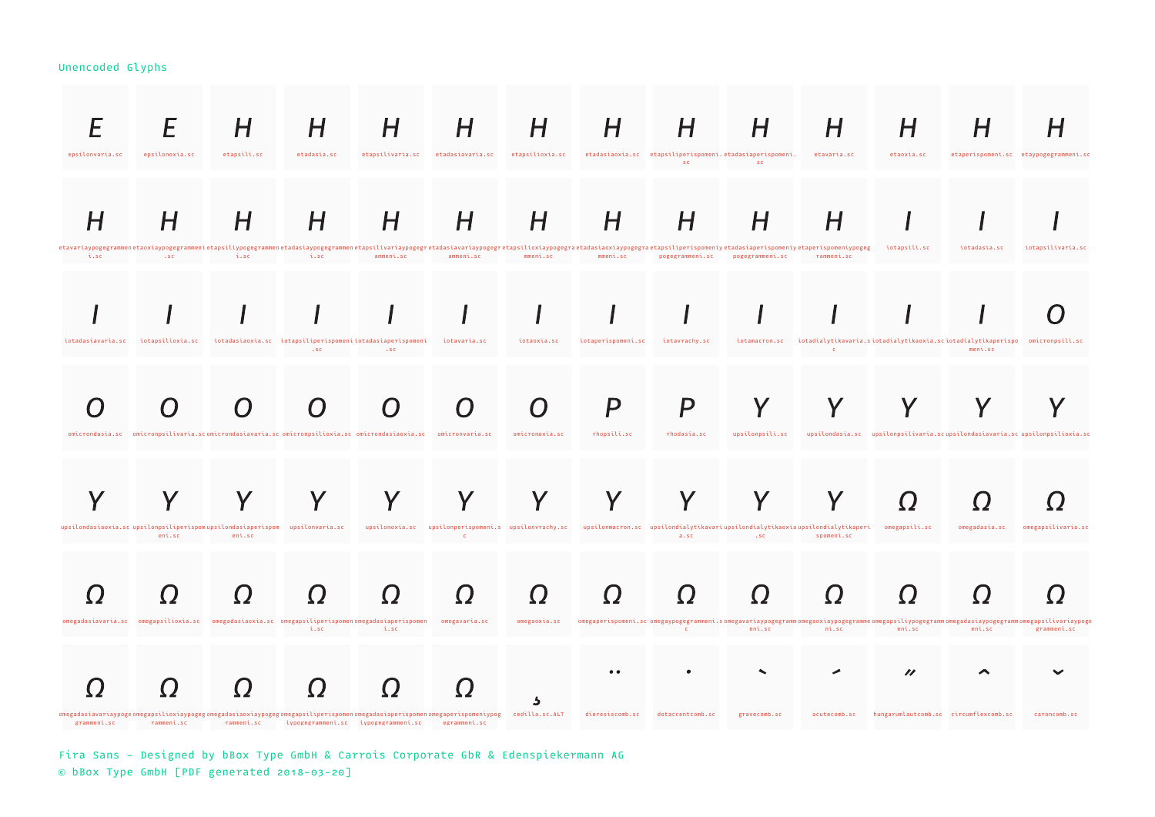| epsilonvaria.sc           | epsilonoxia.sc   | Н<br>etapsili.sc                                                                                               | H<br>etadasia.sc                                                  | H<br>etapsilivaria.sc | H<br>etadasiavaria.sc                                                                                                                                                                                                                                   | H<br>etapsilioxia.sc    | П                              | Н<br>etadasiaoxia.sc etapsiliperispomeni.etadasiaperispomeni. etavaria.sc<br>SC                                                                                              | H<br>SC                                                                                                                                                                                                                       |                       | H<br>etaoxia.sc                                                                            | n             | etaperispomeni.sc etaypogegrammeni.sc |
|---------------------------|------------------|----------------------------------------------------------------------------------------------------------------|-------------------------------------------------------------------|-----------------------|---------------------------------------------------------------------------------------------------------------------------------------------------------------------------------------------------------------------------------------------------------|-------------------------|--------------------------------|------------------------------------------------------------------------------------------------------------------------------------------------------------------------------|-------------------------------------------------------------------------------------------------------------------------------------------------------------------------------------------------------------------------------|-----------------------|--------------------------------------------------------------------------------------------|---------------|---------------------------------------|
|                           | H                | H                                                                                                              | Н                                                                 | H                     | H<br>etavariaypogegrammenetaoxiaypogegrammenietapsiliypogegrammenetadasiaypogegrammenetapsilivariaypogegretadasiavariaypogegretapsilioxiaypogegraetadasiaoxiaypogegraetapsiliperispomeniy etadasiaperispomeniy etaperispomeniyetapse                    | Н                       | H                              | H                                                                                                                                                                            |                                                                                                                                                                                                                               | H                     | iotapsili.sc                                                                               | iotadasia.sc  | iotapsilivaria.sc                     |
| i.sc<br>iotadasiavaria.sc | iotapsilioxia.sc |                                                                                                                | i.sc<br>iotadasiaoxia.sc iotapsiliperispomeniiotadasiaperispomeni | ammeni.sc             | ammeni.sc<br>iotavaria.sc                                                                                                                                                                                                                               | mmeni.sc<br>iotaoxia.sc | mmeni.sc<br>iotaperispomeni.sc | iotavrachy.sc                                                                                                                                                                | pogegrammeni.sc pogegrammeni.sc                                                                                                                                                                                               | rammeni.sc            | iotamacron.sc iotadialytikavaria.siotadialytikaoxia.sciotadialytikaperispo omicronpsili.sc | meni.sc       |                                       |
|                           |                  | omicrondasia.sc omicronpsilivaria.scomicrondasiavaria.scomicronpsilioxia.scomicrondasiaoxia.sc omicronvaria.sc | $.$ sc                                                            | $\cdot$ SC            |                                                                                                                                                                                                                                                         | omicronoxia.sc          | rhopsili.sc                    | P<br>rhodasia.sc                                                                                                                                                             | upsilonpsili.sc                                                                                                                                                                                                               |                       | upsilondasia.sc upsilonpsilivaria.scupsilondasiavaria.scupsilonpsilioxia.sc                |               |                                       |
|                           |                  | upsilondasiaoxia.sc upsilonpsiliperispomupsilondasiaperispom upsilonvaria.sc                                   |                                                                   |                       | upsilonoxia.sc upsilonperispomeni.s upsilonvrachy.sc upsilonmacron.sc upsilondialytikavariupsilondialytikaoxiaupsilondialytikaperi omegapsili.sc                                                                                                        |                         |                                |                                                                                                                                                                              |                                                                                                                                                                                                                               |                       |                                                                                            | omegadasia.sc | omegapsilivaria.sc                    |
|                           | eni.sc           | eni.sc                                                                                                         |                                                                   |                       | $\sim$ C                                                                                                                                                                                                                                                |                         |                                |                                                                                                                                                                              | associated as a series of the series of the series of the series of the series of the series of the series of the series of the series of the series of the series of the series of the series of the series of the series of | spomeni.sc            |                                                                                            |               |                                       |
|                           |                  | omegadasiavaria.sc omegapsilioxia.sc omegadasiaoxia.sc omegapsiliperispomenomegadasiaperispomen omegavaria.sc  | i.sc                                                              | i.sc                  | omegadasiavariaypogeomegapsilioxiaypogegomegadasiaoxiaypogegomegapsiliperispomenomegadasiaperispomenomegaperispomeniypog cedilla.sc.ALT dieresiscomb.sc<br>grammeni.sc   rammeni.sc   rammeni.sc   iypogegrammeni.sc   iypogegrammeni.sc   egrammeni.sc |                         |                                | omegaoxia.sc omegaperispomeni.scomegaypogegrammeni.somegavariaypogegrammomegaoxiaypogegrammeomegapsiliypogegrammomegadasiaypogegrammomegapsilivariaypoge<br>dotaccentcomb.sc | $\mathbf{c}$ and $\mathbf{c}$ and $\mathbf{c}$ and $\mathbf{c}$ and $\mathbf{c}$ and $\mathbf{c}$ and $\mathbf{c}$ and $\mathbf{c}$<br>gravecomb.sc                                                                           | ni.sc<br>acutecomb.sc | eni.sc<br>"<br>hungarumlautcomb.sc circumflexcomb.sc                                       | eni.sc        | erammeni.sc<br>caroncomb.sc           |

Fira Sans - Designed by bBox Type GmbH & Carrois Corporate GbR & Edenspiekermann AG © bBox Type GmbH [PDF generated 2018-03-20]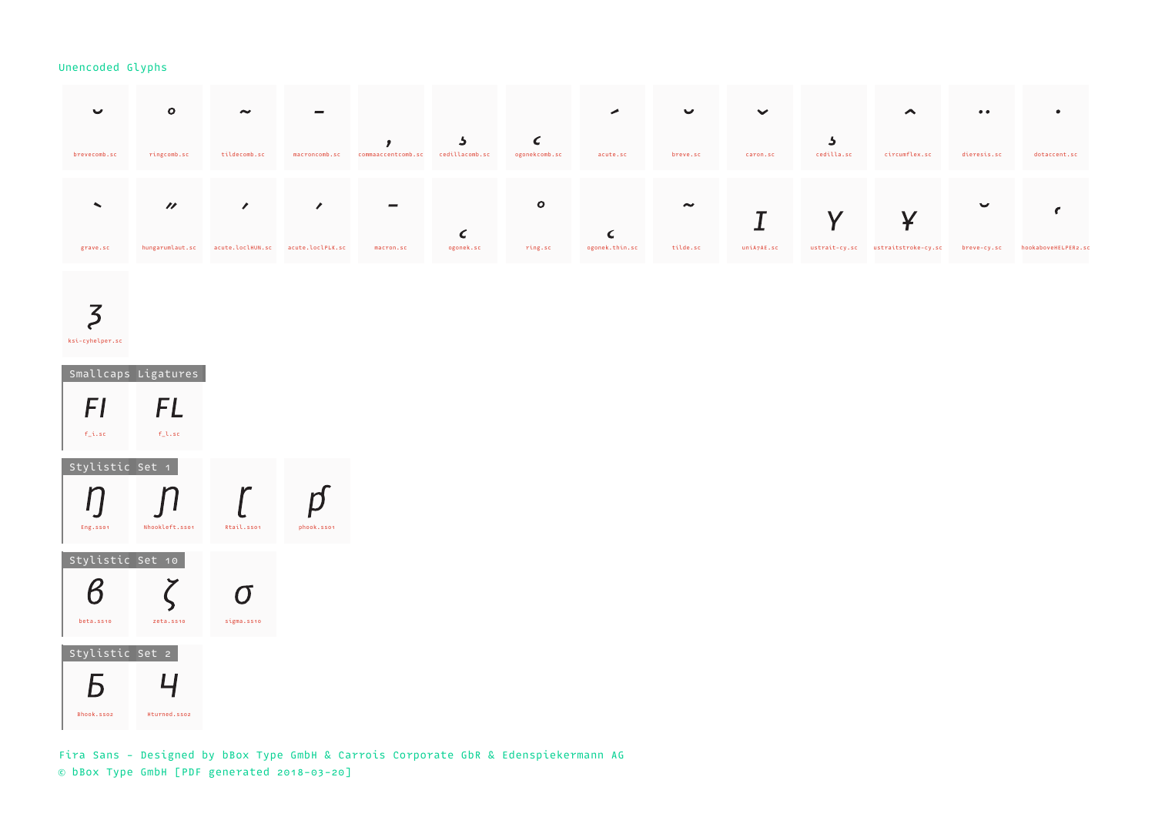| $\checkmark$             |                             | $\sim$                            | $\equiv$      |                          |                                |                             |                | $\checkmark$ | $\checkmark$ |               | $\blacktriangle$    | $\bullet\bullet$ |                     |
|--------------------------|-----------------------------|-----------------------------------|---------------|--------------------------|--------------------------------|-----------------------------|----------------|--------------|--------------|---------------|---------------------|------------------|---------------------|
| brevecomb.sc             | ringcomb.sc                 | tildecomb.sc                      | macroncomb.sc | commaaccentcomb.sc       | $\mathbf{P}$<br>cedillacomb.sc | $\epsilon$<br>ogonekcomb.sc | acute.sc       | breve.sc     | caron.sc     | cedilla.sc    | circumflex.sc       | dieresis.sc      | dotaccent.sc        |
| $\overline{\phantom{a}}$ | $\boldsymbol{\prime\prime}$ | $\mathcal{L}$                     | $\prime$      | $\overline{\phantom{a}}$ |                                | $\mathbf{o}$                |                | $\sim$       |              |               |                     | $\checkmark$     |                     |
| grave.sc                 | hungarumlaut.sc             | acute.loclHUN.sc acute.loclPLK.sc |               | macron.sc                | C<br>ogonek.sc                 | ring.sc                     | ogonek.thin.sc | tilde.sc     | uniA7AE.sc   | ustrait-cy.sc | ustraitstroke-cy.sc | breve-cy.sc      | hookaboveHELPER2.sc |

# $\overline{5}$ ksi-cyhelper.sc

 Smallcaps Ligatures  $F<sub>I</sub>$ **FL** f\_i.sc f\_l.sc Stylistic Set 1  $\int$  $\mathcal{L}$  $\eta$  $\mathsf{r}$ Eng.ss01 Nhookleft.ss01 Rtail.ss01 phook.ss01 Stylistic Set 10  $\boldsymbol{\beta}$  $\zeta$  $\sigma$ beta.ss10 zeta.ss10 sigma.ss10 Stylistic Set 2 Б  $\overline{4}$ Bhook.sso2 Hturned.sso2